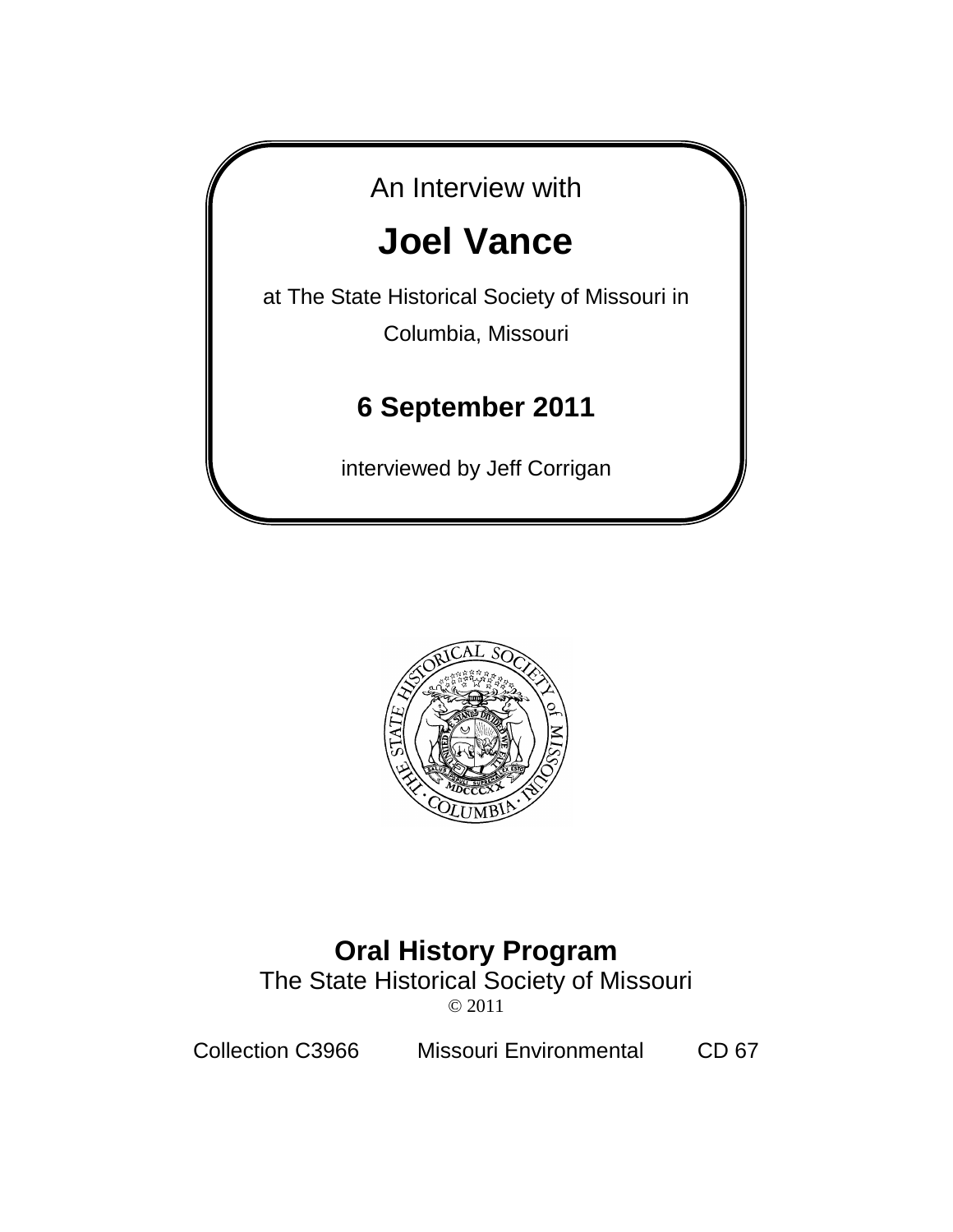



# **Oral History Program**

The State Historical Society of Missouri © 2011

Collection C3966 Missouri Environmental CD 67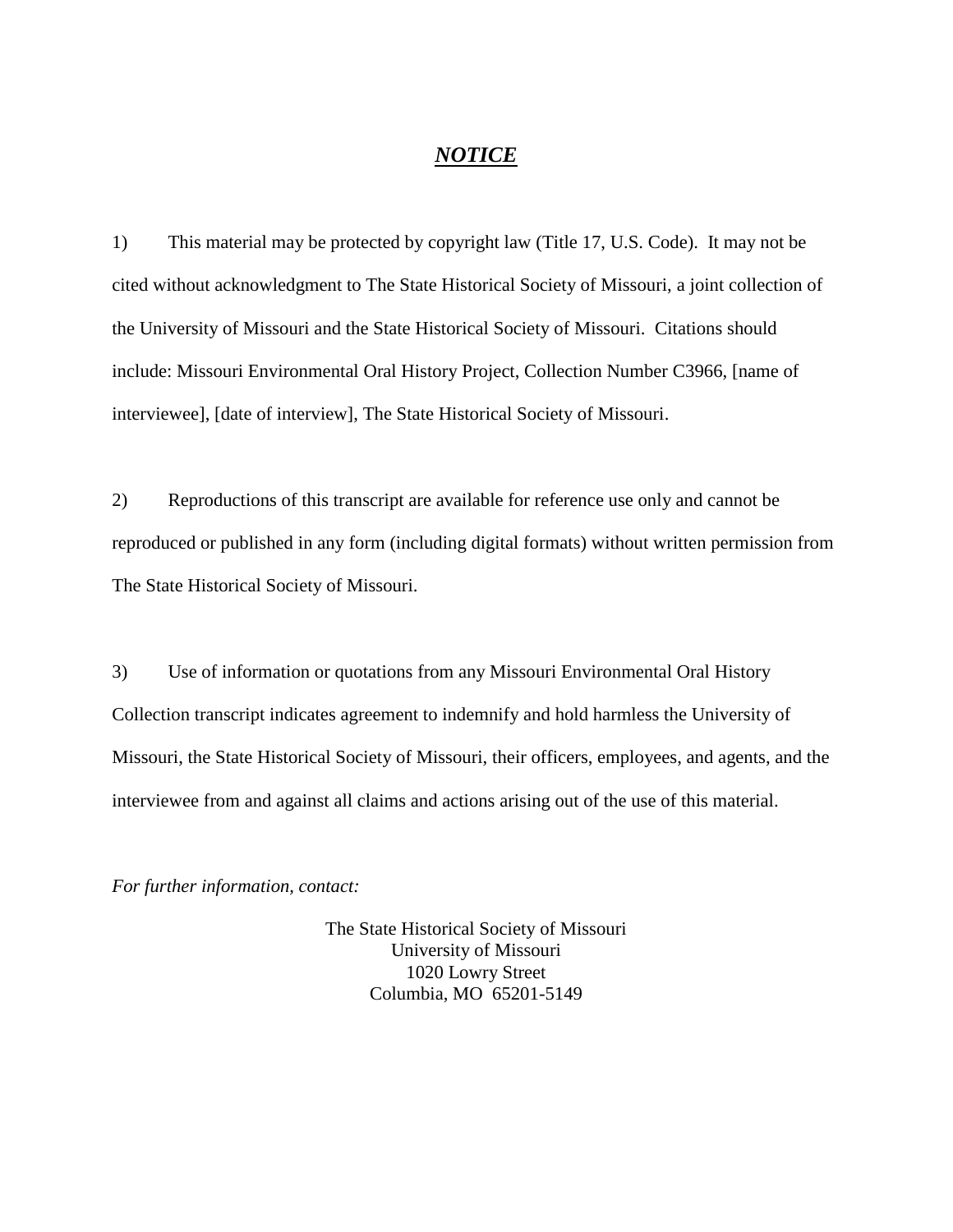#### *NOTICE*

1) This material may be protected by copyright law (Title 17, U.S. Code). It may not be cited without acknowledgment to The State Historical Society of Missouri, a joint collection of the University of Missouri and the State Historical Society of Missouri. Citations should include: Missouri Environmental Oral History Project, Collection Number C3966, [name of interviewee], [date of interview], The State Historical Society of Missouri.

2) Reproductions of this transcript are available for reference use only and cannot be reproduced or published in any form (including digital formats) without written permission from The State Historical Society of Missouri.

3) Use of information or quotations from any Missouri Environmental Oral History Collection transcript indicates agreement to indemnify and hold harmless the University of Missouri, the State Historical Society of Missouri, their officers, employees, and agents, and the interviewee from and against all claims and actions arising out of the use of this material.

*For further information, contact:*

The State Historical Society of Missouri University of Missouri 1020 Lowry Street Columbia, MO 65201-5149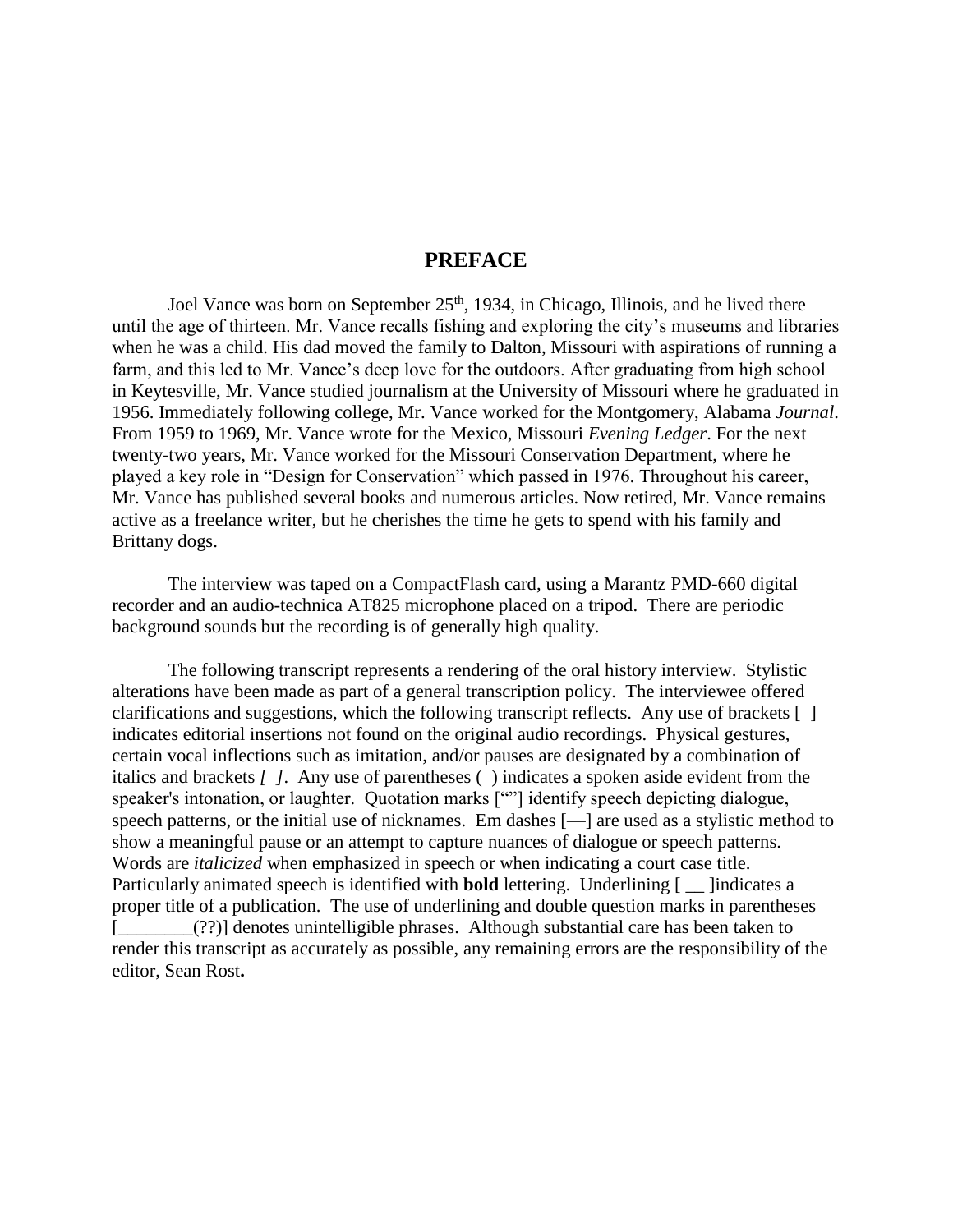## **PREFACE**

Joel Vance was born on September 25<sup>th</sup>, 1934, in Chicago, Illinois, and he lived there until the age of thirteen. Mr. Vance recalls fishing and exploring the city's museums and libraries when he was a child. His dad moved the family to Dalton, Missouri with aspirations of running a farm, and this led to Mr. Vance's deep love for the outdoors. After graduating from high school in Keytesville, Mr. Vance studied journalism at the University of Missouri where he graduated in 1956. Immediately following college, Mr. Vance worked for the Montgomery, Alabama *Journal*. From 1959 to 1969, Mr. Vance wrote for the Mexico, Missouri *Evening Ledger*. For the next twenty-two years, Mr. Vance worked for the Missouri Conservation Department, where he played a key role in "Design for Conservation" which passed in 1976. Throughout his career, Mr. Vance has published several books and numerous articles. Now retired, Mr. Vance remains active as a freelance writer, but he cherishes the time he gets to spend with his family and Brittany dogs.

The interview was taped on a CompactFlash card, using a Marantz PMD-660 digital recorder and an audio-technica AT825 microphone placed on a tripod. There are periodic background sounds but the recording is of generally high quality.

The following transcript represents a rendering of the oral history interview. Stylistic alterations have been made as part of a general transcription policy. The interviewee offered clarifications and suggestions, which the following transcript reflects. Any use of brackets [ ] indicates editorial insertions not found on the original audio recordings. Physical gestures, certain vocal inflections such as imitation, and/or pauses are designated by a combination of italics and brackets *[ ]*. Any use of parentheses ( ) indicates a spoken aside evident from the speaker's intonation, or laughter. Quotation marks [""] identify speech depicting dialogue, speech patterns, or the initial use of nicknames. Em dashes [—] are used as a stylistic method to show a meaningful pause or an attempt to capture nuances of dialogue or speech patterns. Words are *italicized* when emphasized in speech or when indicating a court case title. Particularly animated speech is identified with **bold** lettering. Underlining [ \_\_ ]indicates a proper title of a publication. The use of underlining and double question marks in parentheses [\_\_\_\_\_\_\_\_(??)] denotes unintelligible phrases. Although substantial care has been taken to render this transcript as accurately as possible, any remaining errors are the responsibility of the editor, Sean Rost**.**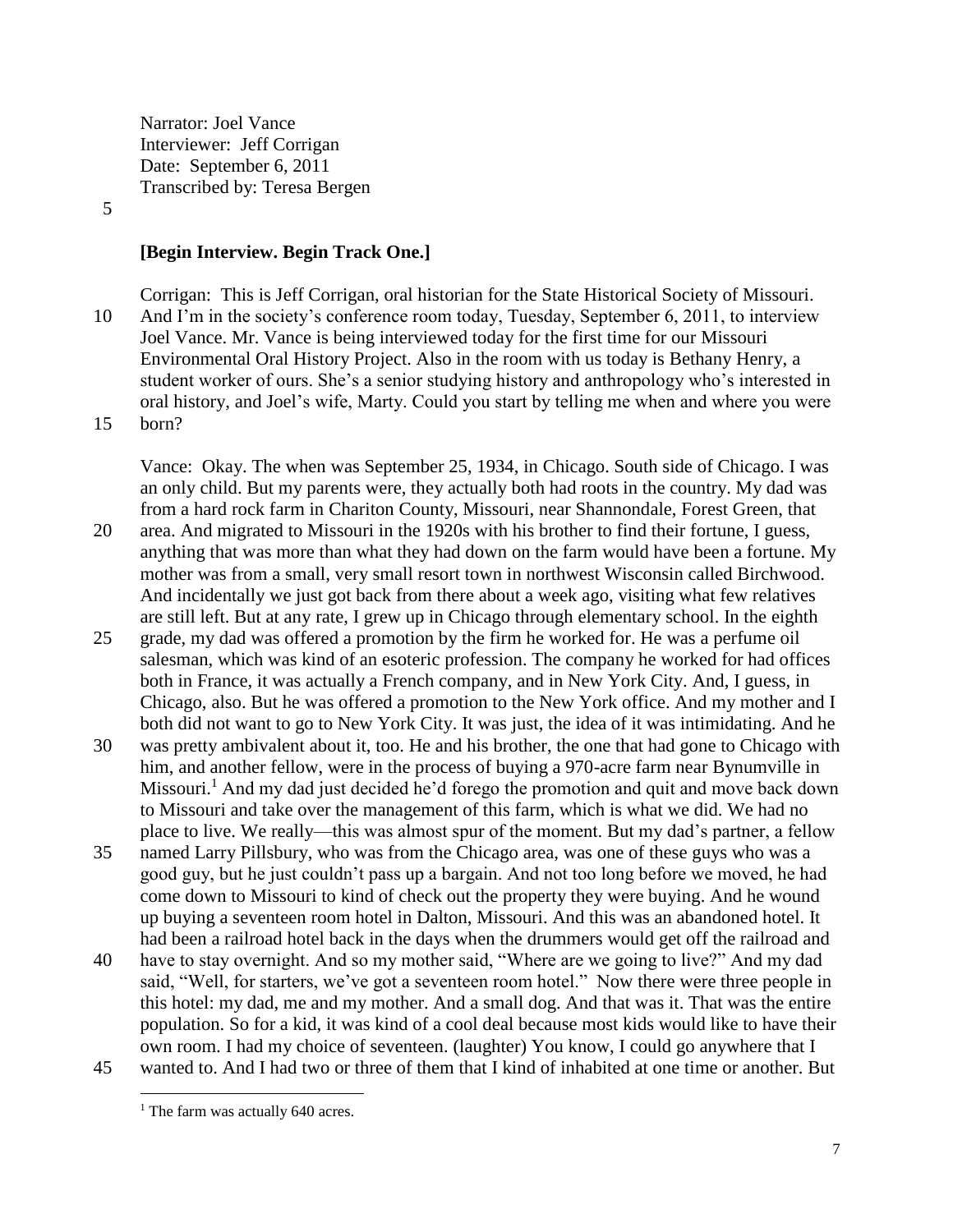Narrator: Joel Vance Interviewer: Jeff Corrigan Date: September 6, 2011 Transcribed by: Teresa Bergen

#### 5

#### **[Begin Interview. Begin Track One.]**

Corrigan: This is Jeff Corrigan, oral historian for the State Historical Society of Missouri. 10 And I'm in the society's conference room today, Tuesday, September 6, 2011, to interview Joel Vance. Mr. Vance is being interviewed today for the first time for our Missouri Environmental Oral History Project. Also in the room with us today is Bethany Henry, a student worker of ours. She's a senior studying history and anthropology who's interested in oral history, and Joel's wife, Marty. Could you start by telling me when and where you were 15 born?

Vance: Okay. The when was September 25, 1934, in Chicago. South side of Chicago. I was an only child. But my parents were, they actually both had roots in the country. My dad was from a hard rock farm in Chariton County, Missouri, near Shannondale, Forest Green, that

- 20 area. And migrated to Missouri in the 1920s with his brother to find their fortune, I guess, anything that was more than what they had down on the farm would have been a fortune. My mother was from a small, very small resort town in northwest Wisconsin called Birchwood. And incidentally we just got back from there about a week ago, visiting what few relatives are still left. But at any rate, I grew up in Chicago through elementary school. In the eighth
- 25 grade, my dad was offered a promotion by the firm he worked for. He was a perfume oil salesman, which was kind of an esoteric profession. The company he worked for had offices both in France, it was actually a French company, and in New York City. And, I guess, in Chicago, also. But he was offered a promotion to the New York office. And my mother and I both did not want to go to New York City. It was just, the idea of it was intimidating. And he
- 30 was pretty ambivalent about it, too. He and his brother, the one that had gone to Chicago with him, and another fellow, were in the process of buying a 970-acre farm near Bynumville in Missouri.<sup>1</sup> And my dad just decided he'd forego the promotion and quit and move back down to Missouri and take over the management of this farm, which is what we did. We had no place to live. We really—this was almost spur of the moment. But my dad's partner, a fellow
- 35 named Larry Pillsbury, who was from the Chicago area, was one of these guys who was a good guy, but he just couldn't pass up a bargain. And not too long before we moved, he had come down to Missouri to kind of check out the property they were buying. And he wound up buying a seventeen room hotel in Dalton, Missouri. And this was an abandoned hotel. It had been a railroad hotel back in the days when the drummers would get off the railroad and
- 40 have to stay overnight. And so my mother said, "Where are we going to live?" And my dad said, "Well, for starters, we've got a seventeen room hotel." Now there were three people in this hotel: my dad, me and my mother. And a small dog. And that was it. That was the entire population. So for a kid, it was kind of a cool deal because most kids would like to have their own room. I had my choice of seventeen. (laughter) You know, I could go anywhere that I
- 45 wanted to. And I had two or three of them that I kind of inhabited at one time or another. But  $\overline{a}$

<sup>&</sup>lt;sup>1</sup> The farm was actually 640 acres.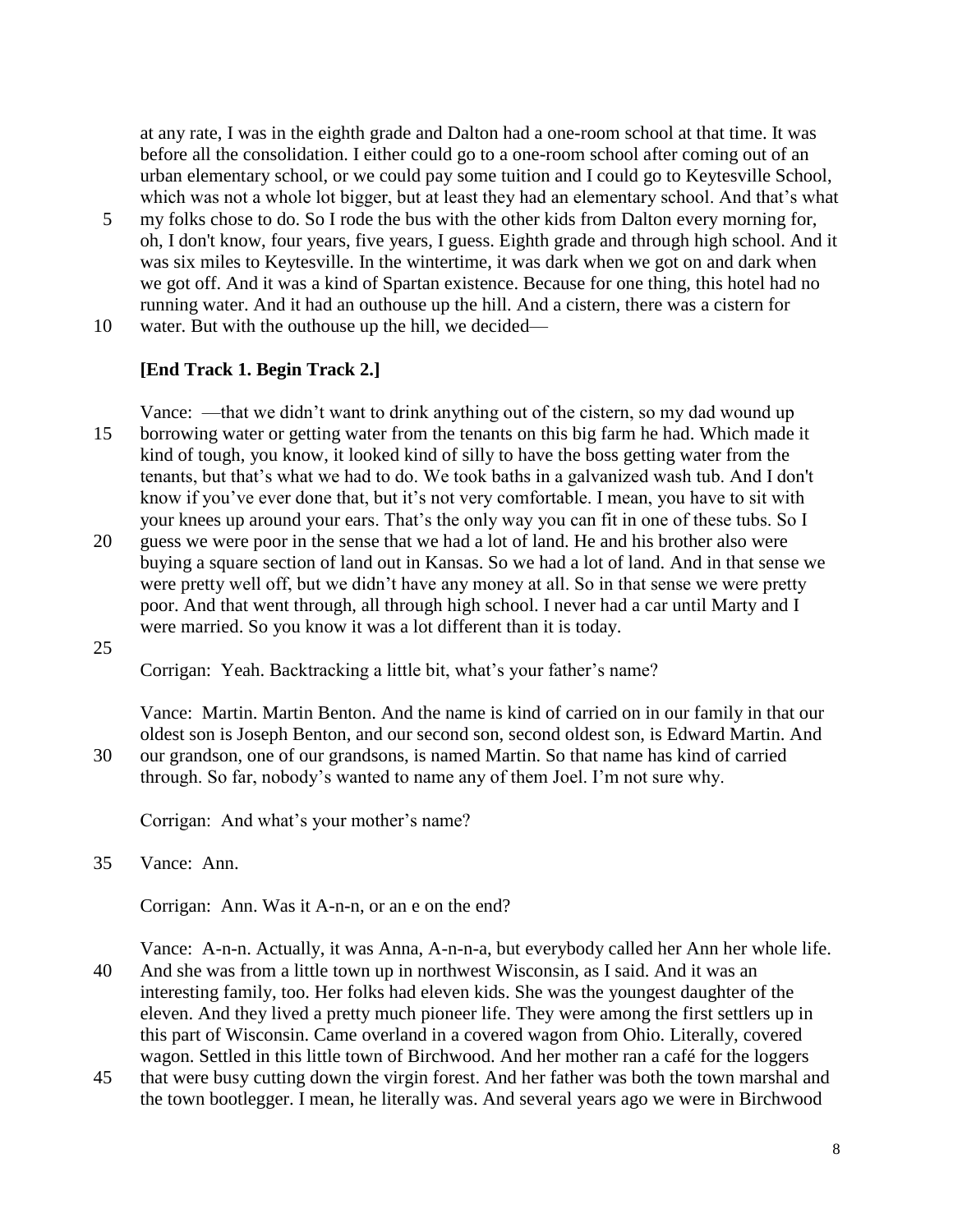at any rate, I was in the eighth grade and Dalton had a one-room school at that time. It was before all the consolidation. I either could go to a one-room school after coming out of an urban elementary school, or we could pay some tuition and I could go to Keytesville School, which was not a whole lot bigger, but at least they had an elementary school. And that's what

- 5 my folks chose to do. So I rode the bus with the other kids from Dalton every morning for, oh, I don't know, four years, five years, I guess. Eighth grade and through high school. And it was six miles to Keytesville. In the wintertime, it was dark when we got on and dark when we got off. And it was a kind of Spartan existence. Because for one thing, this hotel had no running water. And it had an outhouse up the hill. And a cistern, there was a cistern for
- 10 water. But with the outhouse up the hill, we decided—

#### **[End Track 1. Begin Track 2.]**

Vance: —that we didn't want to drink anything out of the cistern, so my dad wound up 15 borrowing water or getting water from the tenants on this big farm he had. Which made it kind of tough, you know, it looked kind of silly to have the boss getting water from the tenants, but that's what we had to do. We took baths in a galvanized wash tub. And I don't know if you've ever done that, but it's not very comfortable. I mean, you have to sit with your knees up around your ears. That's the only way you can fit in one of these tubs. So I

20 guess we were poor in the sense that we had a lot of land. He and his brother also were buying a square section of land out in Kansas. So we had a lot of land. And in that sense we were pretty well off, but we didn't have any money at all. So in that sense we were pretty poor. And that went through, all through high school. I never had a car until Marty and I were married. So you know it was a lot different than it is today.

25

Corrigan: Yeah. Backtracking a little bit, what's your father's name?

Vance: Martin. Martin Benton. And the name is kind of carried on in our family in that our oldest son is Joseph Benton, and our second son, second oldest son, is Edward Martin. And 30 our grandson, one of our grandsons, is named Martin. So that name has kind of carried through. So far, nobody's wanted to name any of them Joel. I'm not sure why.

Corrigan: And what's your mother's name?

35 Vance: Ann.

Corrigan: Ann. Was it A-n-n, or an e on the end?

Vance: A-n-n. Actually, it was Anna, A-n-n-a, but everybody called her Ann her whole life. 40 And she was from a little town up in northwest Wisconsin, as I said. And it was an interesting family, too. Her folks had eleven kids. She was the youngest daughter of the eleven. And they lived a pretty much pioneer life. They were among the first settlers up in this part of Wisconsin. Came overland in a covered wagon from Ohio. Literally, covered wagon. Settled in this little town of Birchwood. And her mother ran a café for the loggers

45 that were busy cutting down the virgin forest. And her father was both the town marshal and the town bootlegger. I mean, he literally was. And several years ago we were in Birchwood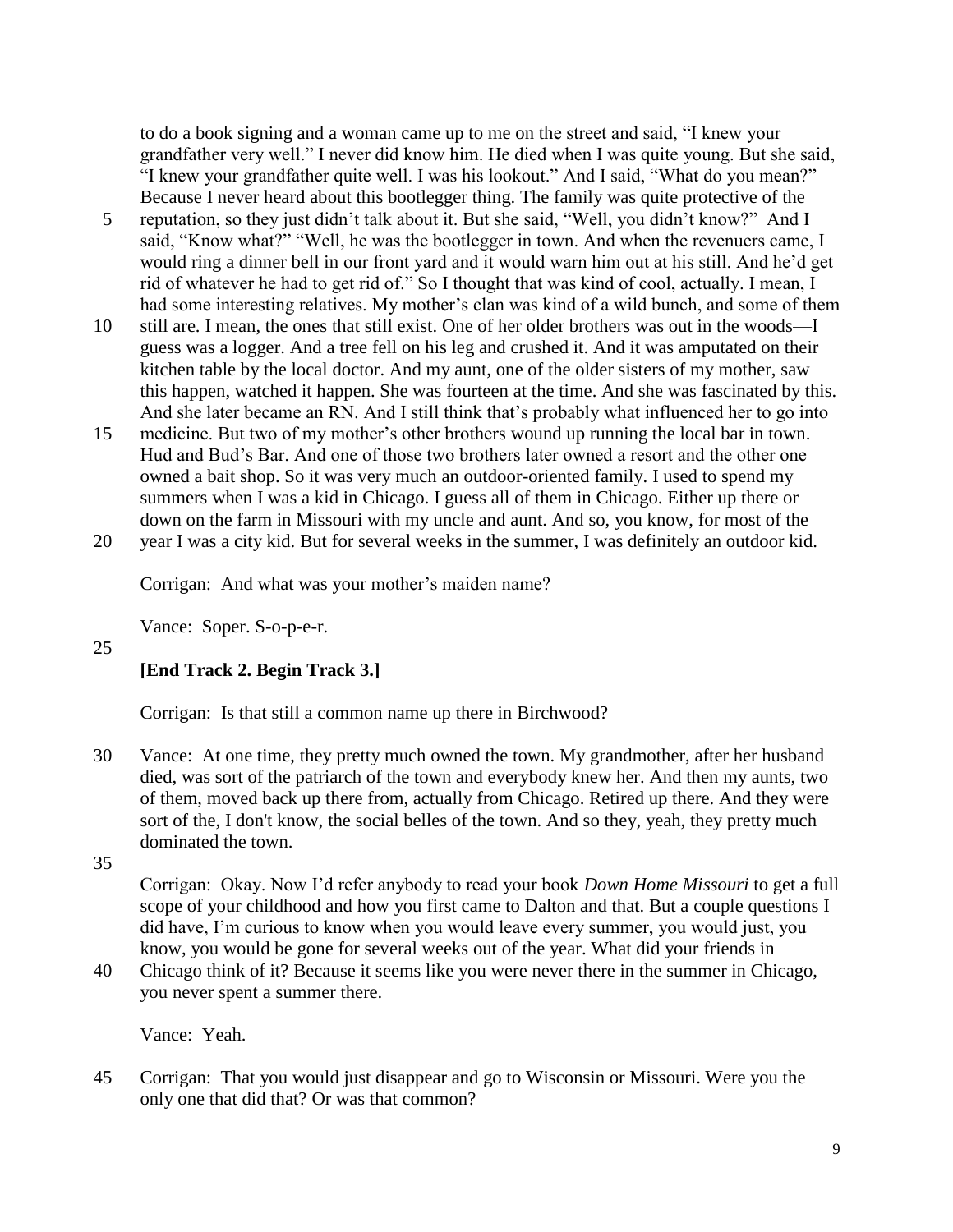to do a book signing and a woman came up to me on the street and said, "I knew your grandfather very well." I never did know him. He died when I was quite young. But she said, "I knew your grandfather quite well. I was his lookout." And I said, "What do you mean?" Because I never heard about this bootlegger thing. The family was quite protective of the

- 5 reputation, so they just didn't talk about it. But she said, "Well, you didn't know?" And I said, "Know what?" "Well, he was the bootlegger in town. And when the revenuers came, I would ring a dinner bell in our front yard and it would warn him out at his still. And he'd get rid of whatever he had to get rid of." So I thought that was kind of cool, actually. I mean, I had some interesting relatives. My mother's clan was kind of a wild bunch, and some of them
- 10 still are. I mean, the ones that still exist. One of her older brothers was out in the woods—I guess was a logger. And a tree fell on his leg and crushed it. And it was amputated on their kitchen table by the local doctor. And my aunt, one of the older sisters of my mother, saw this happen, watched it happen. She was fourteen at the time. And she was fascinated by this. And she later became an RN. And I still think that's probably what influenced her to go into
- 15 medicine. But two of my mother's other brothers wound up running the local bar in town. Hud and Bud's Bar. And one of those two brothers later owned a resort and the other one owned a bait shop. So it was very much an outdoor-oriented family. I used to spend my summers when I was a kid in Chicago. I guess all of them in Chicago. Either up there or down on the farm in Missouri with my uncle and aunt. And so, you know, for most of the 20 year I was a city kid. But for several weeks in the summer, I was definitely an outdoor kid.

Corrigan: And what was your mother's maiden name?

Vance: Soper. S-o-p-e-r.

25

## **[End Track 2. Begin Track 3.]**

Corrigan: Is that still a common name up there in Birchwood?

30 Vance: At one time, they pretty much owned the town. My grandmother, after her husband died, was sort of the patriarch of the town and everybody knew her. And then my aunts, two of them, moved back up there from, actually from Chicago. Retired up there. And they were sort of the, I don't know, the social belles of the town. And so they, yeah, they pretty much dominated the town.

35

Corrigan: Okay. Now I'd refer anybody to read your book *Down Home Missouri* to get a full scope of your childhood and how you first came to Dalton and that. But a couple questions I did have, I'm curious to know when you would leave every summer, you would just, you know, you would be gone for several weeks out of the year. What did your friends in

40 Chicago think of it? Because it seems like you were never there in the summer in Chicago, you never spent a summer there.

Vance: Yeah.

45 Corrigan: That you would just disappear and go to Wisconsin or Missouri. Were you the only one that did that? Or was that common?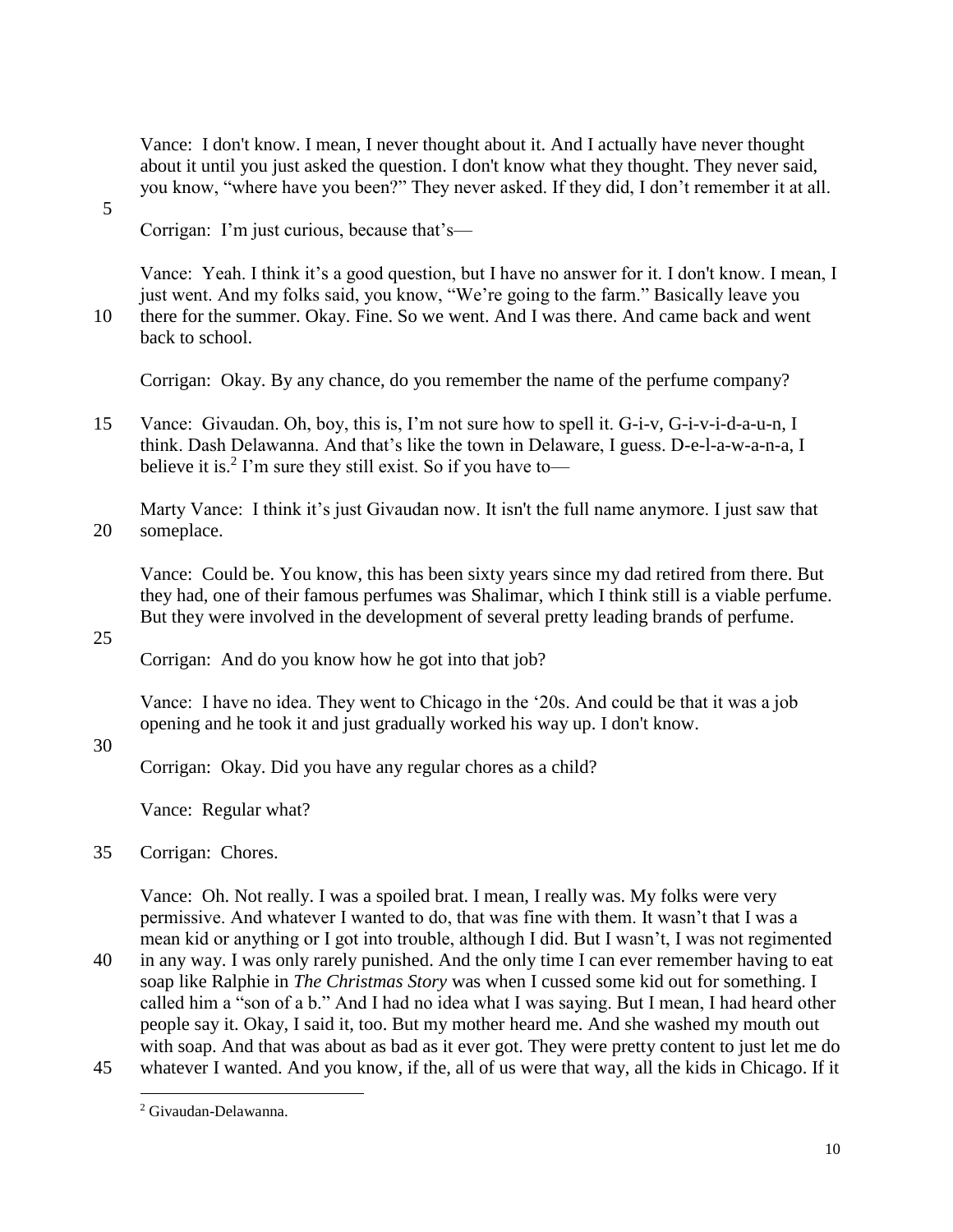Vance: I don't know. I mean, I never thought about it. And I actually have never thought about it until you just asked the question. I don't know what they thought. They never said, you know, "where have you been?" They never asked. If they did, I don't remember it at all.

5

Corrigan: I'm just curious, because that's—

Vance: Yeah. I think it's a good question, but I have no answer for it. I don't know. I mean, I just went. And my folks said, you know, "We're going to the farm." Basically leave you 10 there for the summer. Okay. Fine. So we went. And I was there. And came back and went back to school.

Corrigan: Okay. By any chance, do you remember the name of the perfume company?

15 Vance: Givaudan. Oh, boy, this is, I'm not sure how to spell it. G-i-v, G-i-v-i-d-a-u-n, I think. Dash Delawanna. And that's like the town in Delaware, I guess. D-e-l-a-w-a-n-a, I believe it is.<sup>2</sup> I'm sure they still exist. So if you have to-

Marty Vance: I think it's just Givaudan now. It isn't the full name anymore. I just saw that 20 someplace.

Vance: Could be. You know, this has been sixty years since my dad retired from there. But they had, one of their famous perfumes was Shalimar, which I think still is a viable perfume. But they were involved in the development of several pretty leading brands of perfume.

25

Corrigan: And do you know how he got into that job?

Vance: I have no idea. They went to Chicago in the '20s. And could be that it was a job opening and he took it and just gradually worked his way up. I don't know.

30

Corrigan: Okay. Did you have any regular chores as a child?

Vance: Regular what?

35 Corrigan: Chores.

Vance: Oh. Not really. I was a spoiled brat. I mean, I really was. My folks were very permissive. And whatever I wanted to do, that was fine with them. It wasn't that I was a mean kid or anything or I got into trouble, although I did. But I wasn't, I was not regimented

40 in any way. I was only rarely punished. And the only time I can ever remember having to eat soap like Ralphie in *The Christmas Story* was when I cussed some kid out for something. I called him a "son of a b." And I had no idea what I was saying. But I mean, I had heard other people say it. Okay, I said it, too. But my mother heard me. And she washed my mouth out with soap. And that was about as bad as it ever got. They were pretty content to just let me do

45 whatever I wanted. And you know, if the, all of us were that way, all the kids in Chicago. If it  $\overline{a}$ 

<sup>2</sup> Givaudan-Delawanna.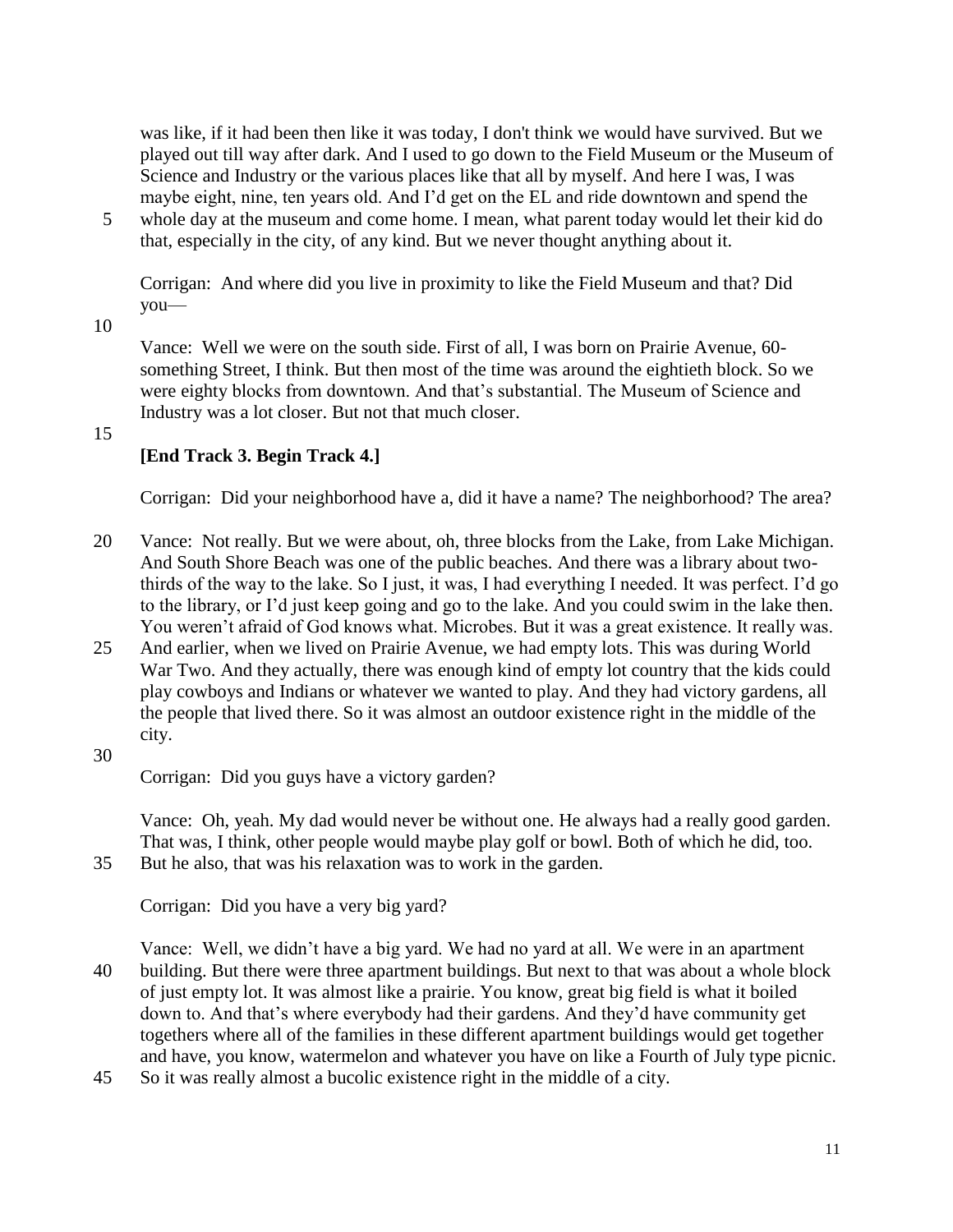was like, if it had been then like it was today, I don't think we would have survived. But we played out till way after dark. And I used to go down to the Field Museum or the Museum of Science and Industry or the various places like that all by myself. And here I was, I was maybe eight, nine, ten years old. And I'd get on the EL and ride downtown and spend the

5 whole day at the museum and come home. I mean, what parent today would let their kid do that, especially in the city, of any kind. But we never thought anything about it.

Corrigan: And where did you live in proximity to like the Field Museum and that? Did you—

10

Vance: Well we were on the south side. First of all, I was born on Prairie Avenue, 60 something Street, I think. But then most of the time was around the eightieth block. So we were eighty blocks from downtown. And that's substantial. The Museum of Science and Industry was a lot closer. But not that much closer.

15

## **[End Track 3. Begin Track 4.]**

Corrigan: Did your neighborhood have a, did it have a name? The neighborhood? The area?

- 20 Vance: Not really. But we were about, oh, three blocks from the Lake, from Lake Michigan. And South Shore Beach was one of the public beaches. And there was a library about twothirds of the way to the lake. So I just, it was, I had everything I needed. It was perfect. I'd go to the library, or I'd just keep going and go to the lake. And you could swim in the lake then. You weren't afraid of God knows what. Microbes. But it was a great existence. It really was.
- 25 And earlier, when we lived on Prairie Avenue, we had empty lots. This was during World War Two. And they actually, there was enough kind of empty lot country that the kids could play cowboys and Indians or whatever we wanted to play. And they had victory gardens, all the people that lived there. So it was almost an outdoor existence right in the middle of the city.

30

Corrigan: Did you guys have a victory garden?

Vance: Oh, yeah. My dad would never be without one. He always had a really good garden. That was, I think, other people would maybe play golf or bowl. Both of which he did, too. 35 But he also, that was his relaxation was to work in the garden.

Corrigan: Did you have a very big yard?

Vance: Well, we didn't have a big yard. We had no yard at all. We were in an apartment 40 building. But there were three apartment buildings. But next to that was about a whole block of just empty lot. It was almost like a prairie. You know, great big field is what it boiled down to. And that's where everybody had their gardens. And they'd have community get togethers where all of the families in these different apartment buildings would get together and have, you know, watermelon and whatever you have on like a Fourth of July type picnic.

45 So it was really almost a bucolic existence right in the middle of a city.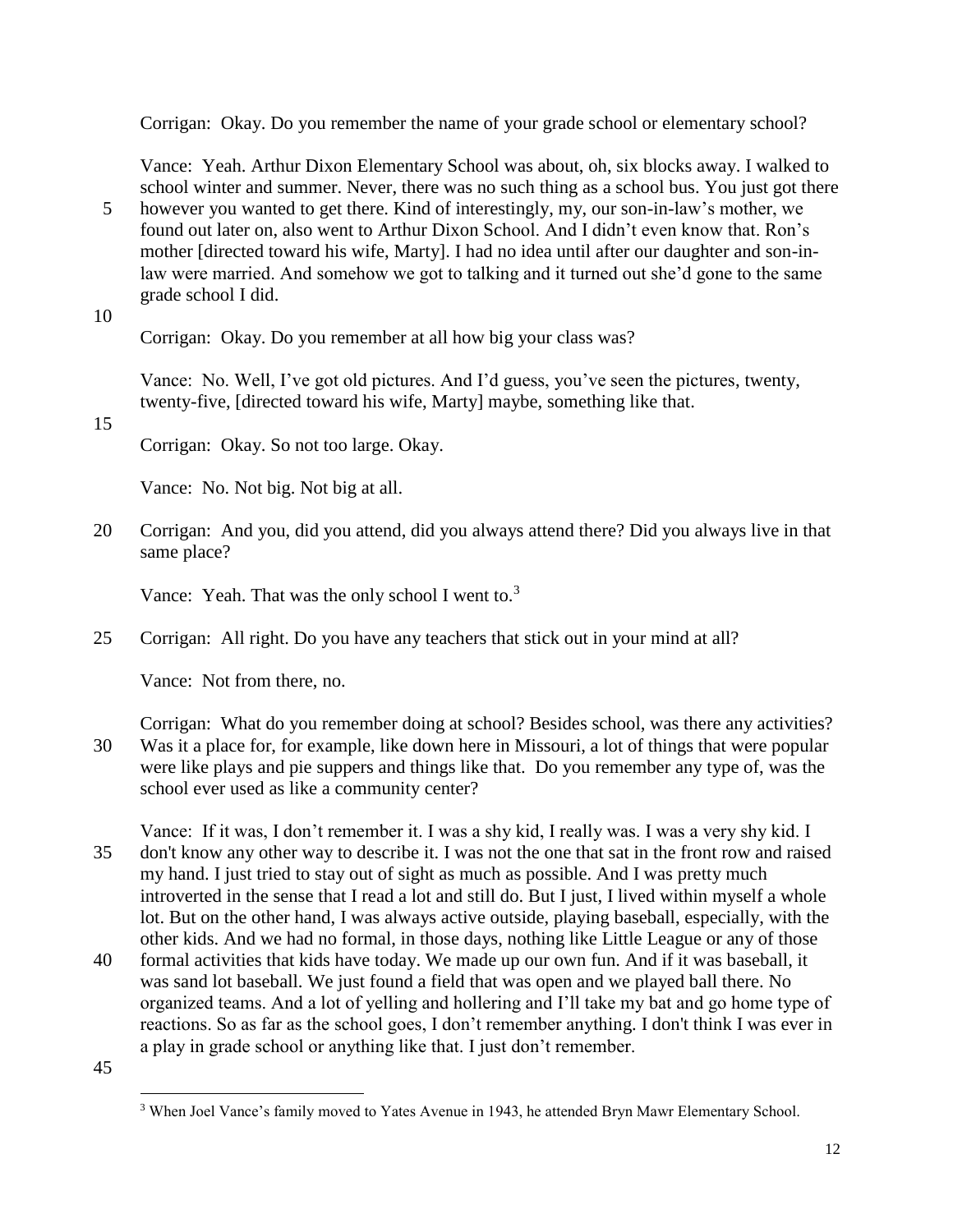Corrigan: Okay. Do you remember the name of your grade school or elementary school?

Vance: Yeah. Arthur Dixon Elementary School was about, oh, six blocks away. I walked to school winter and summer. Never, there was no such thing as a school bus. You just got there

- 5 however you wanted to get there. Kind of interestingly, my, our son-in-law's mother, we found out later on, also went to Arthur Dixon School. And I didn't even know that. Ron's mother [directed toward his wife, Marty]. I had no idea until after our daughter and son-inlaw were married. And somehow we got to talking and it turned out she'd gone to the same grade school I did.
- 10

Corrigan: Okay. Do you remember at all how big your class was?

Vance: No. Well, I've got old pictures. And I'd guess, you've seen the pictures, twenty, twenty-five, [directed toward his wife, Marty] maybe, something like that.

15

Corrigan: Okay. So not too large. Okay.

Vance: No. Not big. Not big at all.

20 Corrigan: And you, did you attend, did you always attend there? Did you always live in that same place?

Vance: Yeah. That was the only school I went to.<sup>3</sup>

25 Corrigan: All right. Do you have any teachers that stick out in your mind at all?

Vance: Not from there, no.

Corrigan: What do you remember doing at school? Besides school, was there any activities? 30 Was it a place for, for example, like down here in Missouri, a lot of things that were popular were like plays and pie suppers and things like that. Do you remember any type of, was the school ever used as like a community center?

Vance: If it was, I don't remember it. I was a shy kid, I really was. I was a very shy kid. I 35 don't know any other way to describe it. I was not the one that sat in the front row and raised my hand. I just tried to stay out of sight as much as possible. And I was pretty much introverted in the sense that I read a lot and still do. But I just, I lived within myself a whole lot. But on the other hand, I was always active outside, playing baseball, especially, with the other kids. And we had no formal, in those days, nothing like Little League or any of those

- 40 formal activities that kids have today. We made up our own fun. And if it was baseball, it was sand lot baseball. We just found a field that was open and we played ball there. No organized teams. And a lot of yelling and hollering and I'll take my bat and go home type of reactions. So as far as the school goes, I don't remember anything. I don't think I was ever in a play in grade school or anything like that. I just don't remember.
- 45

 $\overline{a}$ <sup>3</sup> When Joel Vance's family moved to Yates Avenue in 1943, he attended Bryn Mawr Elementary School.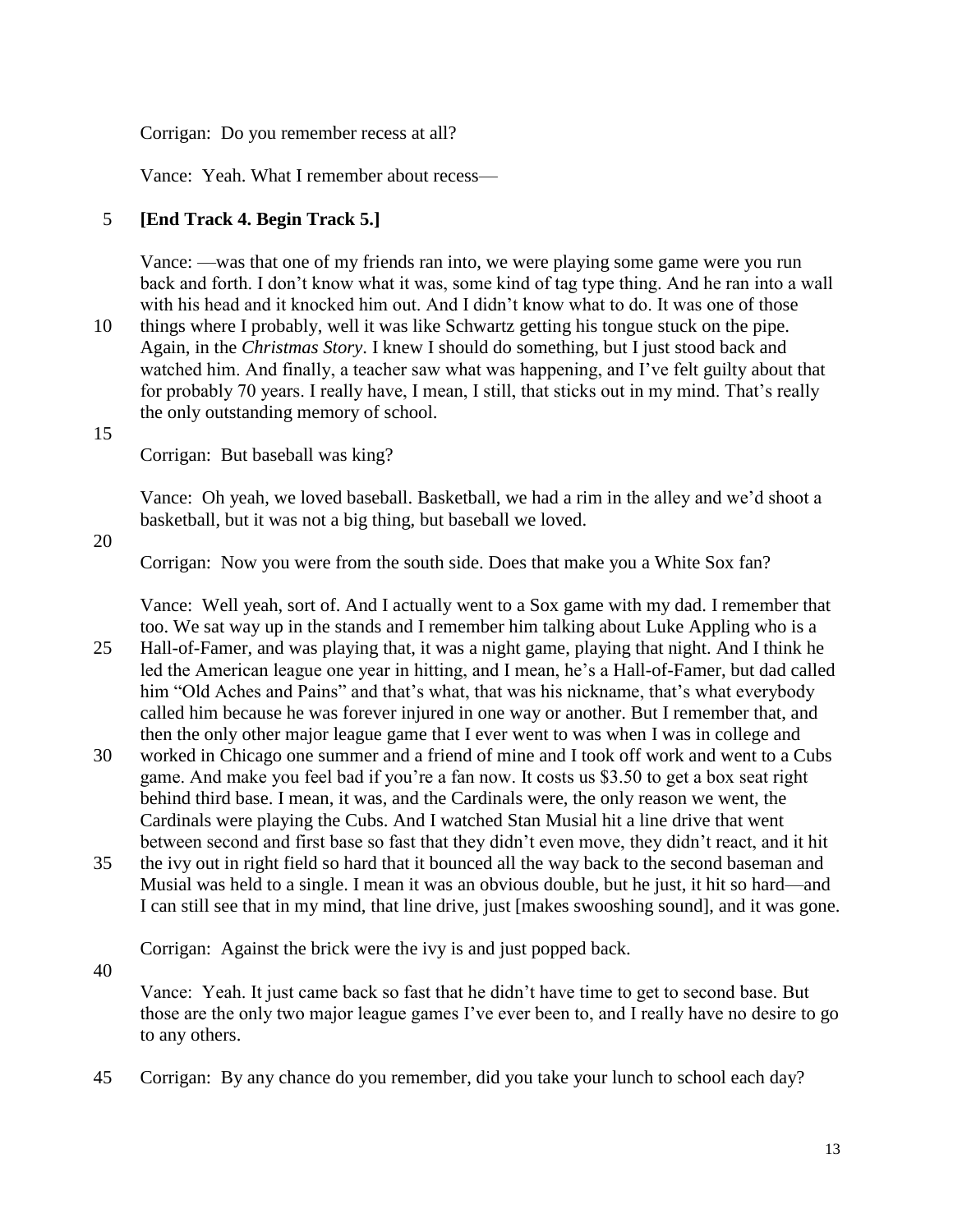Corrigan: Do you remember recess at all?

Vance: Yeah. What I remember about recess—

# 5 **[End Track 4. Begin Track 5.]**

Vance: —was that one of my friends ran into, we were playing some game were you run back and forth. I don't know what it was, some kind of tag type thing. And he ran into a wall with his head and it knocked him out. And I didn't know what to do. It was one of those

10 things where I probably, well it was like Schwartz getting his tongue stuck on the pipe. Again, in the *Christmas Story*. I knew I should do something, but I just stood back and watched him. And finally, a teacher saw what was happening, and I've felt guilty about that for probably 70 years. I really have, I mean, I still, that sticks out in my mind. That's really the only outstanding memory of school.

#### 15

Corrigan: But baseball was king?

Vance: Oh yeah, we loved baseball. Basketball, we had a rim in the alley and we'd shoot a basketball, but it was not a big thing, but baseball we loved.

20

Corrigan: Now you were from the south side. Does that make you a White Sox fan?

Vance: Well yeah, sort of. And I actually went to a Sox game with my dad. I remember that too. We sat way up in the stands and I remember him talking about Luke Appling who is a 25 Hall-of-Famer, and was playing that, it was a night game, playing that night. And I think he

led the American league one year in hitting, and I mean, he's a Hall-of-Famer, but dad called him "Old Aches and Pains" and that's what, that was his nickname, that's what everybody called him because he was forever injured in one way or another. But I remember that, and then the only other major league game that I ever went to was when I was in college and

- 30 worked in Chicago one summer and a friend of mine and I took off work and went to a Cubs game. And make you feel bad if you're a fan now. It costs us \$3.50 to get a box seat right behind third base. I mean, it was, and the Cardinals were, the only reason we went, the Cardinals were playing the Cubs. And I watched Stan Musial hit a line drive that went between second and first base so fast that they didn't even move, they didn't react, and it hit
- 35 the ivy out in right field so hard that it bounced all the way back to the second baseman and Musial was held to a single. I mean it was an obvious double, but he just, it hit so hard—and I can still see that in my mind, that line drive, just [makes swooshing sound], and it was gone.

Corrigan: Against the brick were the ivy is and just popped back.

40

Vance: Yeah. It just came back so fast that he didn't have time to get to second base. But those are the only two major league games I've ever been to, and I really have no desire to go to any others.

45 Corrigan: By any chance do you remember, did you take your lunch to school each day?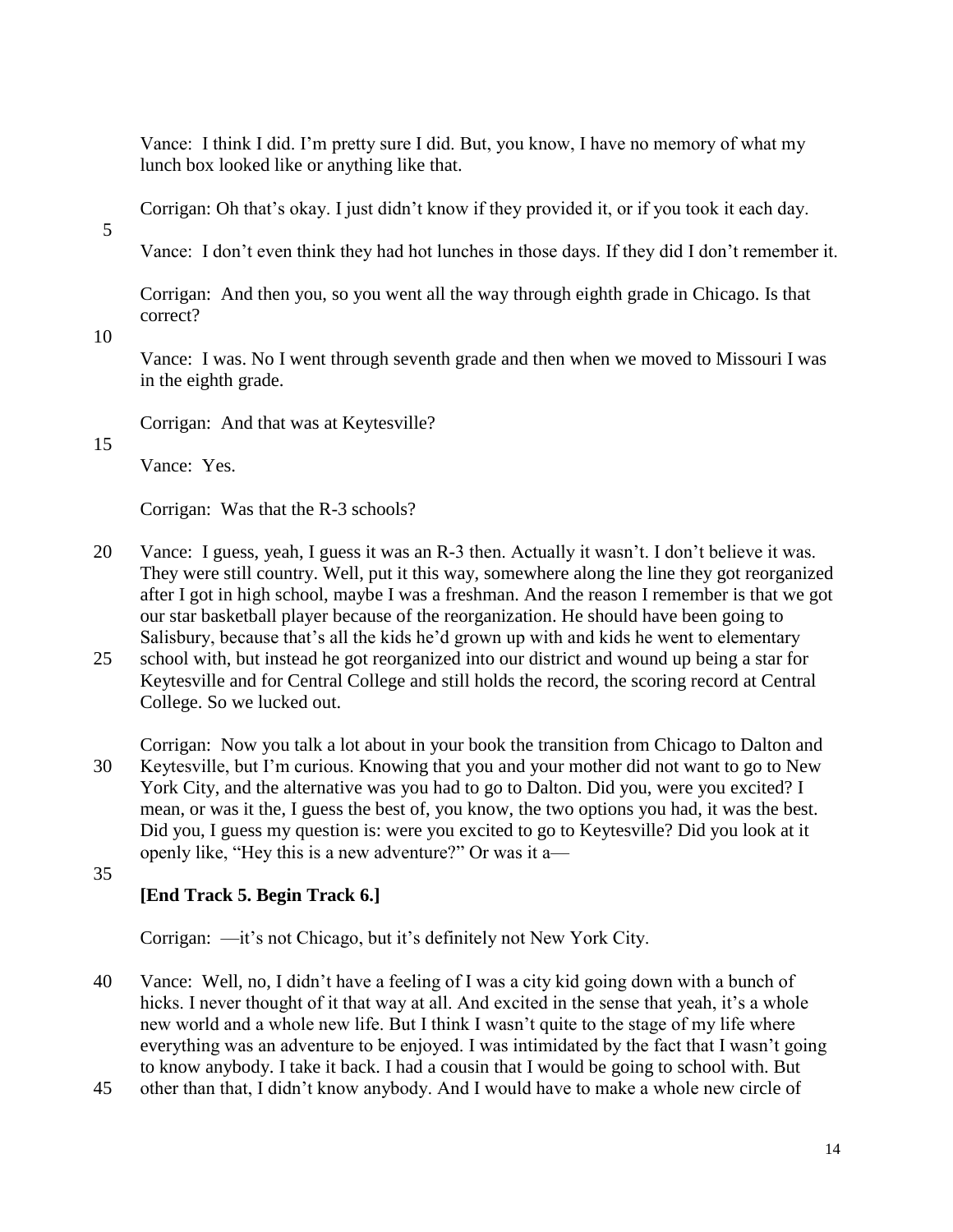Vance: I think I did. I'm pretty sure I did. But, you know, I have no memory of what my lunch box looked like or anything like that.

Corrigan: Oh that's okay. I just didn't know if they provided it, or if you took it each day.

5

Vance: I don't even think they had hot lunches in those days. If they did I don't remember it.

Corrigan: And then you, so you went all the way through eighth grade in Chicago. Is that correct?

10

Vance: I was. No I went through seventh grade and then when we moved to Missouri I was in the eighth grade.

Corrigan: And that was at Keytesville?

15

Vance: Yes.

Corrigan: Was that the R-3 schools?

- 20 Vance: I guess, yeah, I guess it was an R-3 then. Actually it wasn't. I don't believe it was. They were still country. Well, put it this way, somewhere along the line they got reorganized after I got in high school, maybe I was a freshman. And the reason I remember is that we got our star basketball player because of the reorganization. He should have been going to Salisbury, because that's all the kids he'd grown up with and kids he went to elementary
- 25 school with, but instead he got reorganized into our district and wound up being a star for Keytesville and for Central College and still holds the record, the scoring record at Central College. So we lucked out.

Corrigan: Now you talk a lot about in your book the transition from Chicago to Dalton and 30 Keytesville, but I'm curious. Knowing that you and your mother did not want to go to New York City, and the alternative was you had to go to Dalton. Did you, were you excited? I mean, or was it the, I guess the best of, you know, the two options you had, it was the best. Did you, I guess my question is: were you excited to go to Keytesville? Did you look at it openly like, "Hey this is a new adventure?" Or was it a—

35

# **[End Track 5. Begin Track 6.]**

Corrigan: —it's not Chicago, but it's definitely not New York City.

40 Vance: Well, no, I didn't have a feeling of I was a city kid going down with a bunch of hicks. I never thought of it that way at all. And excited in the sense that yeah, it's a whole new world and a whole new life. But I think I wasn't quite to the stage of my life where everything was an adventure to be enjoyed. I was intimidated by the fact that I wasn't going to know anybody. I take it back. I had a cousin that I would be going to school with. But

45 other than that, I didn't know anybody. And I would have to make a whole new circle of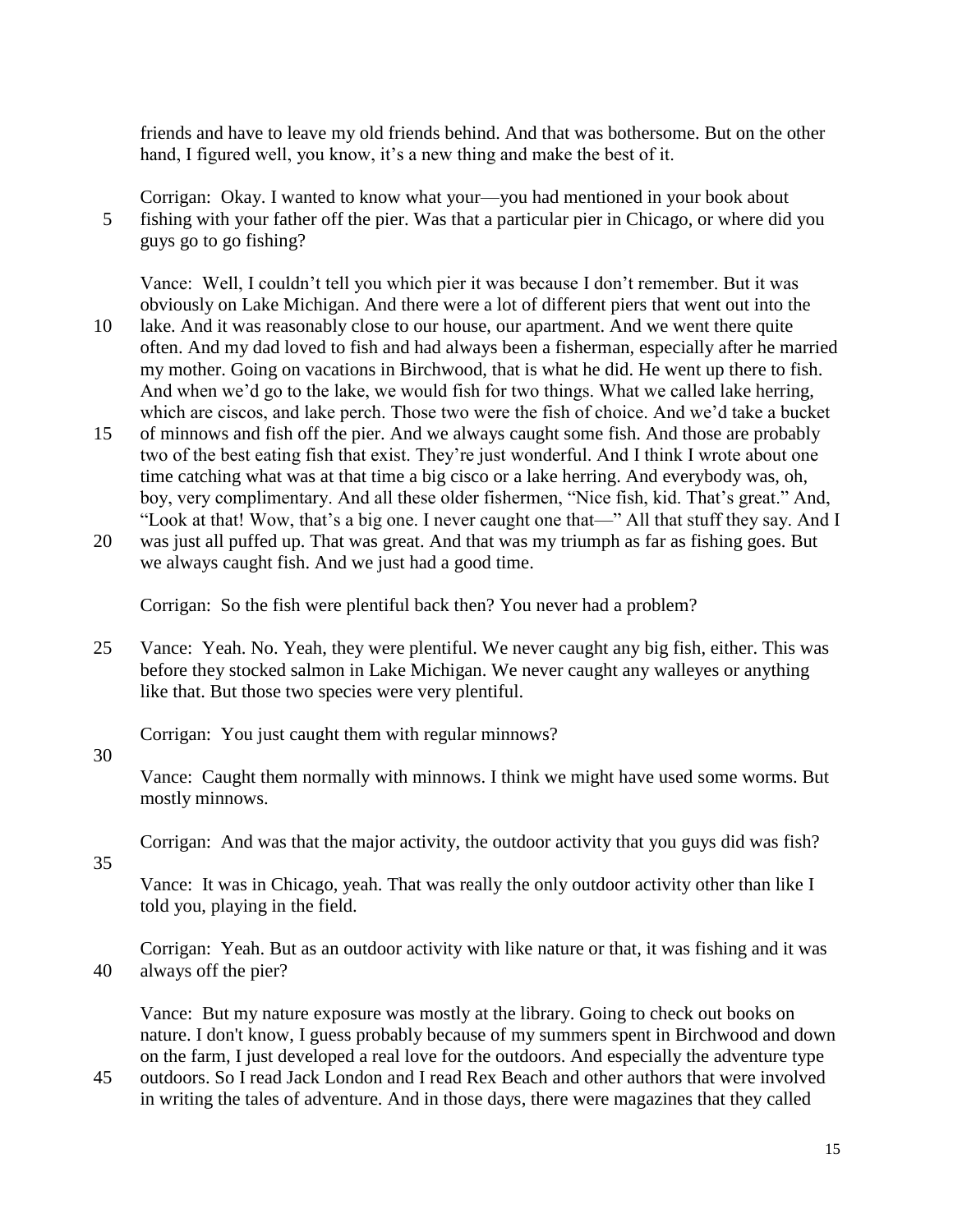friends and have to leave my old friends behind. And that was bothersome. But on the other hand, I figured well, you know, it's a new thing and make the best of it.

Corrigan: Okay. I wanted to know what your—you had mentioned in your book about 5 fishing with your father off the pier. Was that a particular pier in Chicago, or where did you guys go to go fishing?

Vance: Well, I couldn't tell you which pier it was because I don't remember. But it was obviously on Lake Michigan. And there were a lot of different piers that went out into the

- 10 lake. And it was reasonably close to our house, our apartment. And we went there quite often. And my dad loved to fish and had always been a fisherman, especially after he married my mother. Going on vacations in Birchwood, that is what he did. He went up there to fish. And when we'd go to the lake, we would fish for two things. What we called lake herring, which are ciscos, and lake perch. Those two were the fish of choice. And we'd take a bucket
- 15 of minnows and fish off the pier. And we always caught some fish. And those are probably two of the best eating fish that exist. They're just wonderful. And I think I wrote about one time catching what was at that time a big cisco or a lake herring. And everybody was, oh, boy, very complimentary. And all these older fishermen, "Nice fish, kid. That's great." And, "Look at that! Wow, that's a big one. I never caught one that—" All that stuff they say. And I
- 20 was just all puffed up. That was great. And that was my triumph as far as fishing goes. But we always caught fish. And we just had a good time.

Corrigan: So the fish were plentiful back then? You never had a problem?

25 Vance: Yeah. No. Yeah, they were plentiful. We never caught any big fish, either. This was before they stocked salmon in Lake Michigan. We never caught any walleyes or anything like that. But those two species were very plentiful.

Corrigan: You just caught them with regular minnows?

## 30

Vance: Caught them normally with minnows. I think we might have used some worms. But mostly minnows.

Corrigan: And was that the major activity, the outdoor activity that you guys did was fish?

35

Vance: It was in Chicago, yeah. That was really the only outdoor activity other than like I told you, playing in the field.

Corrigan: Yeah. But as an outdoor activity with like nature or that, it was fishing and it was 40 always off the pier?

Vance: But my nature exposure was mostly at the library. Going to check out books on nature. I don't know, I guess probably because of my summers spent in Birchwood and down on the farm, I just developed a real love for the outdoors. And especially the adventure type

45 outdoors. So I read Jack London and I read Rex Beach and other authors that were involved in writing the tales of adventure. And in those days, there were magazines that they called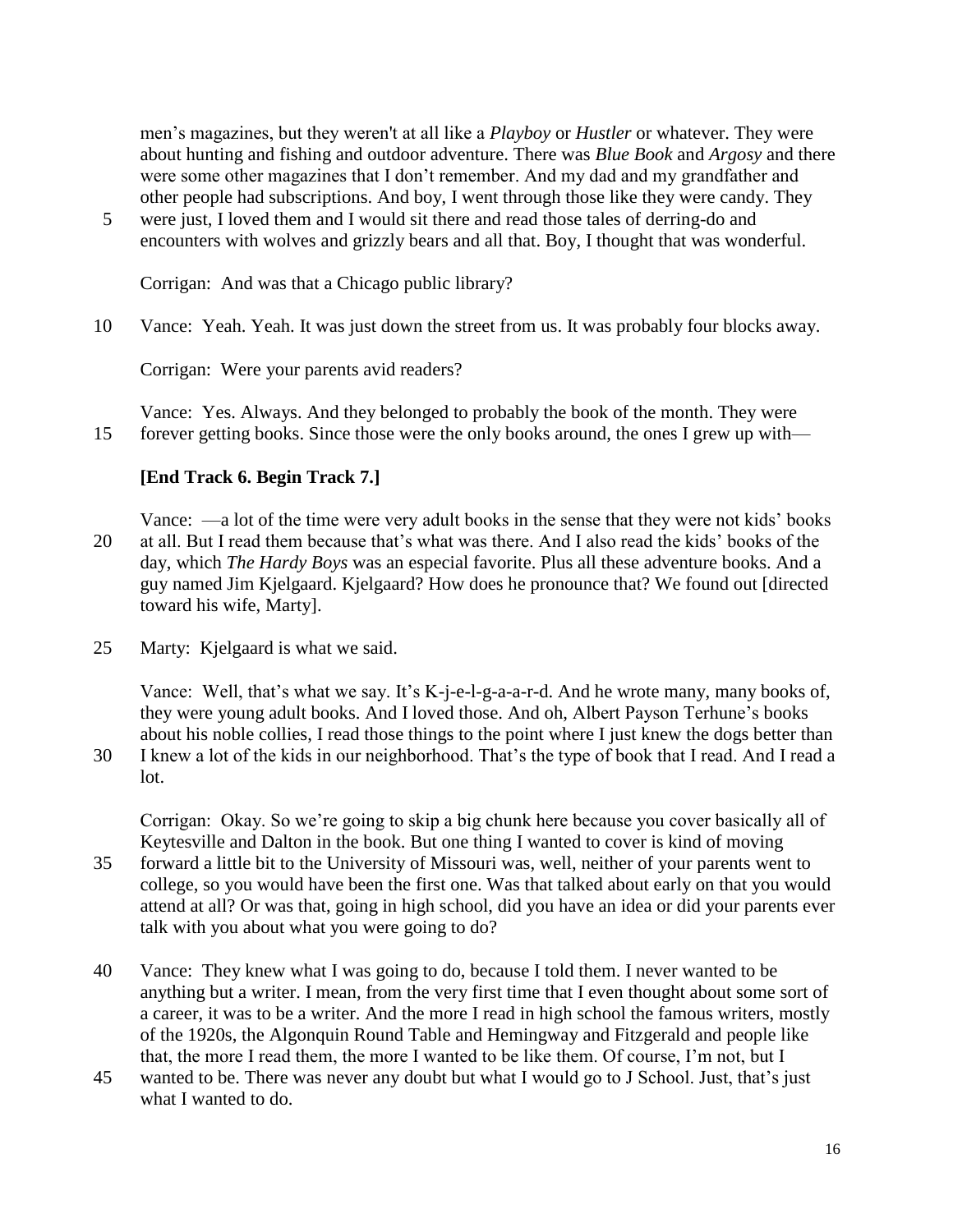men's magazines, but they weren't at all like a *Playboy* or *Hustler* or whatever. They were about hunting and fishing and outdoor adventure. There was *Blue Book* and *Argosy* and there were some other magazines that I don't remember. And my dad and my grandfather and other people had subscriptions. And boy, I went through those like they were candy. They

5 were just, I loved them and I would sit there and read those tales of derring-do and encounters with wolves and grizzly bears and all that. Boy, I thought that was wonderful.

Corrigan: And was that a Chicago public library?

10 Vance: Yeah. Yeah. It was just down the street from us. It was probably four blocks away.

Corrigan: Were your parents avid readers?

Vance: Yes. Always. And they belonged to probably the book of the month. They were 15 forever getting books. Since those were the only books around, the ones I grew up with—

## **[End Track 6. Begin Track 7.]**

Vance: —a lot of the time were very adult books in the sense that they were not kids' books 20 at all. But I read them because that's what was there. And I also read the kids' books of the day, which *The Hardy Boys* was an especial favorite. Plus all these adventure books. And a guy named Jim Kjelgaard. Kjelgaard? How does he pronounce that? We found out [directed toward his wife, Marty].

25 Marty: Kjelgaard is what we said.

Vance: Well, that's what we say. It's K-j-e-l-g-a-a-r-d. And he wrote many, many books of, they were young adult books. And I loved those. And oh, Albert Payson Terhune's books about his noble collies, I read those things to the point where I just knew the dogs better than

30 I knew a lot of the kids in our neighborhood. That's the type of book that I read. And I read a lot.

Corrigan: Okay. So we're going to skip a big chunk here because you cover basically all of Keytesville and Dalton in the book. But one thing I wanted to cover is kind of moving

- 35 forward a little bit to the University of Missouri was, well, neither of your parents went to college, so you would have been the first one. Was that talked about early on that you would attend at all? Or was that, going in high school, did you have an idea or did your parents ever talk with you about what you were going to do?
- 40 Vance: They knew what I was going to do, because I told them. I never wanted to be anything but a writer. I mean, from the very first time that I even thought about some sort of a career, it was to be a writer. And the more I read in high school the famous writers, mostly of the 1920s, the Algonquin Round Table and Hemingway and Fitzgerald and people like that, the more I read them, the more I wanted to be like them. Of course, I'm not, but I
- 45 wanted to be. There was never any doubt but what I would go to J School. Just, that's just what I wanted to do.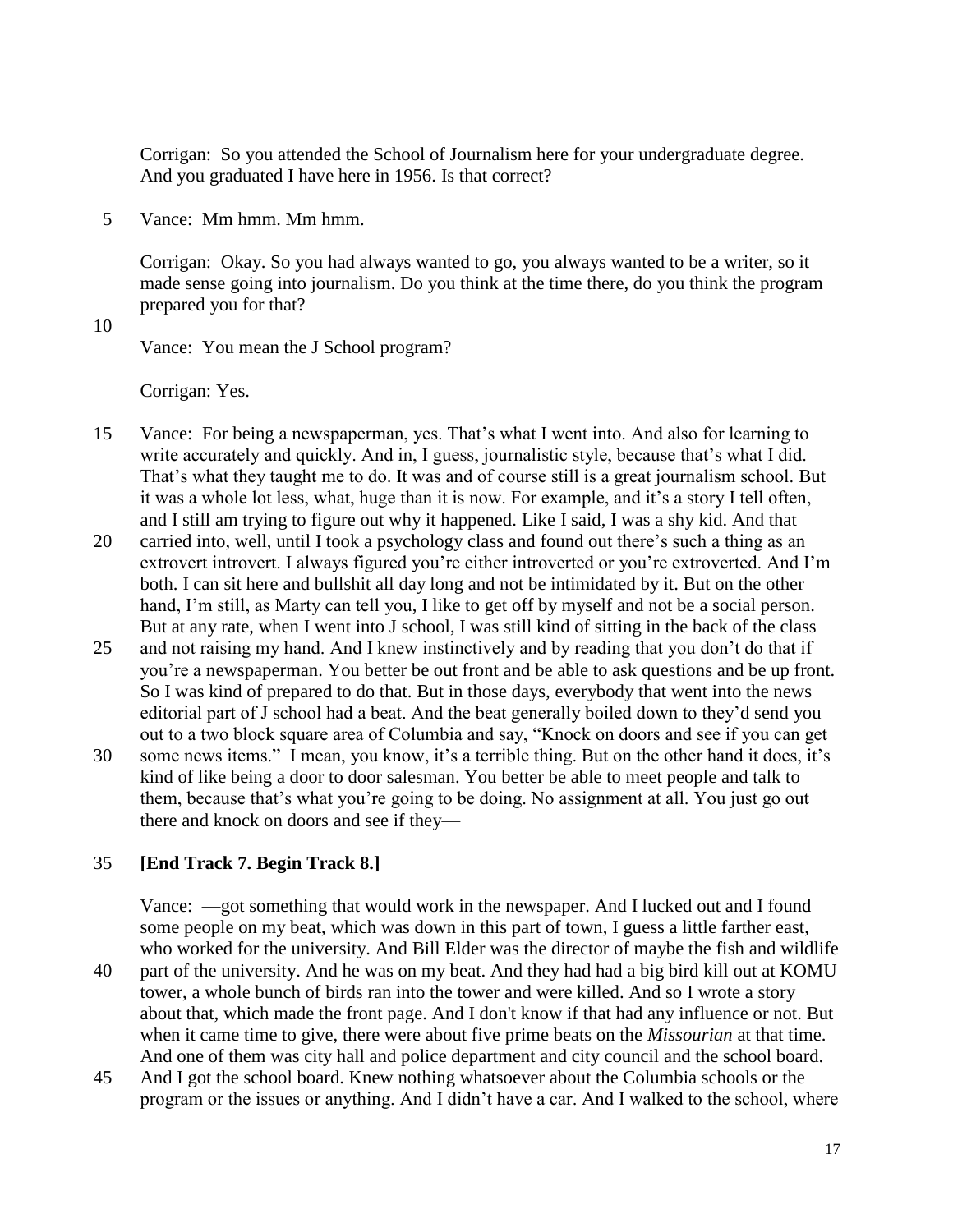Corrigan: So you attended the School of Journalism here for your undergraduate degree. And you graduated I have here in 1956. Is that correct?

5 Vance: Mm hmm. Mm hmm.

Corrigan: Okay. So you had always wanted to go, you always wanted to be a writer, so it made sense going into journalism. Do you think at the time there, do you think the program prepared you for that?

10

Vance: You mean the J School program?

Corrigan: Yes.

- 15 Vance: For being a newspaperman, yes. That's what I went into. And also for learning to write accurately and quickly. And in, I guess, journalistic style, because that's what I did. That's what they taught me to do. It was and of course still is a great journalism school. But it was a whole lot less, what, huge than it is now. For example, and it's a story I tell often, and I still am trying to figure out why it happened. Like I said, I was a shy kid. And that
- 20 carried into, well, until I took a psychology class and found out there's such a thing as an extrovert introvert. I always figured you're either introverted or you're extroverted. And I'm both. I can sit here and bullshit all day long and not be intimidated by it. But on the other hand, I'm still, as Marty can tell you, I like to get off by myself and not be a social person. But at any rate, when I went into J school, I was still kind of sitting in the back of the class
- 25 and not raising my hand. And I knew instinctively and by reading that you don't do that if you're a newspaperman. You better be out front and be able to ask questions and be up front. So I was kind of prepared to do that. But in those days, everybody that went into the news editorial part of J school had a beat. And the beat generally boiled down to they'd send you out to a two block square area of Columbia and say, "Knock on doors and see if you can get
- 30 some news items." I mean, you know, it's a terrible thing. But on the other hand it does, it's kind of like being a door to door salesman. You better be able to meet people and talk to them, because that's what you're going to be doing. No assignment at all. You just go out there and knock on doors and see if they—

#### 35 **[End Track 7. Begin Track 8.]**

Vance: —got something that would work in the newspaper. And I lucked out and I found some people on my beat, which was down in this part of town, I guess a little farther east, who worked for the university. And Bill Elder was the director of maybe the fish and wildlife

- 40 part of the university. And he was on my beat. And they had had a big bird kill out at KOMU tower, a whole bunch of birds ran into the tower and were killed. And so I wrote a story about that, which made the front page. And I don't know if that had any influence or not. But when it came time to give, there were about five prime beats on the *Missourian* at that time. And one of them was city hall and police department and city council and the school board.
- 45 And I got the school board. Knew nothing whatsoever about the Columbia schools or the program or the issues or anything. And I didn't have a car. And I walked to the school, where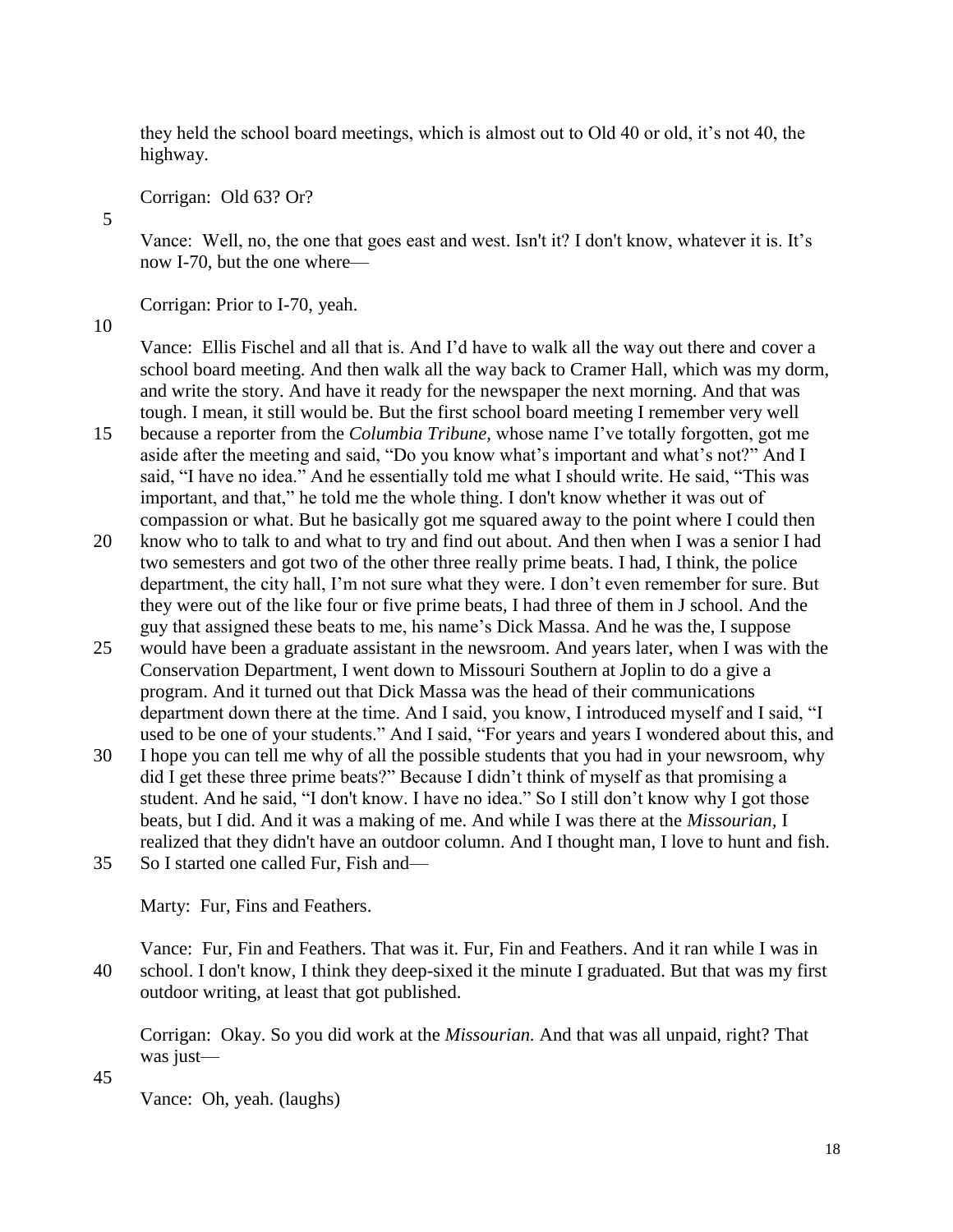they held the school board meetings, which is almost out to Old 40 or old, it's not 40, the highway.

Corrigan: Old 63? Or?

Vance: Well, no, the one that goes east and west. Isn't it? I don't know, whatever it is. It's now I-70, but the one where—

Corrigan: Prior to I-70, yeah.

10

5

Vance: Ellis Fischel and all that is. And I'd have to walk all the way out there and cover a school board meeting. And then walk all the way back to Cramer Hall, which was my dorm, and write the story. And have it ready for the newspaper the next morning. And that was tough. I mean, it still would be. But the first school board meeting I remember very well 15 because a reporter from the *Columbia Tribune,* whose name I've totally forgotten, got me

- aside after the meeting and said, "Do you know what's important and what's not?" And I said, "I have no idea." And he essentially told me what I should write. He said, "This was important, and that," he told me the whole thing. I don't know whether it was out of compassion or what. But he basically got me squared away to the point where I could then
- 20 know who to talk to and what to try and find out about. And then when I was a senior I had two semesters and got two of the other three really prime beats. I had, I think, the police department, the city hall, I'm not sure what they were. I don't even remember for sure. But they were out of the like four or five prime beats, I had three of them in J school. And the guy that assigned these beats to me, his name's Dick Massa. And he was the, I suppose
- 25 would have been a graduate assistant in the newsroom. And years later, when I was with the Conservation Department, I went down to Missouri Southern at Joplin to do a give a program. And it turned out that Dick Massa was the head of their communications department down there at the time. And I said, you know, I introduced myself and I said, "I used to be one of your students." And I said, "For years and years I wondered about this, and
- 30 I hope you can tell me why of all the possible students that you had in your newsroom, why did I get these three prime beats?" Because I didn't think of myself as that promising a student. And he said, "I don't know. I have no idea." So I still don't know why I got those beats, but I did. And it was a making of me. And while I was there at the *Missourian,* I realized that they didn't have an outdoor column. And I thought man, I love to hunt and fish.
- 35 So I started one called Fur, Fish and—

Marty: Fur, Fins and Feathers.

Vance: Fur, Fin and Feathers. That was it. Fur, Fin and Feathers. And it ran while I was in 40 school. I don't know, I think they deep-sixed it the minute I graduated. But that was my first outdoor writing, at least that got published.

Corrigan: Okay. So you did work at the *Missourian.* And that was all unpaid, right? That was just—

45

Vance: Oh, yeah. (laughs)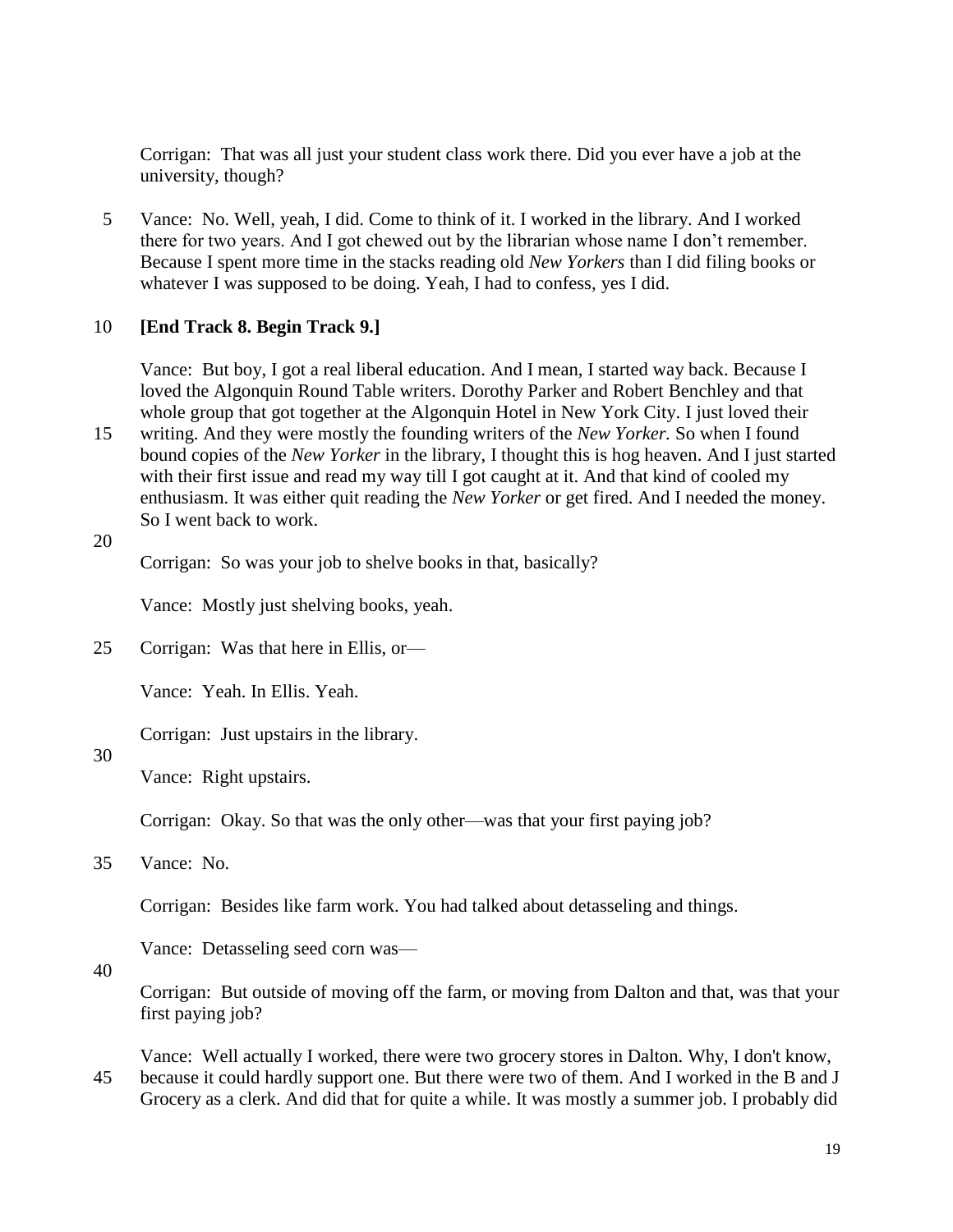Corrigan: That was all just your student class work there. Did you ever have a job at the university, though?

5 Vance: No. Well, yeah, I did. Come to think of it. I worked in the library. And I worked there for two years. And I got chewed out by the librarian whose name I don't remember. Because I spent more time in the stacks reading old *New Yorkers* than I did filing books or whatever I was supposed to be doing. Yeah, I had to confess, yes I did.

## 10 **[End Track 8. Begin Track 9.]**

Vance: But boy, I got a real liberal education. And I mean, I started way back. Because I loved the Algonquin Round Table writers. Dorothy Parker and Robert Benchley and that whole group that got together at the Algonquin Hotel in New York City. I just loved their

- 15 writing. And they were mostly the founding writers of the *New Yorker.* So when I found bound copies of the *New Yorker* in the library, I thought this is hog heaven. And I just started with their first issue and read my way till I got caught at it. And that kind of cooled my enthusiasm. It was either quit reading the *New Yorker* or get fired. And I needed the money. So I went back to work.
- 20

Corrigan: So was your job to shelve books in that, basically?

Vance: Mostly just shelving books, yeah.

25 Corrigan: Was that here in Ellis, or—

Vance: Yeah. In Ellis. Yeah.

Corrigan: Just upstairs in the library.

# 30

Vance: Right upstairs.

Corrigan: Okay. So that was the only other—was that your first paying job?

35 Vance: No.

Corrigan: Besides like farm work. You had talked about detasseling and things.

Vance: Detasseling seed corn was—

40

Corrigan: But outside of moving off the farm, or moving from Dalton and that, was that your first paying job?

Vance: Well actually I worked, there were two grocery stores in Dalton. Why, I don't know, 45 because it could hardly support one. But there were two of them. And I worked in the B and J Grocery as a clerk. And did that for quite a while. It was mostly a summer job. I probably did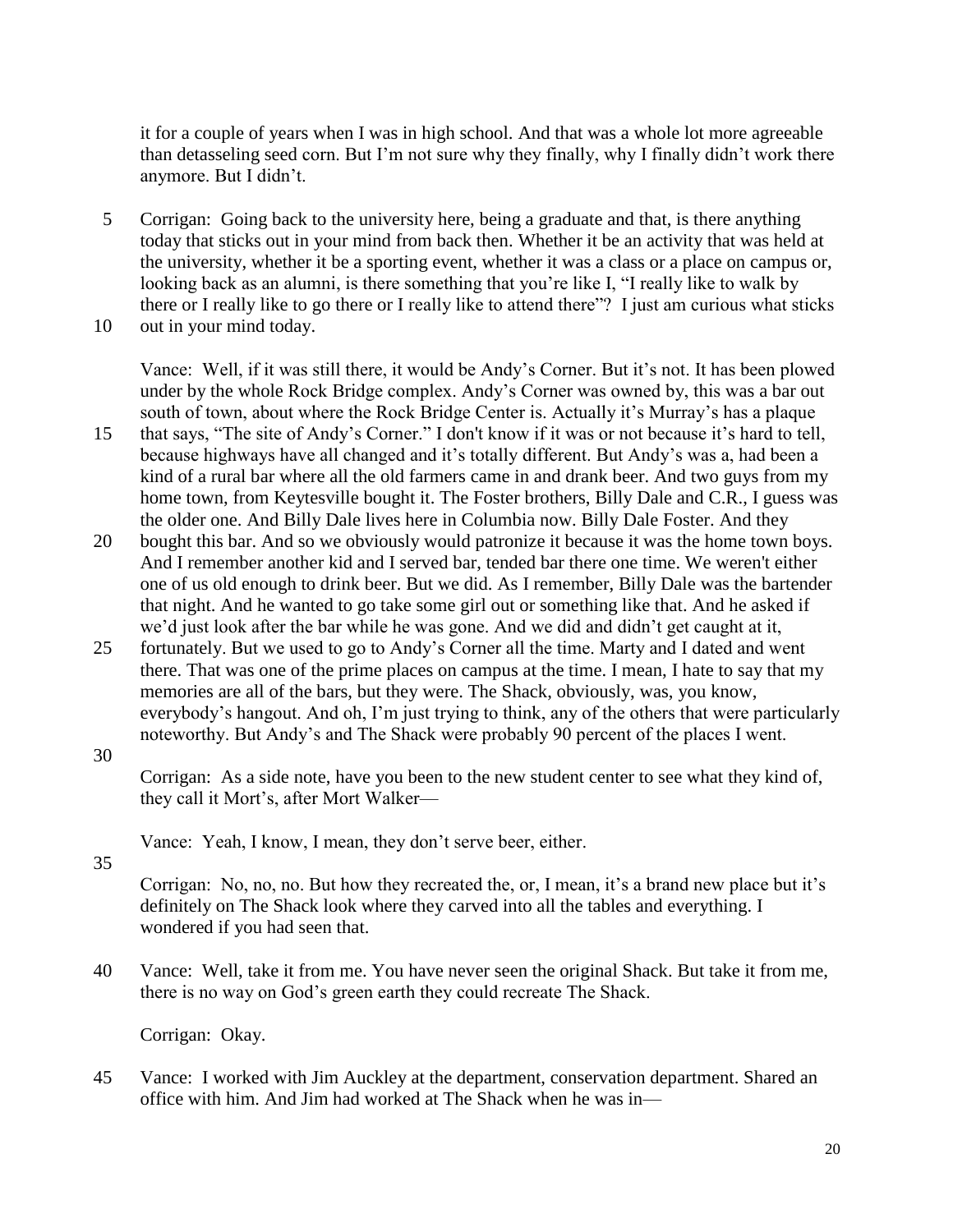it for a couple of years when I was in high school. And that was a whole lot more agreeable than detasseling seed corn. But I'm not sure why they finally, why I finally didn't work there anymore. But I didn't.

5 Corrigan: Going back to the university here, being a graduate and that, is there anything today that sticks out in your mind from back then. Whether it be an activity that was held at the university, whether it be a sporting event, whether it was a class or a place on campus or, looking back as an alumni, is there something that you're like I, "I really like to walk by there or I really like to go there or I really like to attend there"? I just am curious what sticks

10 out in your mind today.

Vance: Well, if it was still there, it would be Andy's Corner. But it's not. It has been plowed under by the whole Rock Bridge complex. Andy's Corner was owned by, this was a bar out south of town, about where the Rock Bridge Center is. Actually it's Murray's has a plaque

- 15 that says, "The site of Andy's Corner." I don't know if it was or not because it's hard to tell, because highways have all changed and it's totally different. But Andy's was a, had been a kind of a rural bar where all the old farmers came in and drank beer. And two guys from my home town, from Keytesville bought it. The Foster brothers, Billy Dale and C.R., I guess was the older one. And Billy Dale lives here in Columbia now. Billy Dale Foster. And they
- 20 bought this bar. And so we obviously would patronize it because it was the home town boys. And I remember another kid and I served bar, tended bar there one time. We weren't either one of us old enough to drink beer. But we did. As I remember, Billy Dale was the bartender that night. And he wanted to go take some girl out or something like that. And he asked if we'd just look after the bar while he was gone. And we did and didn't get caught at it,
- 25 fortunately. But we used to go to Andy's Corner all the time. Marty and I dated and went there. That was one of the prime places on campus at the time. I mean, I hate to say that my memories are all of the bars, but they were. The Shack, obviously, was, you know, everybody's hangout. And oh, I'm just trying to think, any of the others that were particularly noteworthy. But Andy's and The Shack were probably 90 percent of the places I went.
- 30

Corrigan: As a side note, have you been to the new student center to see what they kind of, they call it Mort's, after Mort Walker—

Vance: Yeah, I know, I mean, they don't serve beer, either.

35

Corrigan: No, no, no. But how they recreated the, or, I mean, it's a brand new place but it's definitely on The Shack look where they carved into all the tables and everything. I wondered if you had seen that.

40 Vance: Well, take it from me. You have never seen the original Shack. But take it from me, there is no way on God's green earth they could recreate The Shack.

Corrigan: Okay.

45 Vance: I worked with Jim Auckley at the department, conservation department. Shared an office with him. And Jim had worked at The Shack when he was in—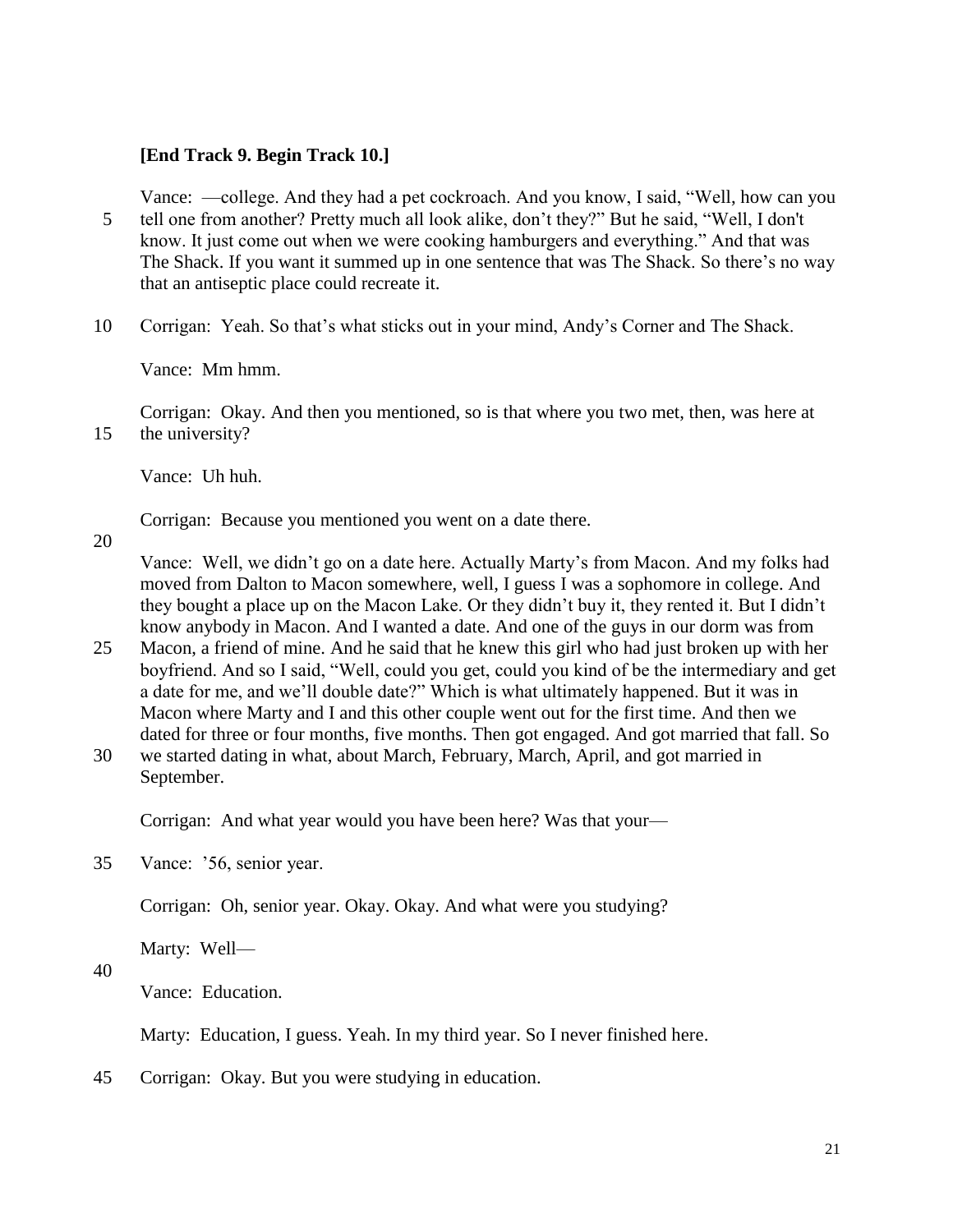## **[End Track 9. Begin Track 10.]**

Vance: —college. And they had a pet cockroach. And you know, I said, "Well, how can you 5 tell one from another? Pretty much all look alike, don't they?" But he said, "Well, I don't know. It just come out when we were cooking hamburgers and everything." And that was The Shack. If you want it summed up in one sentence that was The Shack. So there's no way that an antiseptic place could recreate it.

10 Corrigan: Yeah. So that's what sticks out in your mind, Andy's Corner and The Shack.

Vance: Mm hmm.

Corrigan: Okay. And then you mentioned, so is that where you two met, then, was here at 15 the university?

Vance: Uh huh.

Corrigan: Because you mentioned you went on a date there.

20

Vance: Well, we didn't go on a date here. Actually Marty's from Macon. And my folks had moved from Dalton to Macon somewhere, well, I guess I was a sophomore in college. And they bought a place up on the Macon Lake. Or they didn't buy it, they rented it. But I didn't know anybody in Macon. And I wanted a date. And one of the guys in our dorm was from

- 25 Macon, a friend of mine. And he said that he knew this girl who had just broken up with her boyfriend. And so I said, "Well, could you get, could you kind of be the intermediary and get a date for me, and we'll double date?" Which is what ultimately happened. But it was in Macon where Marty and I and this other couple went out for the first time. And then we dated for three or four months, five months. Then got engaged. And got married that fall. So
- 30 we started dating in what, about March, February, March, April, and got married in September.

Corrigan: And what year would you have been here? Was that your—

35 Vance: '56, senior year.

Corrigan: Oh, senior year. Okay. Okay. And what were you studying?

Marty: Well—

40

Vance: Education.

Marty: Education, I guess. Yeah. In my third year. So I never finished here.

45 Corrigan: Okay. But you were studying in education.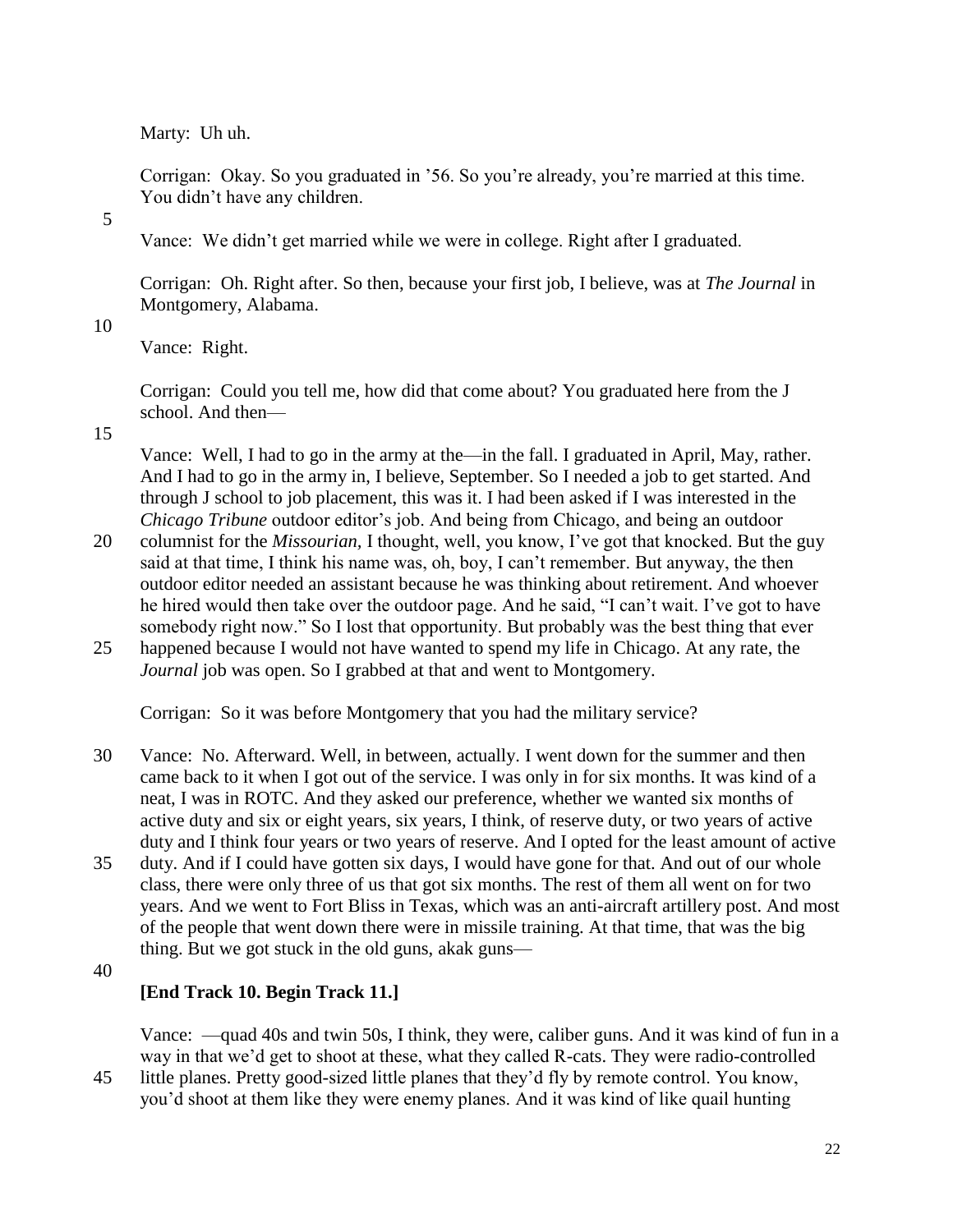Marty: Uh uh.

Corrigan: Okay. So you graduated in '56. So you're already, you're married at this time. You didn't have any children.

5

Vance: We didn't get married while we were in college. Right after I graduated.

Corrigan: Oh. Right after. So then, because your first job, I believe, was at *The Journal* in Montgomery, Alabama.

10

Vance: Right.

Corrigan: Could you tell me, how did that come about? You graduated here from the J school. And then—

15

Vance: Well, I had to go in the army at the—in the fall. I graduated in April, May, rather. And I had to go in the army in, I believe, September. So I needed a job to get started. And through J school to job placement, this was it. I had been asked if I was interested in the *Chicago Tribune* outdoor editor's job. And being from Chicago, and being an outdoor

- 20 columnist for the *Missourian,* I thought, well, you know, I've got that knocked. But the guy said at that time, I think his name was, oh, boy, I can't remember. But anyway, the then outdoor editor needed an assistant because he was thinking about retirement. And whoever he hired would then take over the outdoor page. And he said, "I can't wait. I've got to have somebody right now." So I lost that opportunity. But probably was the best thing that ever
- 25 happened because I would not have wanted to spend my life in Chicago. At any rate, the *Journal* job was open. So I grabbed at that and went to Montgomery.

Corrigan: So it was before Montgomery that you had the military service?

- 30 Vance: No. Afterward. Well, in between, actually. I went down for the summer and then came back to it when I got out of the service. I was only in for six months. It was kind of a neat, I was in ROTC. And they asked our preference, whether we wanted six months of active duty and six or eight years, six years, I think, of reserve duty, or two years of active duty and I think four years or two years of reserve. And I opted for the least amount of active
- 35 duty. And if I could have gotten six days, I would have gone for that. And out of our whole class, there were only three of us that got six months. The rest of them all went on for two years. And we went to Fort Bliss in Texas, which was an anti-aircraft artillery post. And most of the people that went down there were in missile training. At that time, that was the big thing. But we got stuck in the old guns, akak guns—
- 40

# **[End Track 10. Begin Track 11.]**

Vance: —quad 40s and twin 50s, I think, they were, caliber guns. And it was kind of fun in a way in that we'd get to shoot at these, what they called R-cats. They were radio-controlled

45 little planes. Pretty good-sized little planes that they'd fly by remote control. You know, you'd shoot at them like they were enemy planes. And it was kind of like quail hunting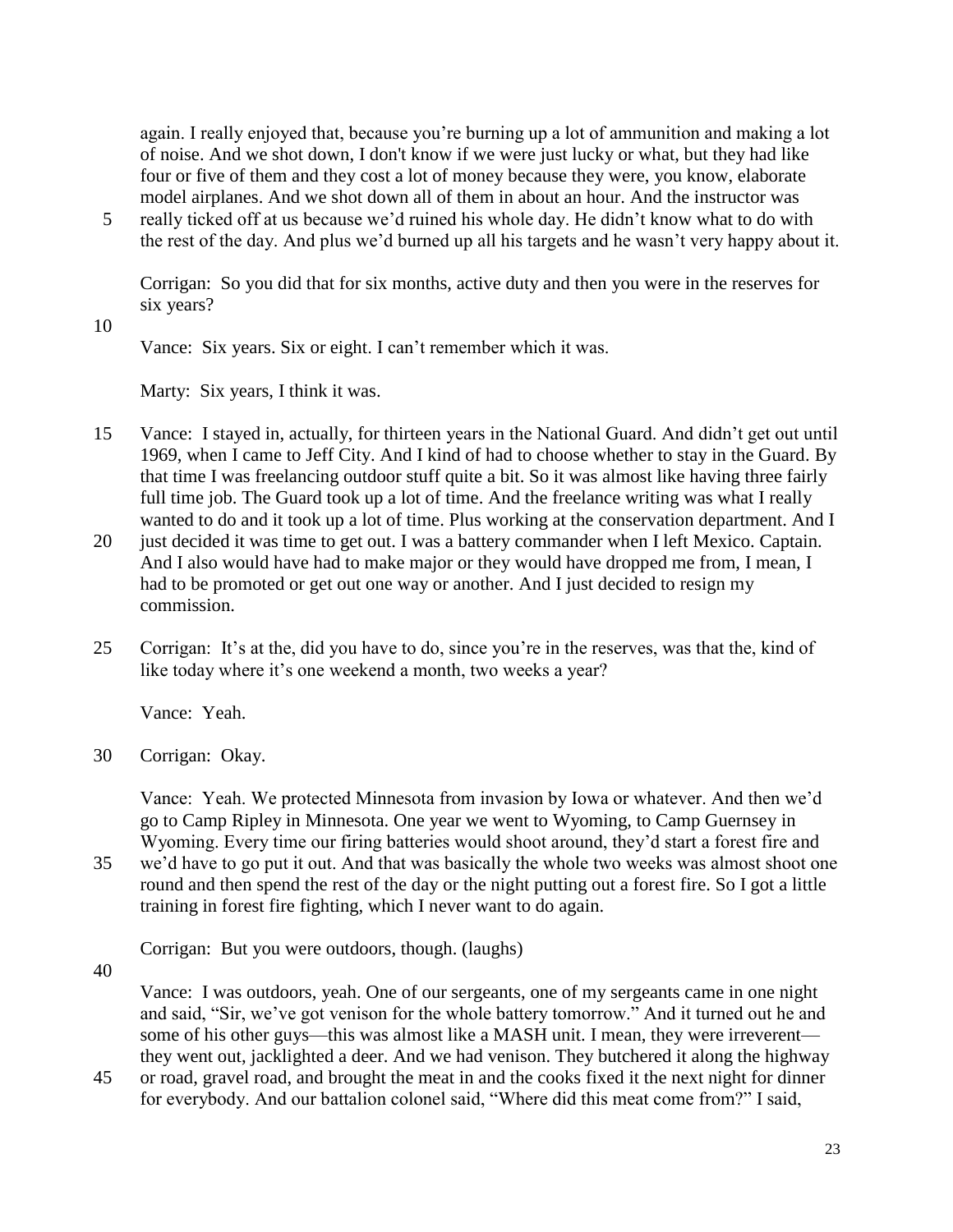again. I really enjoyed that, because you're burning up a lot of ammunition and making a lot of noise. And we shot down, I don't know if we were just lucky or what, but they had like four or five of them and they cost a lot of money because they were, you know, elaborate model airplanes. And we shot down all of them in about an hour. And the instructor was

5 really ticked off at us because we'd ruined his whole day. He didn't know what to do with the rest of the day. And plus we'd burned up all his targets and he wasn't very happy about it.

Corrigan: So you did that for six months, active duty and then you were in the reserves for six years?

10

Vance: Six years. Six or eight. I can't remember which it was.

Marty: Six years, I think it was.

- 15 Vance: I stayed in, actually, for thirteen years in the National Guard. And didn't get out until 1969, when I came to Jeff City. And I kind of had to choose whether to stay in the Guard. By that time I was freelancing outdoor stuff quite a bit. So it was almost like having three fairly full time job. The Guard took up a lot of time. And the freelance writing was what I really wanted to do and it took up a lot of time. Plus working at the conservation department. And I
- 20 just decided it was time to get out. I was a battery commander when I left Mexico. Captain. And I also would have had to make major or they would have dropped me from, I mean, I had to be promoted or get out one way or another. And I just decided to resign my commission.
- 25 Corrigan: It's at the, did you have to do, since you're in the reserves, was that the, kind of like today where it's one weekend a month, two weeks a year?

Vance: Yeah.

30 Corrigan: Okay.

Vance: Yeah. We protected Minnesota from invasion by Iowa or whatever. And then we'd go to Camp Ripley in Minnesota. One year we went to Wyoming, to Camp Guernsey in Wyoming. Every time our firing batteries would shoot around, they'd start a forest fire and

35 we'd have to go put it out. And that was basically the whole two weeks was almost shoot one round and then spend the rest of the day or the night putting out a forest fire. So I got a little training in forest fire fighting, which I never want to do again.

Corrigan: But you were outdoors, though. (laughs)

40

Vance: I was outdoors, yeah. One of our sergeants, one of my sergeants came in one night and said, "Sir, we've got venison for the whole battery tomorrow." And it turned out he and some of his other guys—this was almost like a MASH unit. I mean, they were irreverent they went out, jacklighted a deer. And we had venison. They butchered it along the highway

45 or road, gravel road, and brought the meat in and the cooks fixed it the next night for dinner for everybody. And our battalion colonel said, "Where did this meat come from?" I said,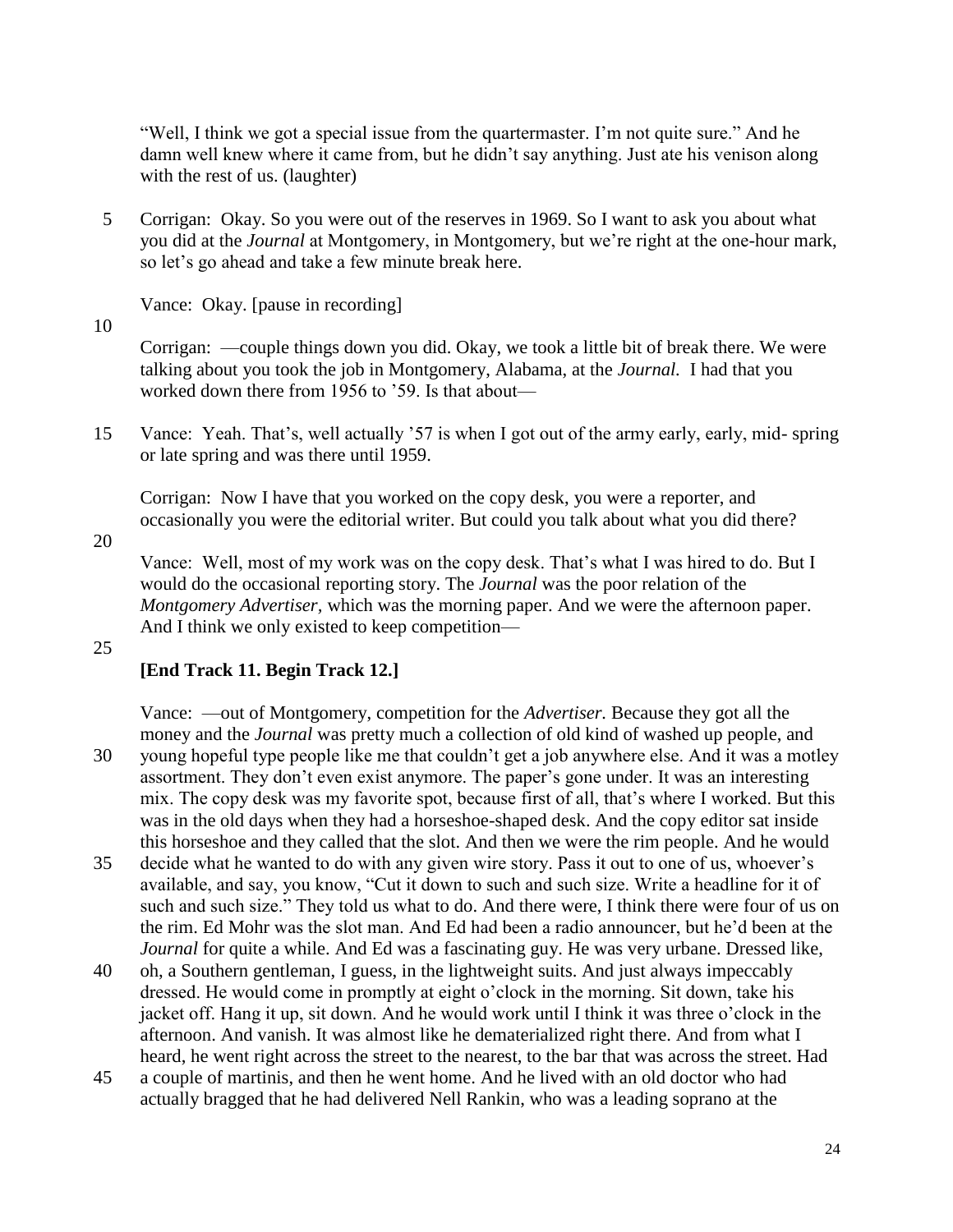"Well, I think we got a special issue from the quartermaster. I'm not quite sure." And he damn well knew where it came from, but he didn't say anything. Just ate his venison along with the rest of us. (laughter)

5 Corrigan: Okay. So you were out of the reserves in 1969. So I want to ask you about what you did at the *Journal* at Montgomery, in Montgomery, but we're right at the one-hour mark, so let's go ahead and take a few minute break here.

Vance: Okay. [pause in recording]

10

Corrigan: —couple things down you did. Okay, we took a little bit of break there. We were talking about you took the job in Montgomery, Alabama, at the *Journal.* I had that you worked down there from 1956 to '59. Is that about—

15 Vance: Yeah. That's, well actually '57 is when I got out of the army early, early, mid- spring or late spring and was there until 1959.

Corrigan: Now I have that you worked on the copy desk, you were a reporter, and occasionally you were the editorial writer. But could you talk about what you did there?

20

Vance: Well, most of my work was on the copy desk. That's what I was hired to do. But I would do the occasional reporting story. The *Journal* was the poor relation of the *Montgomery Advertiser,* which was the morning paper. And we were the afternoon paper. And I think we only existed to keep competition—

#### 25

## **[End Track 11. Begin Track 12.]**

Vance: —out of Montgomery, competition for the *Advertiser.* Because they got all the money and the *Journal* was pretty much a collection of old kind of washed up people, and 30 young hopeful type people like me that couldn't get a job anywhere else. And it was a motley assortment. They don't even exist anymore. The paper's gone under. It was an interesting mix. The copy desk was my favorite spot, because first of all, that's where I worked. But this was in the old days when they had a horseshoe-shaped desk. And the copy editor sat inside this horseshoe and they called that the slot. And then we were the rim people. And he would

- 35 decide what he wanted to do with any given wire story. Pass it out to one of us, whoever's available, and say, you know, "Cut it down to such and such size. Write a headline for it of such and such size." They told us what to do. And there were, I think there were four of us on the rim. Ed Mohr was the slot man. And Ed had been a radio announcer, but he'd been at the *Journal* for quite a while. And Ed was a fascinating guy. He was very urbane. Dressed like,
- 40 oh, a Southern gentleman, I guess, in the lightweight suits. And just always impeccably dressed. He would come in promptly at eight o'clock in the morning. Sit down, take his jacket off. Hang it up, sit down. And he would work until I think it was three o'clock in the afternoon. And vanish. It was almost like he dematerialized right there. And from what I heard, he went right across the street to the nearest, to the bar that was across the street. Had
- 45 a couple of martinis, and then he went home. And he lived with an old doctor who had actually bragged that he had delivered Nell Rankin, who was a leading soprano at the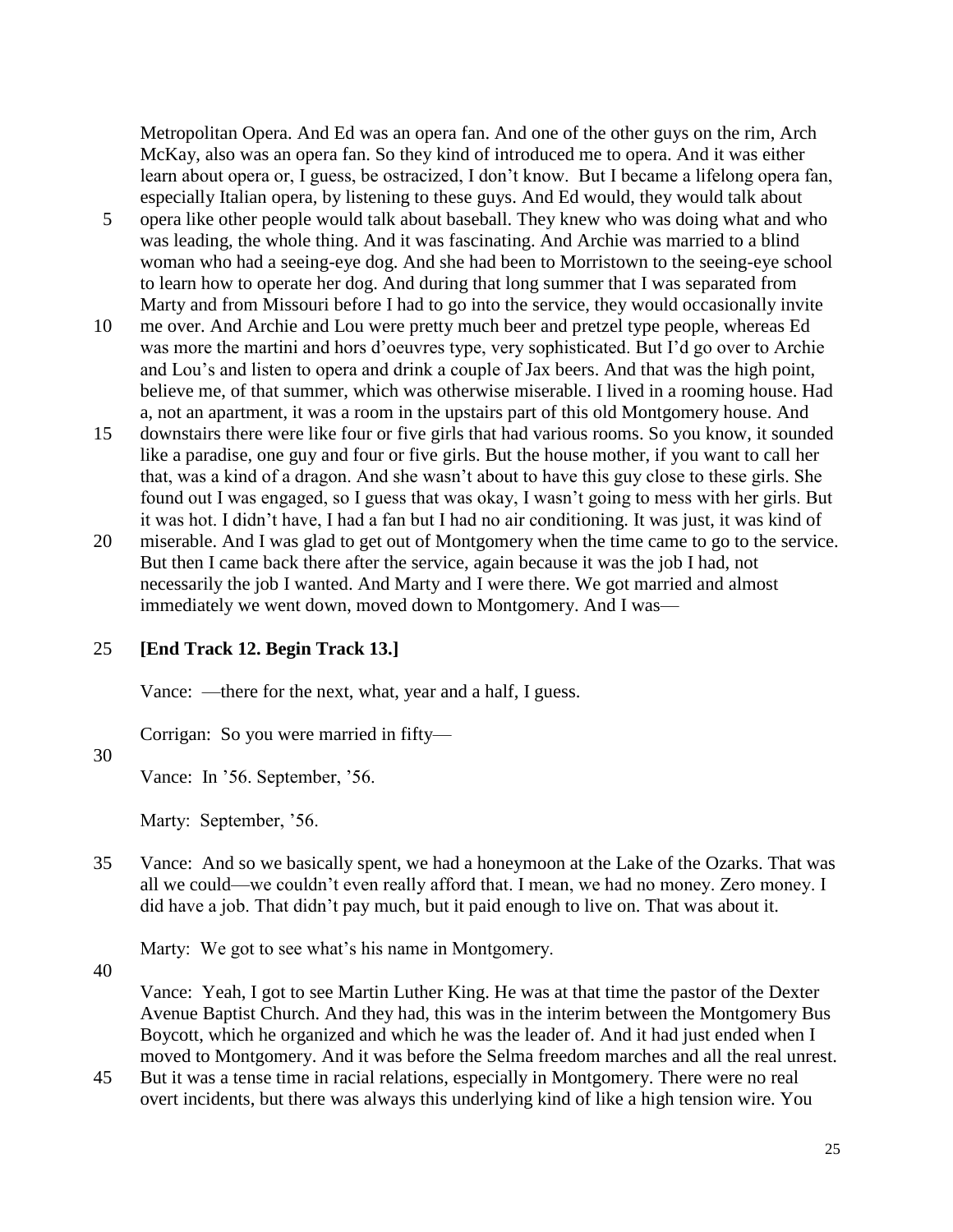Metropolitan Opera. And Ed was an opera fan. And one of the other guys on the rim, Arch McKay, also was an opera fan. So they kind of introduced me to opera. And it was either learn about opera or, I guess, be ostracized, I don't know. But I became a lifelong opera fan, especially Italian opera, by listening to these guys. And Ed would, they would talk about

- 5 opera like other people would talk about baseball. They knew who was doing what and who was leading, the whole thing. And it was fascinating. And Archie was married to a blind woman who had a seeing-eye dog. And she had been to Morristown to the seeing-eye school to learn how to operate her dog. And during that long summer that I was separated from Marty and from Missouri before I had to go into the service, they would occasionally invite
- 10 me over. And Archie and Lou were pretty much beer and pretzel type people, whereas Ed was more the martini and hors d'oeuvres type, very sophisticated. But I'd go over to Archie and Lou's and listen to opera and drink a couple of Jax beers. And that was the high point, believe me, of that summer, which was otherwise miserable. I lived in a rooming house. Had a, not an apartment, it was a room in the upstairs part of this old Montgomery house. And
- 15 downstairs there were like four or five girls that had various rooms. So you know, it sounded like a paradise, one guy and four or five girls. But the house mother, if you want to call her that, was a kind of a dragon. And she wasn't about to have this guy close to these girls. She found out I was engaged, so I guess that was okay, I wasn't going to mess with her girls. But it was hot. I didn't have, I had a fan but I had no air conditioning. It was just, it was kind of
- 20 miserable. And I was glad to get out of Montgomery when the time came to go to the service. But then I came back there after the service, again because it was the job I had, not necessarily the job I wanted. And Marty and I were there. We got married and almost immediately we went down, moved down to Montgomery. And I was—

#### 25 **[End Track 12. Begin Track 13.]**

Vance: —there for the next, what, year and a half, I guess.

Corrigan: So you were married in fifty—

## 30

Vance: In '56. September, '56.

Marty: September, '56.

35 Vance: And so we basically spent, we had a honeymoon at the Lake of the Ozarks. That was all we could—we couldn't even really afford that. I mean, we had no money. Zero money. I did have a job. That didn't pay much, but it paid enough to live on. That was about it.

Marty: We got to see what's his name in Montgomery.

40

Vance: Yeah, I got to see Martin Luther King. He was at that time the pastor of the Dexter Avenue Baptist Church. And they had, this was in the interim between the Montgomery Bus Boycott, which he organized and which he was the leader of. And it had just ended when I moved to Montgomery. And it was before the Selma freedom marches and all the real unrest.

45 But it was a tense time in racial relations, especially in Montgomery. There were no real overt incidents, but there was always this underlying kind of like a high tension wire. You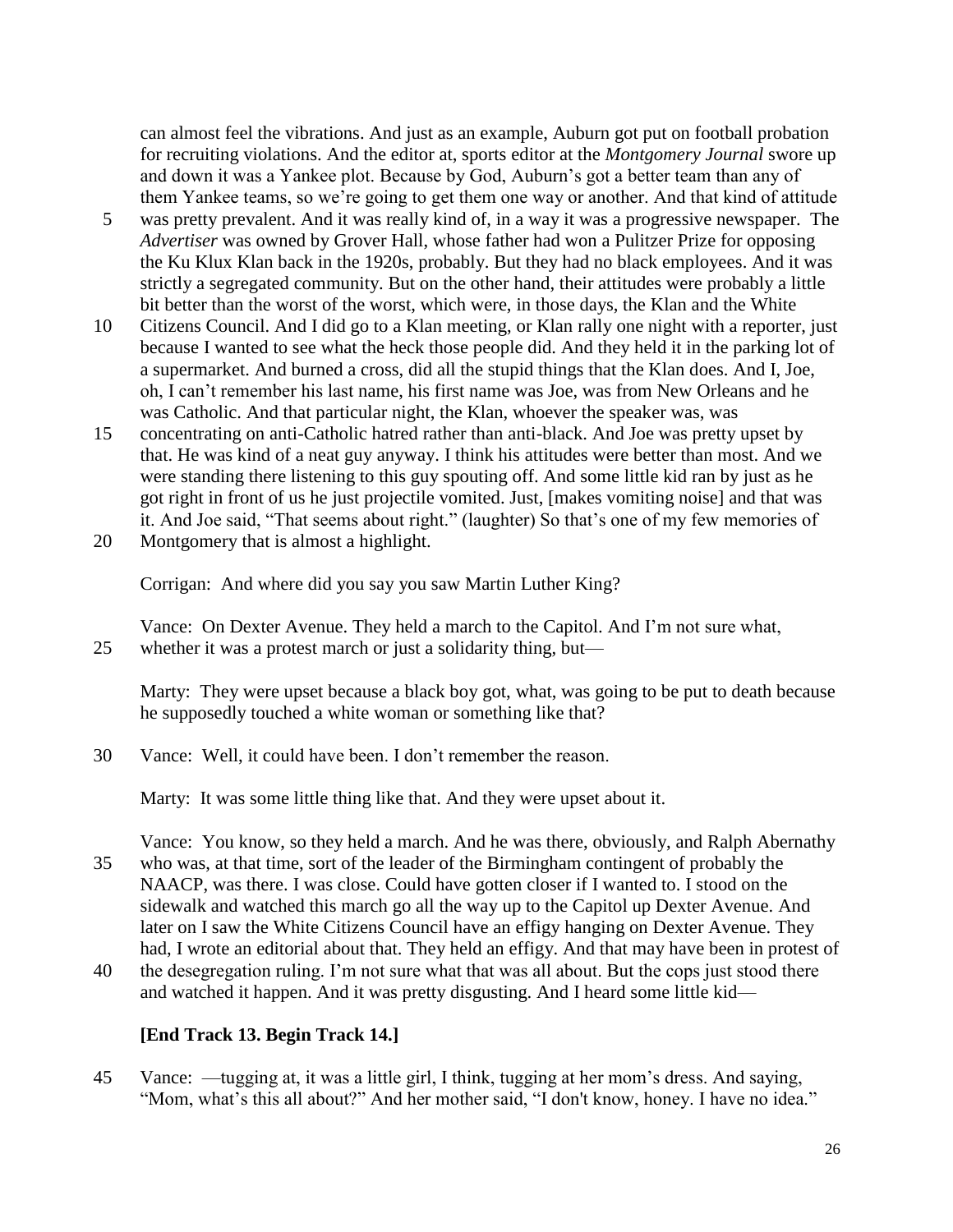can almost feel the vibrations. And just as an example, Auburn got put on football probation for recruiting violations. And the editor at, sports editor at the *Montgomery Journal* swore up and down it was a Yankee plot. Because by God, Auburn's got a better team than any of them Yankee teams, so we're going to get them one way or another. And that kind of attitude

- 5 was pretty prevalent. And it was really kind of, in a way it was a progressive newspaper. The *Advertiser* was owned by Grover Hall, whose father had won a Pulitzer Prize for opposing the Ku Klux Klan back in the 1920s, probably. But they had no black employees. And it was strictly a segregated community. But on the other hand, their attitudes were probably a little bit better than the worst of the worst, which were, in those days, the Klan and the White
- 10 Citizens Council. And I did go to a Klan meeting, or Klan rally one night with a reporter, just because I wanted to see what the heck those people did. And they held it in the parking lot of a supermarket. And burned a cross, did all the stupid things that the Klan does. And I, Joe, oh, I can't remember his last name, his first name was Joe, was from New Orleans and he was Catholic. And that particular night, the Klan, whoever the speaker was, was
- 15 concentrating on anti-Catholic hatred rather than anti-black. And Joe was pretty upset by that. He was kind of a neat guy anyway. I think his attitudes were better than most. And we were standing there listening to this guy spouting off. And some little kid ran by just as he got right in front of us he just projectile vomited. Just, [makes vomiting noise] and that was it. And Joe said, "That seems about right." (laughter) So that's one of my few memories of
- 20 Montgomery that is almost a highlight.

Corrigan: And where did you say you saw Martin Luther King?

Vance: On Dexter Avenue. They held a march to the Capitol. And I'm not sure what, 25 whether it was a protest march or just a solidarity thing, but—

Marty: They were upset because a black boy got, what, was going to be put to death because he supposedly touched a white woman or something like that?

30 Vance: Well, it could have been. I don't remember the reason.

Marty: It was some little thing like that. And they were upset about it.

Vance: You know, so they held a march. And he was there, obviously, and Ralph Abernathy 35 who was, at that time, sort of the leader of the Birmingham contingent of probably the NAACP, was there. I was close. Could have gotten closer if I wanted to. I stood on the sidewalk and watched this march go all the way up to the Capitol up Dexter Avenue. And later on I saw the White Citizens Council have an effigy hanging on Dexter Avenue. They had, I wrote an editorial about that. They held an effigy. And that may have been in protest of

40 the desegregation ruling. I'm not sure what that was all about. But the cops just stood there and watched it happen. And it was pretty disgusting. And I heard some little kid—

## **[End Track 13. Begin Track 14.]**

45 Vance: —tugging at, it was a little girl, I think, tugging at her mom's dress. And saying, "Mom, what's this all about?" And her mother said, "I don't know, honey. I have no idea."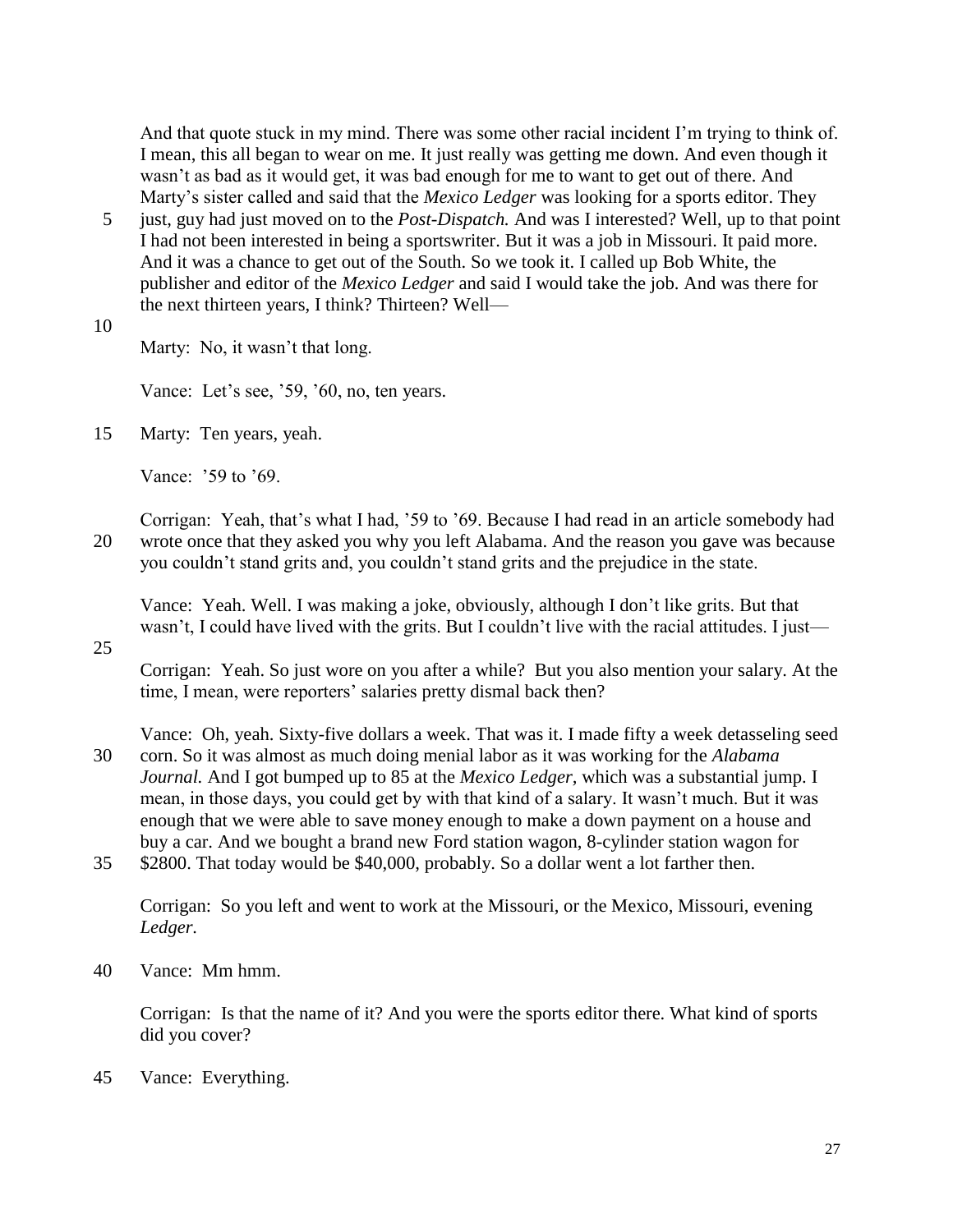And that quote stuck in my mind. There was some other racial incident I'm trying to think of. I mean, this all began to wear on me. It just really was getting me down. And even though it wasn't as bad as it would get, it was bad enough for me to want to get out of there. And Marty's sister called and said that the *Mexico Ledger* was looking for a sports editor. They

- 5 just, guy had just moved on to the *Post-Dispatch.* And was I interested? Well, up to that point I had not been interested in being a sportswriter. But it was a job in Missouri. It paid more. And it was a chance to get out of the South. So we took it. I called up Bob White, the publisher and editor of the *Mexico Ledger* and said I would take the job. And was there for the next thirteen years, I think? Thirteen? Well—
- 10

Marty: No, it wasn't that long.

Vance: Let's see, '59, '60, no, ten years.

15 Marty: Ten years, yeah.

Vance: '59 to '69.

Corrigan: Yeah, that's what I had, '59 to '69. Because I had read in an article somebody had 20 wrote once that they asked you why you left Alabama. And the reason you gave was because you couldn't stand grits and, you couldn't stand grits and the prejudice in the state.

Vance: Yeah. Well. I was making a joke, obviously, although I don't like grits. But that wasn't, I could have lived with the grits. But I couldn't live with the racial attitudes. I just—

25

Corrigan: Yeah. So just wore on you after a while? But you also mention your salary. At the time, I mean, were reporters' salaries pretty dismal back then?

Vance: Oh, yeah. Sixty-five dollars a week. That was it. I made fifty a week detasseling seed

- 30 corn. So it was almost as much doing menial labor as it was working for the *Alabama Journal.* And I got bumped up to 85 at the *Mexico Ledger,* which was a substantial jump. I mean, in those days, you could get by with that kind of a salary. It wasn't much. But it was enough that we were able to save money enough to make a down payment on a house and buy a car. And we bought a brand new Ford station wagon, 8-cylinder station wagon for
- 35 \$2800. That today would be \$40,000, probably. So a dollar went a lot farther then.

Corrigan: So you left and went to work at the Missouri, or the Mexico, Missouri, evening *Ledger.*

40 Vance: Mm hmm.

Corrigan: Is that the name of it? And you were the sports editor there. What kind of sports did you cover?

45 Vance: Everything.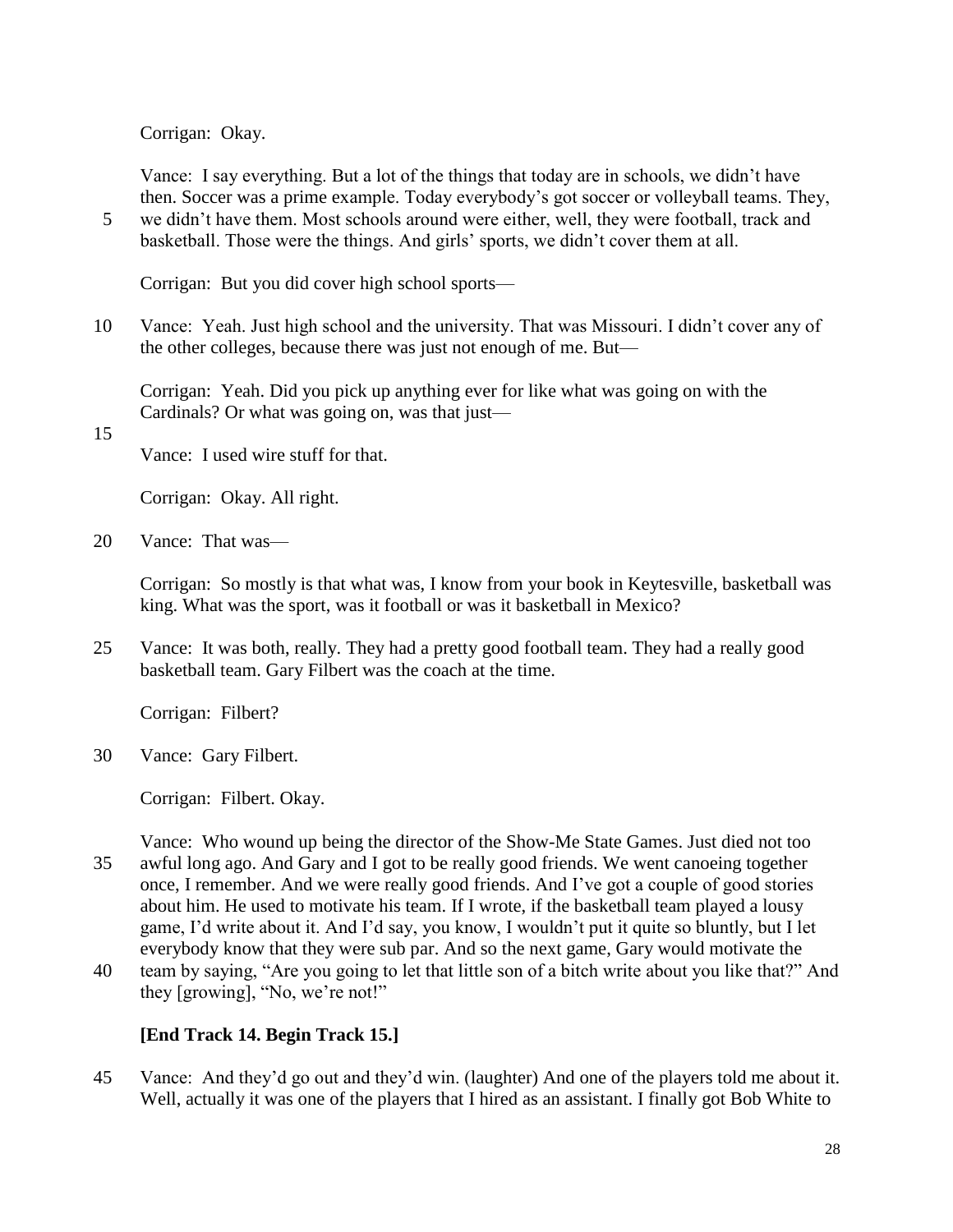Corrigan: Okay.

Vance: I say everything. But a lot of the things that today are in schools, we didn't have then. Soccer was a prime example. Today everybody's got soccer or volleyball teams. They,

5 we didn't have them. Most schools around were either, well, they were football, track and basketball. Those were the things. And girls' sports, we didn't cover them at all.

Corrigan: But you did cover high school sports—

10 Vance: Yeah. Just high school and the university. That was Missouri. I didn't cover any of the other colleges, because there was just not enough of me. But—

Corrigan: Yeah. Did you pick up anything ever for like what was going on with the Cardinals? Or what was going on, was that just—

15

Vance: I used wire stuff for that.

Corrigan: Okay. All right.

20 Vance: That was—

Corrigan: So mostly is that what was, I know from your book in Keytesville, basketball was king. What was the sport, was it football or was it basketball in Mexico?

25 Vance: It was both, really. They had a pretty good football team. They had a really good basketball team. Gary Filbert was the coach at the time.

Corrigan: Filbert?

30 Vance: Gary Filbert.

Corrigan: Filbert. Okay.

Vance: Who wound up being the director of the Show-Me State Games. Just died not too 35 awful long ago. And Gary and I got to be really good friends. We went canoeing together once, I remember. And we were really good friends. And I've got a couple of good stories about him. He used to motivate his team. If I wrote, if the basketball team played a lousy game, I'd write about it. And I'd say, you know, I wouldn't put it quite so bluntly, but I let everybody know that they were sub par. And so the next game, Gary would motivate the

40 team by saying, "Are you going to let that little son of a bitch write about you like that?" And they [growing], "No, we're not!"

## **[End Track 14. Begin Track 15.]**

45 Vance: And they'd go out and they'd win. (laughter) And one of the players told me about it. Well, actually it was one of the players that I hired as an assistant. I finally got Bob White to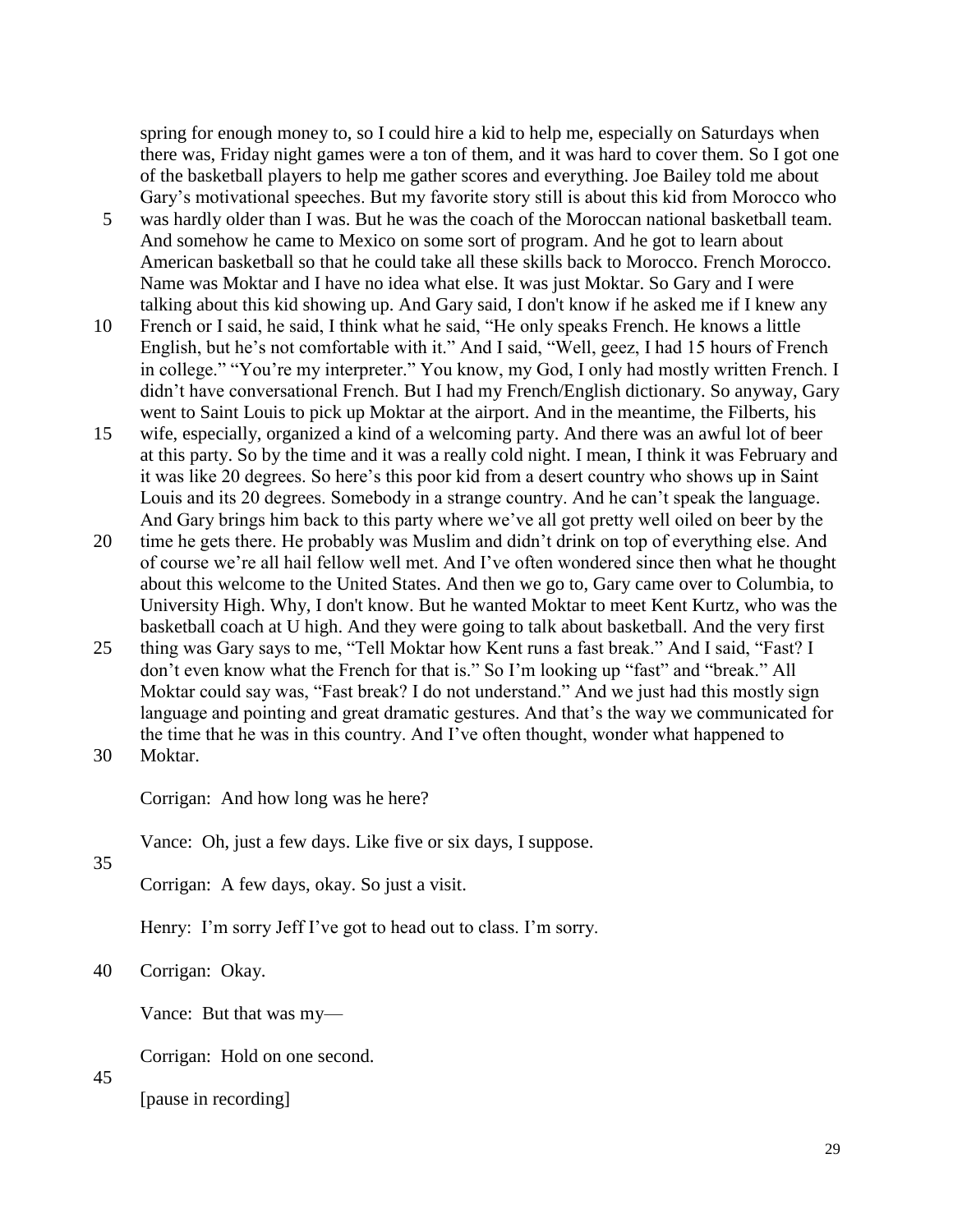spring for enough money to, so I could hire a kid to help me, especially on Saturdays when there was, Friday night games were a ton of them, and it was hard to cover them. So I got one of the basketball players to help me gather scores and everything. Joe Bailey told me about Gary's motivational speeches. But my favorite story still is about this kid from Morocco who

- 5 was hardly older than I was. But he was the coach of the Moroccan national basketball team. And somehow he came to Mexico on some sort of program. And he got to learn about American basketball so that he could take all these skills back to Morocco. French Morocco. Name was Moktar and I have no idea what else. It was just Moktar. So Gary and I were talking about this kid showing up. And Gary said, I don't know if he asked me if I knew any
- 10 French or I said, he said, I think what he said, "He only speaks French. He knows a little English, but he's not comfortable with it." And I said, "Well, geez, I had 15 hours of French in college." "You're my interpreter." You know, my God, I only had mostly written French. I didn't have conversational French. But I had my French/English dictionary. So anyway, Gary went to Saint Louis to pick up Moktar at the airport. And in the meantime, the Filberts, his
- 15 wife, especially, organized a kind of a welcoming party. And there was an awful lot of beer at this party. So by the time and it was a really cold night. I mean, I think it was February and it was like 20 degrees. So here's this poor kid from a desert country who shows up in Saint Louis and its 20 degrees. Somebody in a strange country. And he can't speak the language. And Gary brings him back to this party where we've all got pretty well oiled on beer by the
- 20 time he gets there. He probably was Muslim and didn't drink on top of everything else. And of course we're all hail fellow well met. And I've often wondered since then what he thought about this welcome to the United States. And then we go to, Gary came over to Columbia, to University High. Why, I don't know. But he wanted Moktar to meet Kent Kurtz, who was the basketball coach at U high. And they were going to talk about basketball. And the very first
- 25 thing was Gary says to me, "Tell Moktar how Kent runs a fast break." And I said, "Fast? I don't even know what the French for that is." So I'm looking up "fast" and "break." All Moktar could say was, "Fast break? I do not understand." And we just had this mostly sign language and pointing and great dramatic gestures. And that's the way we communicated for the time that he was in this country. And I've often thought, wonder what happened to 30 Moktar.
- 

Corrigan: And how long was he here?

Vance: Oh, just a few days. Like five or six days, I suppose.

35

Corrigan: A few days, okay. So just a visit.

Henry: I'm sorry Jeff I've got to head out to class. I'm sorry.

#### 40 Corrigan: Okay.

Vance: But that was my—

Corrigan: Hold on one second.

45

[pause in recording]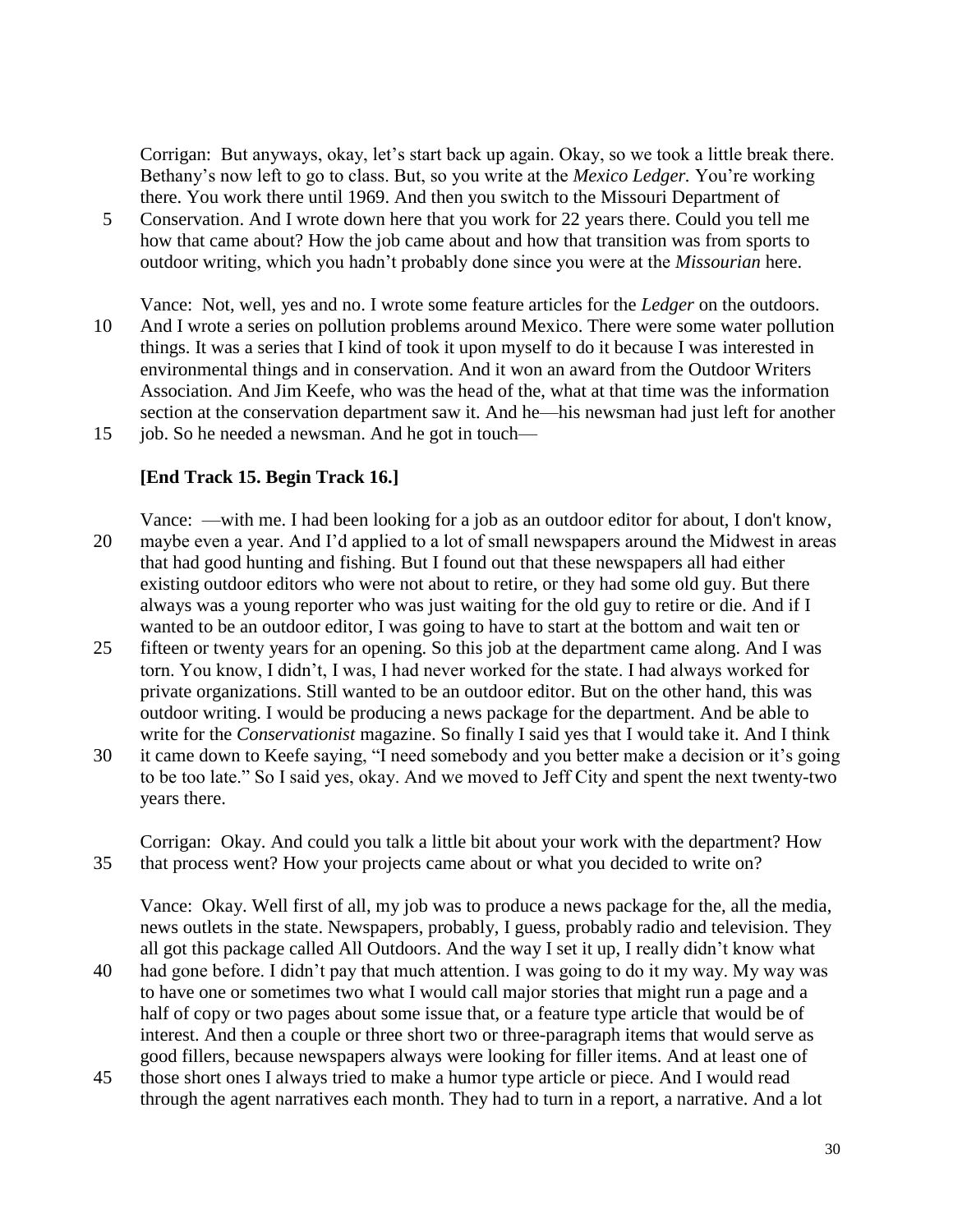Corrigan: But anyways, okay, let's start back up again. Okay, so we took a little break there. Bethany's now left to go to class. But, so you write at the *Mexico Ledger.* You're working there. You work there until 1969. And then you switch to the Missouri Department of

- 5 Conservation. And I wrote down here that you work for 22 years there. Could you tell me how that came about? How the job came about and how that transition was from sports to outdoor writing, which you hadn't probably done since you were at the *Missourian* here.
- Vance: Not, well, yes and no. I wrote some feature articles for the *Ledger* on the outdoors. 10 And I wrote a series on pollution problems around Mexico. There were some water pollution things. It was a series that I kind of took it upon myself to do it because I was interested in environmental things and in conservation. And it won an award from the Outdoor Writers Association. And Jim Keefe, who was the head of the, what at that time was the information section at the conservation department saw it. And he—his newsman had just left for another

15 job. So he needed a newsman. And he got in touch—

#### **[End Track 15. Begin Track 16.]**

Vance: —with me. I had been looking for a job as an outdoor editor for about, I don't know, 20 maybe even a year. And I'd applied to a lot of small newspapers around the Midwest in areas that had good hunting and fishing. But I found out that these newspapers all had either existing outdoor editors who were not about to retire, or they had some old guy. But there always was a young reporter who was just waiting for the old guy to retire or die. And if I wanted to be an outdoor editor, I was going to have to start at the bottom and wait ten or

- 25 fifteen or twenty years for an opening. So this job at the department came along. And I was torn. You know, I didn't, I was, I had never worked for the state. I had always worked for private organizations. Still wanted to be an outdoor editor. But on the other hand, this was outdoor writing. I would be producing a news package for the department. And be able to write for the *Conservationist* magazine. So finally I said yes that I would take it. And I think
- 30 it came down to Keefe saying, "I need somebody and you better make a decision or it's going to be too late." So I said yes, okay. And we moved to Jeff City and spent the next twenty-two years there.

Corrigan: Okay. And could you talk a little bit about your work with the department? How 35 that process went? How your projects came about or what you decided to write on?

Vance: Okay. Well first of all, my job was to produce a news package for the, all the media, news outlets in the state. Newspapers, probably, I guess, probably radio and television. They all got this package called All Outdoors. And the way I set it up, I really didn't know what

- 40 had gone before. I didn't pay that much attention. I was going to do it my way. My way was to have one or sometimes two what I would call major stories that might run a page and a half of copy or two pages about some issue that, or a feature type article that would be of interest. And then a couple or three short two or three-paragraph items that would serve as good fillers, because newspapers always were looking for filler items. And at least one of
- 45 those short ones I always tried to make a humor type article or piece. And I would read through the agent narratives each month. They had to turn in a report, a narrative. And a lot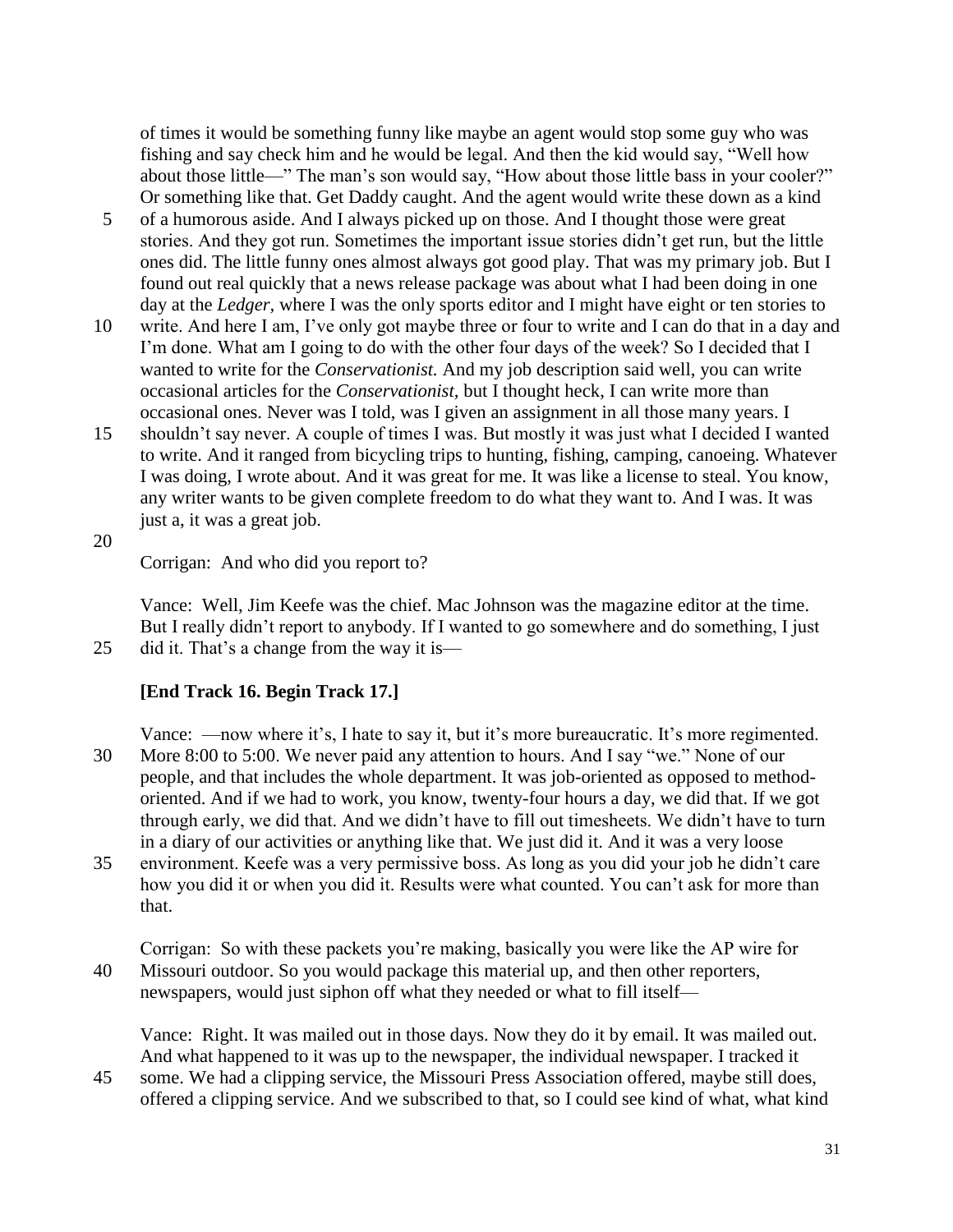of times it would be something funny like maybe an agent would stop some guy who was fishing and say check him and he would be legal. And then the kid would say, "Well how about those little—" The man's son would say, "How about those little bass in your cooler?" Or something like that. Get Daddy caught. And the agent would write these down as a kind

- 5 of a humorous aside. And I always picked up on those. And I thought those were great stories. And they got run. Sometimes the important issue stories didn't get run, but the little ones did. The little funny ones almost always got good play. That was my primary job. But I found out real quickly that a news release package was about what I had been doing in one day at the *Ledger,* where I was the only sports editor and I might have eight or ten stories to
- 10 write. And here I am, I've only got maybe three or four to write and I can do that in a day and I'm done. What am I going to do with the other four days of the week? So I decided that I wanted to write for the *Conservationist.* And my job description said well, you can write occasional articles for the *Conservationist,* but I thought heck, I can write more than occasional ones. Never was I told, was I given an assignment in all those many years. I
- 15 shouldn't say never. A couple of times I was. But mostly it was just what I decided I wanted to write. And it ranged from bicycling trips to hunting, fishing, camping, canoeing. Whatever I was doing, I wrote about. And it was great for me. It was like a license to steal. You know, any writer wants to be given complete freedom to do what they want to. And I was. It was just a, it was a great job.
- 20

Corrigan: And who did you report to?

Vance: Well, Jim Keefe was the chief. Mac Johnson was the magazine editor at the time. But I really didn't report to anybody. If I wanted to go somewhere and do something, I just 25 did it. That's a change from the way it is—

#### **[End Track 16. Begin Track 17.]**

Vance: —now where it's, I hate to say it, but it's more bureaucratic. It's more regimented. 30 More 8:00 to 5:00. We never paid any attention to hours. And I say "we." None of our people, and that includes the whole department. It was job-oriented as opposed to methodoriented. And if we had to work, you know, twenty-four hours a day, we did that. If we got through early, we did that. And we didn't have to fill out timesheets. We didn't have to turn in a diary of our activities or anything like that. We just did it. And it was a very loose

35 environment. Keefe was a very permissive boss. As long as you did your job he didn't care how you did it or when you did it. Results were what counted. You can't ask for more than that.

Corrigan: So with these packets you're making, basically you were like the AP wire for 40 Missouri outdoor. So you would package this material up, and then other reporters, newspapers, would just siphon off what they needed or what to fill itself—

Vance: Right. It was mailed out in those days. Now they do it by email. It was mailed out. And what happened to it was up to the newspaper, the individual newspaper. I tracked it

45 some. We had a clipping service, the Missouri Press Association offered, maybe still does, offered a clipping service. And we subscribed to that, so I could see kind of what, what kind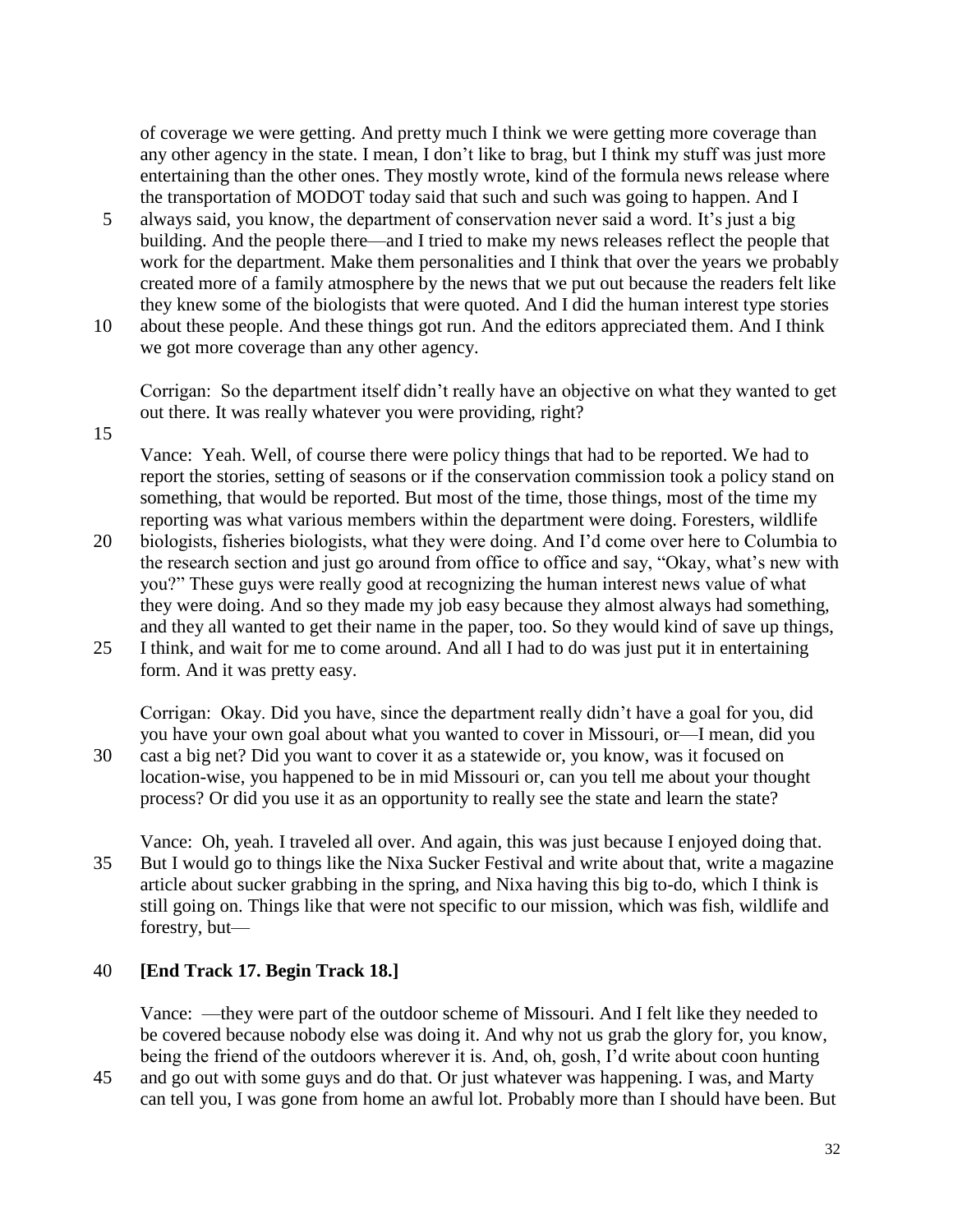of coverage we were getting. And pretty much I think we were getting more coverage than any other agency in the state. I mean, I don't like to brag, but I think my stuff was just more entertaining than the other ones. They mostly wrote, kind of the formula news release where the transportation of MODOT today said that such and such was going to happen. And I

- 5 always said, you know, the department of conservation never said a word. It's just a big building. And the people there—and I tried to make my news releases reflect the people that work for the department. Make them personalities and I think that over the years we probably created more of a family atmosphere by the news that we put out because the readers felt like they knew some of the biologists that were quoted. And I did the human interest type stories
- 10 about these people. And these things got run. And the editors appreciated them. And I think we got more coverage than any other agency.

Corrigan: So the department itself didn't really have an objective on what they wanted to get out there. It was really whatever you were providing, right?

15

Vance: Yeah. Well, of course there were policy things that had to be reported. We had to report the stories, setting of seasons or if the conservation commission took a policy stand on something, that would be reported. But most of the time, those things, most of the time my reporting was what various members within the department were doing. Foresters, wildlife

- 20 biologists, fisheries biologists, what they were doing. And I'd come over here to Columbia to the research section and just go around from office to office and say, "Okay, what's new with you?" These guys were really good at recognizing the human interest news value of what they were doing. And so they made my job easy because they almost always had something, and they all wanted to get their name in the paper, too. So they would kind of save up things,
- 25 I think, and wait for me to come around. And all I had to do was just put it in entertaining form. And it was pretty easy.

Corrigan: Okay. Did you have, since the department really didn't have a goal for you, did you have your own goal about what you wanted to cover in Missouri, or—I mean, did you 30 cast a big net? Did you want to cover it as a statewide or, you know, was it focused on location-wise, you happened to be in mid Missouri or, can you tell me about your thought

- process? Or did you use it as an opportunity to really see the state and learn the state?
- Vance: Oh, yeah. I traveled all over. And again, this was just because I enjoyed doing that. 35 But I would go to things like the Nixa Sucker Festival and write about that, write a magazine article about sucker grabbing in the spring, and Nixa having this big to-do, which I think is still going on. Things like that were not specific to our mission, which was fish, wildlife and forestry, but—

#### 40 **[End Track 17. Begin Track 18.]**

Vance: —they were part of the outdoor scheme of Missouri. And I felt like they needed to be covered because nobody else was doing it. And why not us grab the glory for, you know, being the friend of the outdoors wherever it is. And, oh, gosh, I'd write about coon hunting

45 and go out with some guys and do that. Or just whatever was happening. I was, and Marty can tell you, I was gone from home an awful lot. Probably more than I should have been. But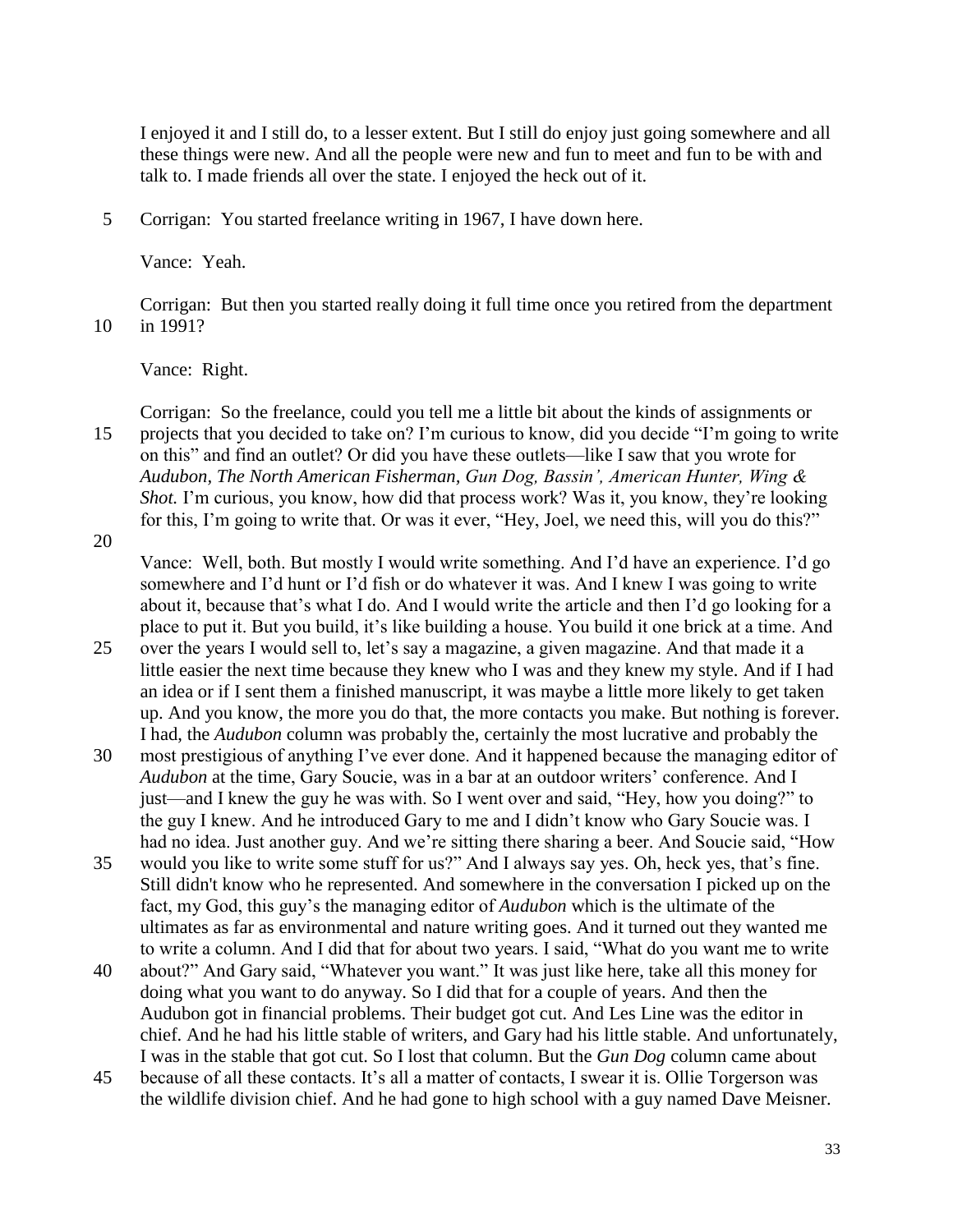I enjoyed it and I still do, to a lesser extent. But I still do enjoy just going somewhere and all these things were new. And all the people were new and fun to meet and fun to be with and talk to. I made friends all over the state. I enjoyed the heck out of it.

5 Corrigan: You started freelance writing in 1967, I have down here.

Vance: Yeah.

Corrigan: But then you started really doing it full time once you retired from the department 10 in 1991?

Vance: Right.

Corrigan: So the freelance, could you tell me a little bit about the kinds of assignments or 15 projects that you decided to take on? I'm curious to know, did you decide "I'm going to write on this" and find an outlet? Or did you have these outlets—like I saw that you wrote for *Audubon, The North American Fisherman, Gun Dog, Bassin', American Hunter, Wing & Shot.* I'm curious, you know, how did that process work? Was it, you know, they're looking for this, I'm going to write that. Or was it ever, "Hey, Joel, we need this, will you do this?"

20

Vance: Well, both. But mostly I would write something. And I'd have an experience. I'd go somewhere and I'd hunt or I'd fish or do whatever it was. And I knew I was going to write about it, because that's what I do. And I would write the article and then I'd go looking for a place to put it. But you build, it's like building a house. You build it one brick at a time. And

- 25 over the years I would sell to, let's say a magazine, a given magazine. And that made it a little easier the next time because they knew who I was and they knew my style. And if I had an idea or if I sent them a finished manuscript, it was maybe a little more likely to get taken up. And you know, the more you do that, the more contacts you make. But nothing is forever. I had, the *Audubon* column was probably the, certainly the most lucrative and probably the
- 30 most prestigious of anything I've ever done. And it happened because the managing editor of *Audubon* at the time, Gary Soucie, was in a bar at an outdoor writers' conference. And I just—and I knew the guy he was with. So I went over and said, "Hey, how you doing?" to the guy I knew. And he introduced Gary to me and I didn't know who Gary Soucie was. I had no idea. Just another guy. And we're sitting there sharing a beer. And Soucie said, "How
- 35 would you like to write some stuff for us?" And I always say yes. Oh, heck yes, that's fine. Still didn't know who he represented. And somewhere in the conversation I picked up on the fact, my God, this guy's the managing editor of *Audubon* which is the ultimate of the ultimates as far as environmental and nature writing goes. And it turned out they wanted me to write a column. And I did that for about two years. I said, "What do you want me to write
- 40 about?" And Gary said, "Whatever you want." It was just like here, take all this money for doing what you want to do anyway. So I did that for a couple of years. And then the Audubon got in financial problems. Their budget got cut. And Les Line was the editor in chief. And he had his little stable of writers, and Gary had his little stable. And unfortunately, I was in the stable that got cut. So I lost that column. But the *Gun Dog* column came about
- 45 because of all these contacts. It's all a matter of contacts, I swear it is. Ollie Torgerson was the wildlife division chief. And he had gone to high school with a guy named Dave Meisner.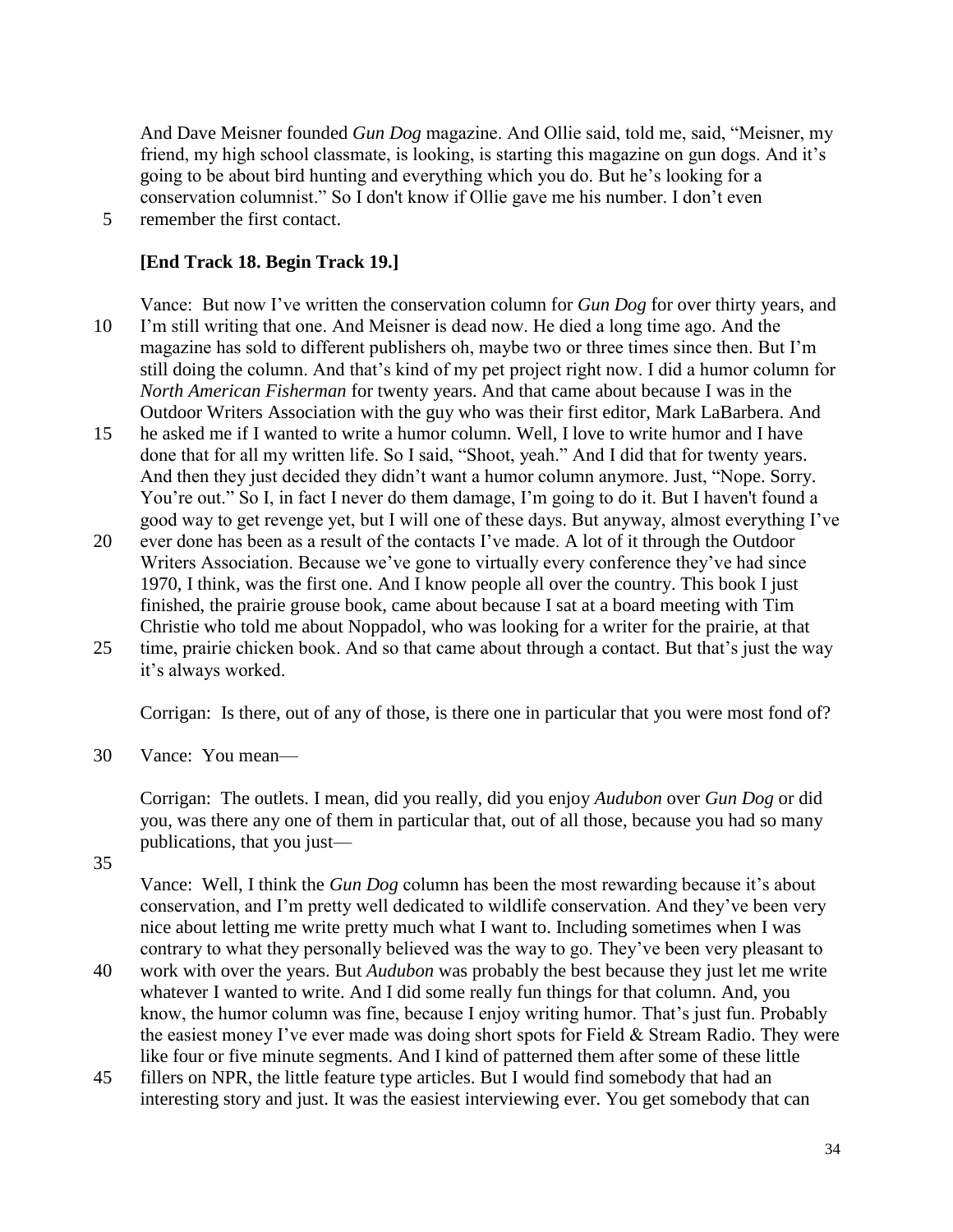And Dave Meisner founded *Gun Dog* magazine. And Ollie said, told me, said, "Meisner, my friend, my high school classmate, is looking, is starting this magazine on gun dogs. And it's going to be about bird hunting and everything which you do. But he's looking for a conservation columnist." So I don't know if Ollie gave me his number. I don't even 5 remember the first contact.

## **[End Track 18. Begin Track 19.]**

Vance: But now I've written the conservation column for *Gun Dog* for over thirty years, and 10 I'm still writing that one. And Meisner is dead now. He died a long time ago. And the magazine has sold to different publishers oh, maybe two or three times since then. But I'm still doing the column. And that's kind of my pet project right now. I did a humor column for *North American Fisherman* for twenty years. And that came about because I was in the Outdoor Writers Association with the guy who was their first editor, Mark LaBarbera. And

- 15 he asked me if I wanted to write a humor column. Well, I love to write humor and I have done that for all my written life. So I said, "Shoot, yeah." And I did that for twenty years. And then they just decided they didn't want a humor column anymore. Just, "Nope. Sorry. You're out." So I, in fact I never do them damage, I'm going to do it. But I haven't found a good way to get revenge yet, but I will one of these days. But anyway, almost everything I've
- 20 ever done has been as a result of the contacts I've made. A lot of it through the Outdoor Writers Association. Because we've gone to virtually every conference they've had since 1970, I think, was the first one. And I know people all over the country. This book I just finished, the prairie grouse book, came about because I sat at a board meeting with Tim Christie who told me about Noppadol, who was looking for a writer for the prairie, at that
- 25 time, prairie chicken book. And so that came about through a contact. But that's just the way it's always worked.

Corrigan: Is there, out of any of those, is there one in particular that you were most fond of?

30 Vance: You mean—

Corrigan: The outlets. I mean, did you really, did you enjoy *Audubon* over *Gun Dog* or did you, was there any one of them in particular that, out of all those, because you had so many publications, that you just—

35

Vance: Well, I think the *Gun Dog* column has been the most rewarding because it's about conservation, and I'm pretty well dedicated to wildlife conservation. And they've been very nice about letting me write pretty much what I want to. Including sometimes when I was contrary to what they personally believed was the way to go. They've been very pleasant to

- 40 work with over the years. But *Audubon* was probably the best because they just let me write whatever I wanted to write. And I did some really fun things for that column. And, you know, the humor column was fine, because I enjoy writing humor. That's just fun. Probably the easiest money I've ever made was doing short spots for Field & Stream Radio. They were like four or five minute segments. And I kind of patterned them after some of these little
- 45 fillers on NPR, the little feature type articles. But I would find somebody that had an interesting story and just. It was the easiest interviewing ever. You get somebody that can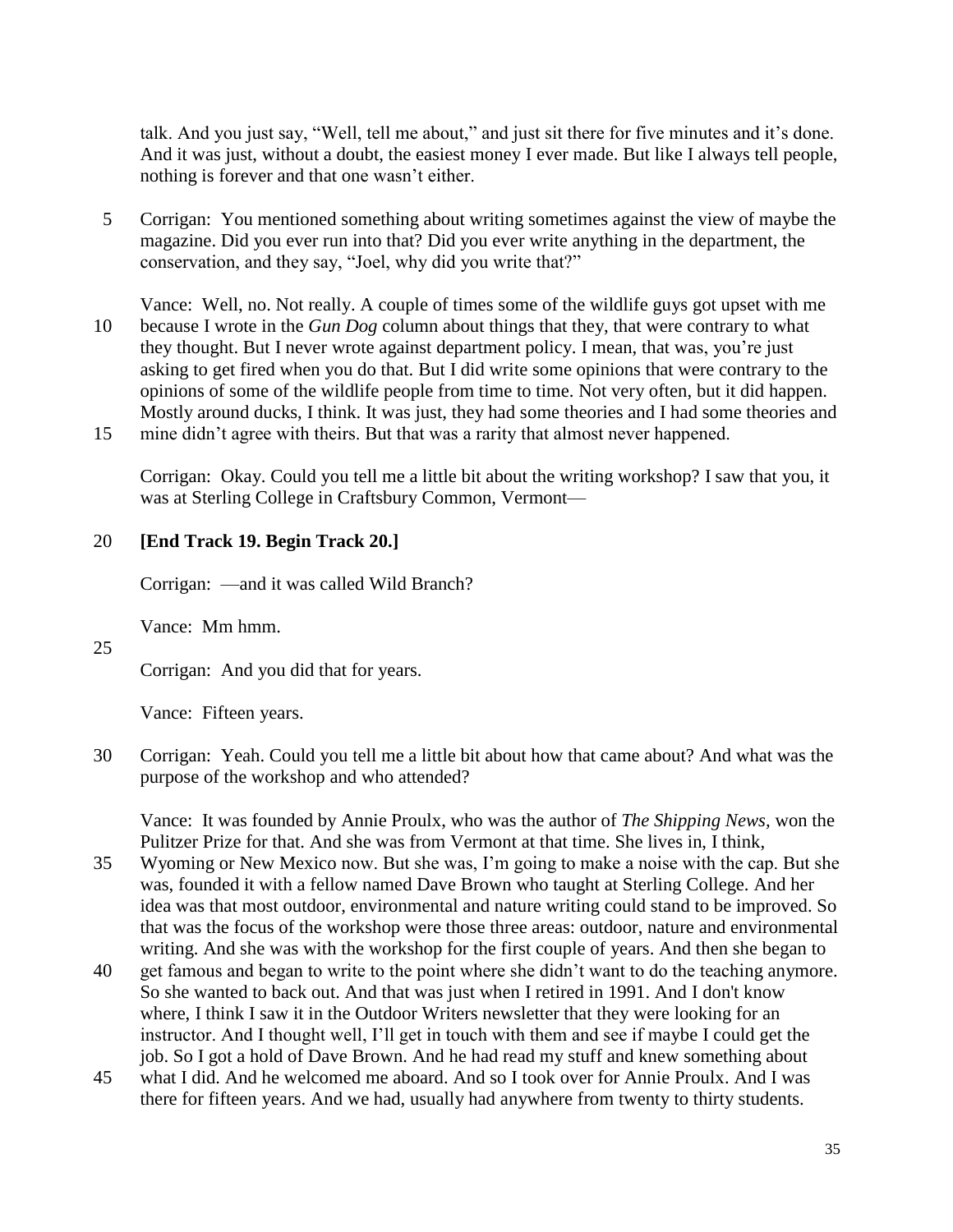talk. And you just say, "Well, tell me about," and just sit there for five minutes and it's done. And it was just, without a doubt, the easiest money I ever made. But like I always tell people, nothing is forever and that one wasn't either.

5 Corrigan: You mentioned something about writing sometimes against the view of maybe the magazine. Did you ever run into that? Did you ever write anything in the department, the conservation, and they say, "Joel, why did you write that?"

Vance: Well, no. Not really. A couple of times some of the wildlife guys got upset with me 10 because I wrote in the *Gun Dog* column about things that they, that were contrary to what they thought. But I never wrote against department policy. I mean, that was, you're just asking to get fired when you do that. But I did write some opinions that were contrary to the opinions of some of the wildlife people from time to time. Not very often, but it did happen. Mostly around ducks, I think. It was just, they had some theories and I had some theories and 15 mine didn't agree with theirs. But that was a rarity that almost never happened.

Corrigan: Okay. Could you tell me a little bit about the writing workshop? I saw that you, it was at Sterling College in Craftsbury Common, Vermont—

## 20 **[End Track 19. Begin Track 20.]**

Corrigan: —and it was called Wild Branch?

Vance: Mm hmm.

25

Corrigan: And you did that for years.

Vance: Fifteen years.

30 Corrigan: Yeah. Could you tell me a little bit about how that came about? And what was the purpose of the workshop and who attended?

Vance: It was founded by Annie Proulx, who was the author of *The Shipping News,* won the Pulitzer Prize for that. And she was from Vermont at that time. She lives in, I think,

- 35 Wyoming or New Mexico now. But she was, I'm going to make a noise with the cap. But she was, founded it with a fellow named Dave Brown who taught at Sterling College. And her idea was that most outdoor, environmental and nature writing could stand to be improved. So that was the focus of the workshop were those three areas: outdoor, nature and environmental writing. And she was with the workshop for the first couple of years. And then she began to
- 40 get famous and began to write to the point where she didn't want to do the teaching anymore. So she wanted to back out. And that was just when I retired in 1991. And I don't know where, I think I saw it in the Outdoor Writers newsletter that they were looking for an instructor. And I thought well, I'll get in touch with them and see if maybe I could get the job. So I got a hold of Dave Brown. And he had read my stuff and knew something about
- 45 what I did. And he welcomed me aboard. And so I took over for Annie Proulx. And I was there for fifteen years. And we had, usually had anywhere from twenty to thirty students.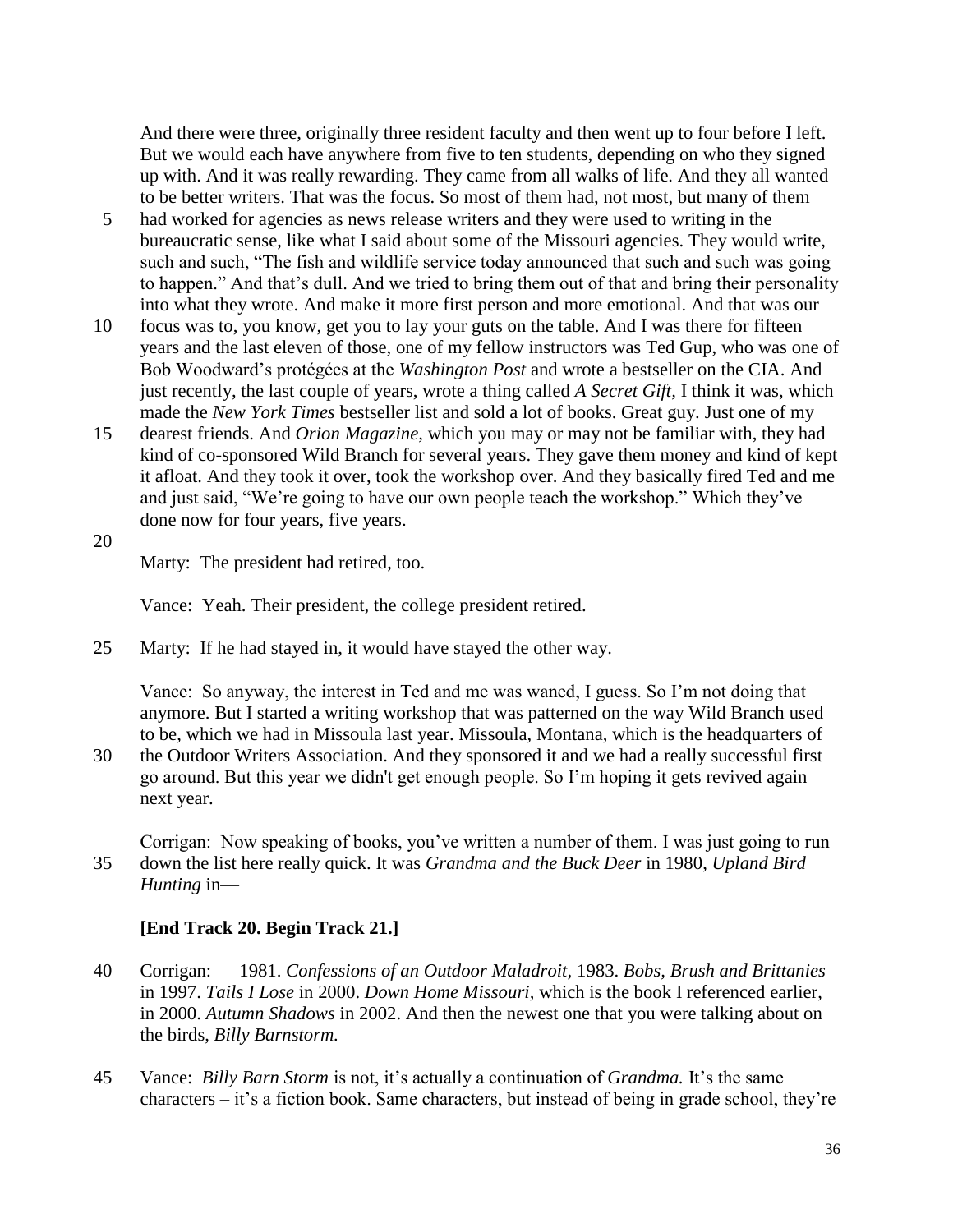And there were three, originally three resident faculty and then went up to four before I left. But we would each have anywhere from five to ten students, depending on who they signed up with. And it was really rewarding. They came from all walks of life. And they all wanted to be better writers. That was the focus. So most of them had, not most, but many of them

- 5 had worked for agencies as news release writers and they were used to writing in the bureaucratic sense, like what I said about some of the Missouri agencies. They would write, such and such, "The fish and wildlife service today announced that such and such was going to happen." And that's dull. And we tried to bring them out of that and bring their personality into what they wrote. And make it more first person and more emotional. And that was our
- 10 focus was to, you know, get you to lay your guts on the table. And I was there for fifteen years and the last eleven of those, one of my fellow instructors was Ted Gup, who was one of Bob Woodward's protégées at the *Washington Post* and wrote a bestseller on the CIA. And just recently, the last couple of years, wrote a thing called *A Secret Gift,* I think it was, which made the *New York Times* bestseller list and sold a lot of books. Great guy. Just one of my
- 15 dearest friends. And *Orion Magazine,* which you may or may not be familiar with, they had kind of co-sponsored Wild Branch for several years. They gave them money and kind of kept it afloat. And they took it over, took the workshop over. And they basically fired Ted and me and just said, "We're going to have our own people teach the workshop." Which they've done now for four years, five years.
- 20

Marty: The president had retired, too.

Vance: Yeah. Their president, the college president retired.

25 Marty: If he had stayed in, it would have stayed the other way.

Vance: So anyway, the interest in Ted and me was waned, I guess. So I'm not doing that anymore. But I started a writing workshop that was patterned on the way Wild Branch used to be, which we had in Missoula last year. Missoula, Montana, which is the headquarters of

30 the Outdoor Writers Association. And they sponsored it and we had a really successful first go around. But this year we didn't get enough people. So I'm hoping it gets revived again next year.

Corrigan: Now speaking of books, you've written a number of them. I was just going to run 35 down the list here really quick. It was *Grandma and the Buck Deer* in 1980, *Upland Bird Hunting* in—

#### **[End Track 20. Begin Track 21.]**

- 40 Corrigan: —1981. *Confessions of an Outdoor Maladroit,* 1983. *Bobs, Brush and Brittanies*  in 1997. *Tails I Lose* in 2000. *Down Home Missouri,* which is the book I referenced earlier, in 2000. *Autumn Shadows* in 2002. And then the newest one that you were talking about on the birds, *Billy Barnstorm.*
- 45 Vance: *Billy Barn Storm* is not, it's actually a continuation of *Grandma.* It's the same characters – it's a fiction book. Same characters, but instead of being in grade school, they're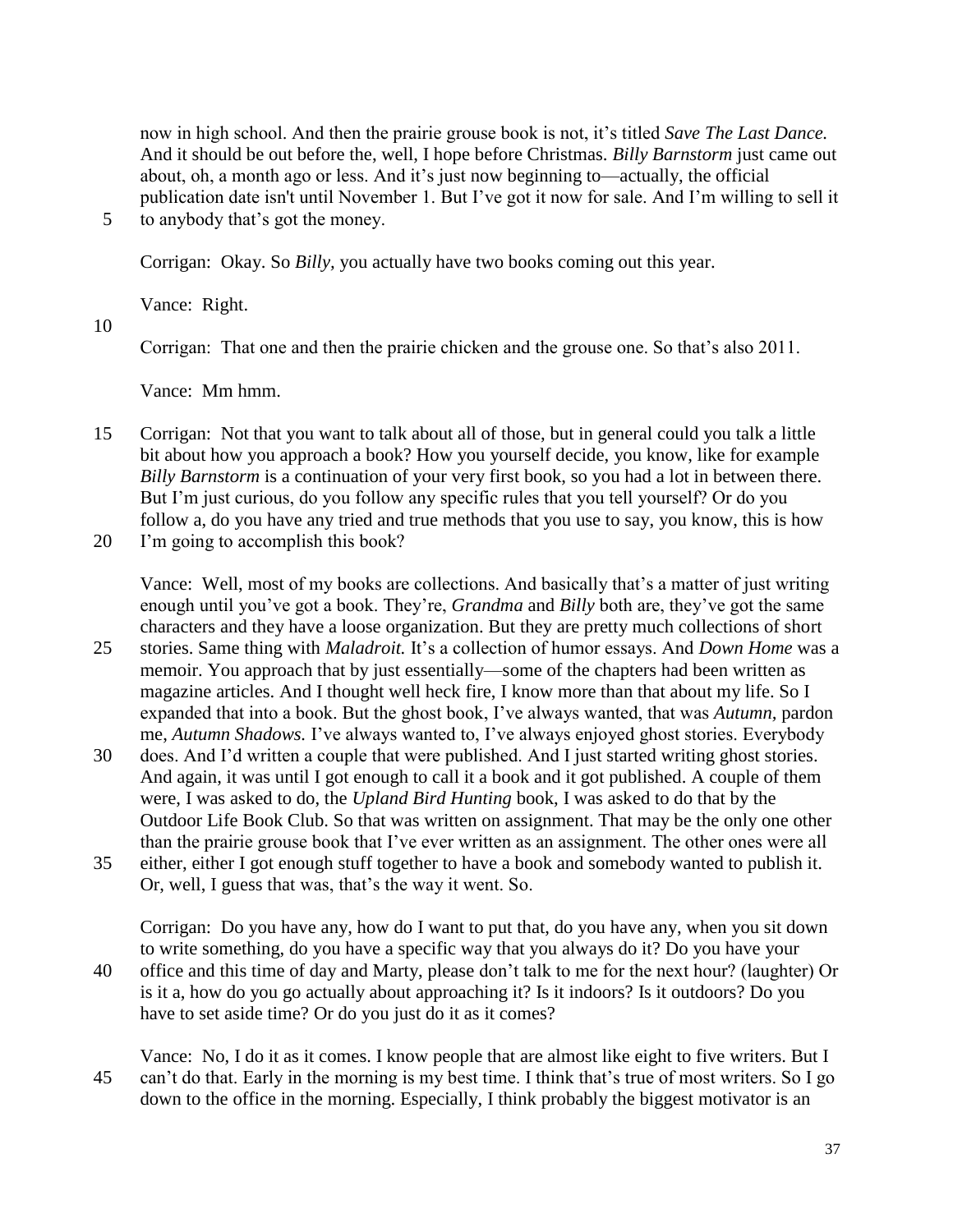now in high school. And then the prairie grouse book is not, it's titled *Save The Last Dance.*  And it should be out before the, well, I hope before Christmas. *Billy Barnstorm* just came out about, oh, a month ago or less. And it's just now beginning to—actually, the official publication date isn't until November 1. But I've got it now for sale. And I'm willing to sell it

5 to anybody that's got the money.

Corrigan: Okay. So *Billy,* you actually have two books coming out this year.

Vance: Right.

10

Corrigan: That one and then the prairie chicken and the grouse one. So that's also 2011.

Vance: Mm hmm.

- 15 Corrigan: Not that you want to talk about all of those, but in general could you talk a little bit about how you approach a book? How you yourself decide, you know, like for example *Billy Barnstorm* is a continuation of your very first book, so you had a lot in between there. But I'm just curious, do you follow any specific rules that you tell yourself? Or do you follow a, do you have any tried and true methods that you use to say, you know, this is how
- 20 I'm going to accomplish this book?

Vance: Well, most of my books are collections. And basically that's a matter of just writing enough until you've got a book. They're, *Grandma* and *Billy* both are, they've got the same characters and they have a loose organization. But they are pretty much collections of short

- 25 stories. Same thing with *Maladroit.* It's a collection of humor essays. And *Down Home* was a memoir. You approach that by just essentially—some of the chapters had been written as magazine articles. And I thought well heck fire, I know more than that about my life. So I expanded that into a book. But the ghost book, I've always wanted, that was *Autumn,* pardon me, *Autumn Shadows.* I've always wanted to, I've always enjoyed ghost stories. Everybody
- 30 does. And I'd written a couple that were published. And I just started writing ghost stories. And again, it was until I got enough to call it a book and it got published. A couple of them were, I was asked to do, the *Upland Bird Hunting* book, I was asked to do that by the Outdoor Life Book Club. So that was written on assignment. That may be the only one other than the prairie grouse book that I've ever written as an assignment. The other ones were all
- 35 either, either I got enough stuff together to have a book and somebody wanted to publish it. Or, well, I guess that was, that's the way it went. So.

Corrigan: Do you have any, how do I want to put that, do you have any, when you sit down to write something, do you have a specific way that you always do it? Do you have your

- 40 office and this time of day and Marty, please don't talk to me for the next hour? (laughter) Or is it a, how do you go actually about approaching it? Is it indoors? Is it outdoors? Do you have to set aside time? Or do you just do it as it comes?
- Vance: No, I do it as it comes. I know people that are almost like eight to five writers. But I 45 can't do that. Early in the morning is my best time. I think that's true of most writers. So I go down to the office in the morning. Especially, I think probably the biggest motivator is an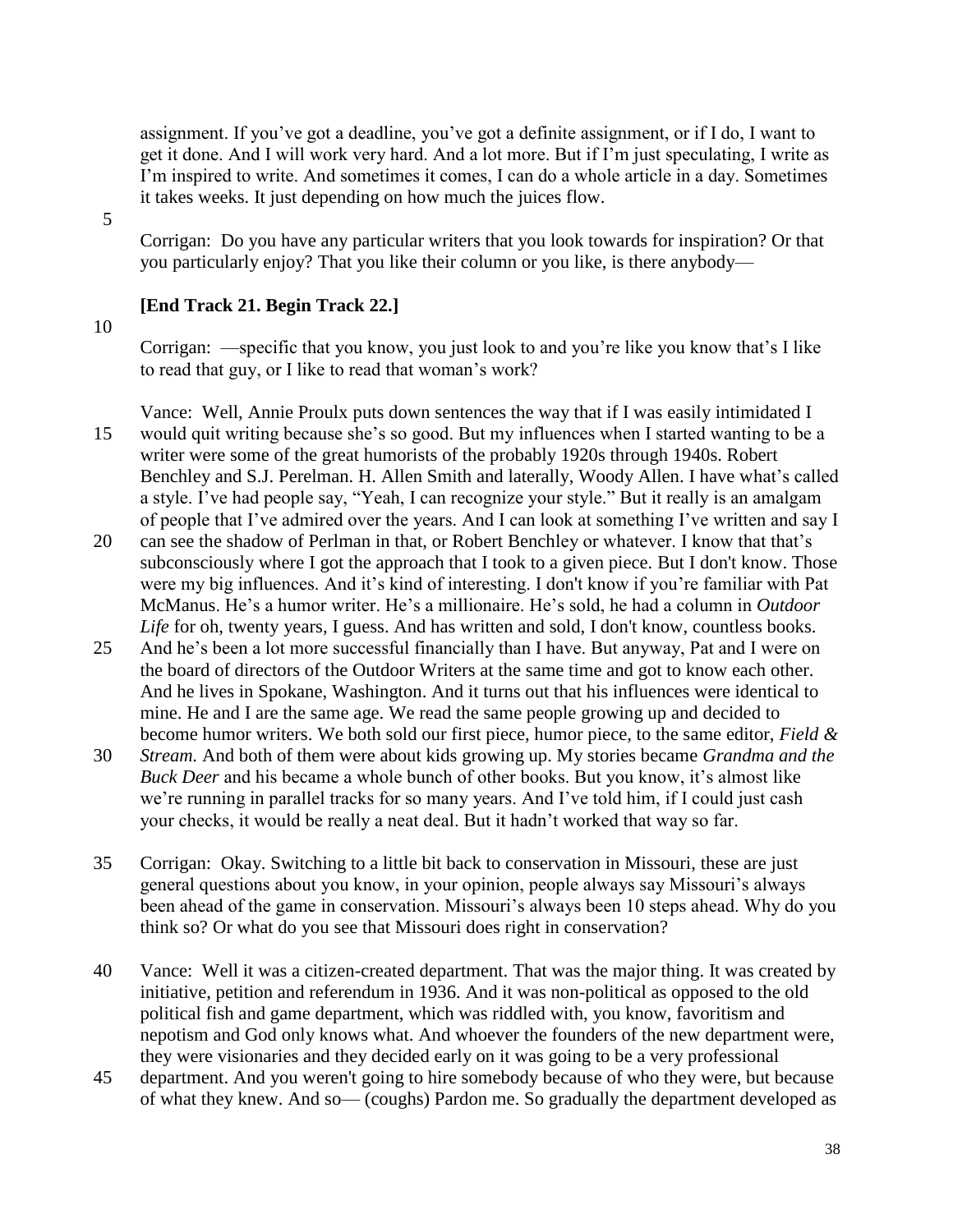assignment. If you've got a deadline, you've got a definite assignment, or if I do, I want to get it done. And I will work very hard. And a lot more. But if I'm just speculating, I write as I'm inspired to write. And sometimes it comes, I can do a whole article in a day. Sometimes it takes weeks. It just depending on how much the juices flow.

5

Corrigan: Do you have any particular writers that you look towards for inspiration? Or that you particularly enjoy? That you like their column or you like, is there anybody—

# **[End Track 21. Begin Track 22.]**

## 10

Corrigan: —specific that you know, you just look to and you're like you know that's I like to read that guy, or I like to read that woman's work?

Vance: Well, Annie Proulx puts down sentences the way that if I was easily intimidated I 15 would quit writing because she's so good. But my influences when I started wanting to be a writer were some of the great humorists of the probably 1920s through 1940s. Robert Benchley and S.J. Perelman. H. Allen Smith and laterally, Woody Allen. I have what's called a style. I've had people say, "Yeah, I can recognize your style." But it really is an amalgam of people that I've admired over the years. And I can look at something I've written and say I

- 20 can see the shadow of Perlman in that, or Robert Benchley or whatever. I know that that's subconsciously where I got the approach that I took to a given piece. But I don't know. Those were my big influences. And it's kind of interesting. I don't know if you're familiar with Pat McManus. He's a humor writer. He's a millionaire. He's sold, he had a column in *Outdoor Life* for oh, twenty years, I guess. And has written and sold, I don't know, countless books.
- 25 And he's been a lot more successful financially than I have. But anyway, Pat and I were on the board of directors of the Outdoor Writers at the same time and got to know each other. And he lives in Spokane, Washington. And it turns out that his influences were identical to mine. He and I are the same age. We read the same people growing up and decided to become humor writers. We both sold our first piece, humor piece, to the same editor, *Field &*
- 30 *Stream.* And both of them were about kids growing up. My stories became *Grandma and the Buck Deer* and his became a whole bunch of other books. But you know, it's almost like we're running in parallel tracks for so many years. And I've told him, if I could just cash your checks, it would be really a neat deal. But it hadn't worked that way so far.
- 35 Corrigan: Okay. Switching to a little bit back to conservation in Missouri, these are just general questions about you know, in your opinion, people always say Missouri's always been ahead of the game in conservation. Missouri's always been 10 steps ahead. Why do you think so? Or what do you see that Missouri does right in conservation?
- 40 Vance: Well it was a citizen-created department. That was the major thing. It was created by initiative, petition and referendum in 1936. And it was non-political as opposed to the old political fish and game department, which was riddled with, you know, favoritism and nepotism and God only knows what. And whoever the founders of the new department were, they were visionaries and they decided early on it was going to be a very professional
- 45 department. And you weren't going to hire somebody because of who they were, but because of what they knew. And so— (coughs) Pardon me. So gradually the department developed as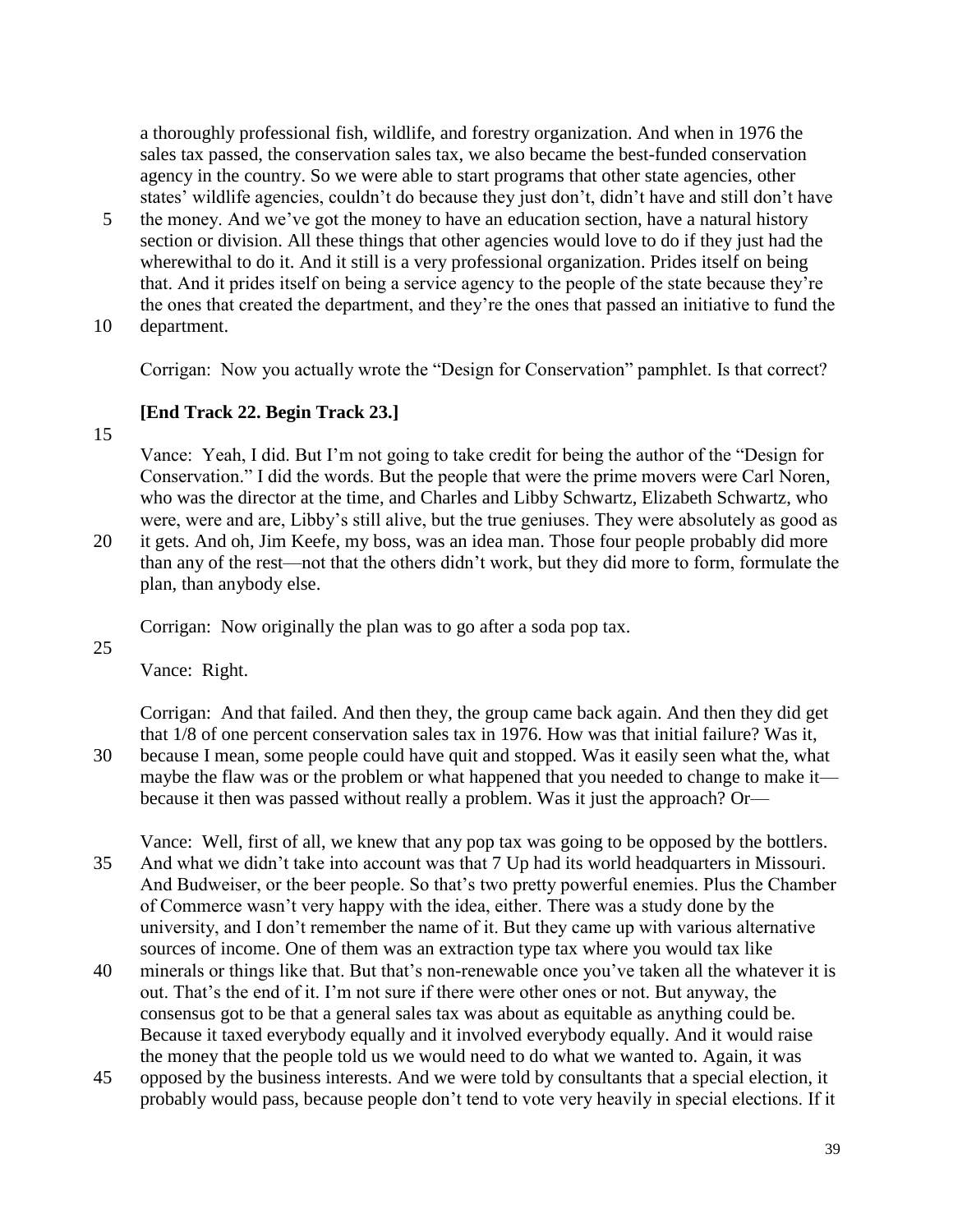a thoroughly professional fish, wildlife, and forestry organization. And when in 1976 the sales tax passed, the conservation sales tax, we also became the best-funded conservation agency in the country. So we were able to start programs that other state agencies, other states' wildlife agencies, couldn't do because they just don't, didn't have and still don't have

- 5 the money. And we've got the money to have an education section, have a natural history section or division. All these things that other agencies would love to do if they just had the wherewithal to do it. And it still is a very professional organization. Prides itself on being that. And it prides itself on being a service agency to the people of the state because they're the ones that created the department, and they're the ones that passed an initiative to fund the
- 10 department.

Corrigan: Now you actually wrote the "Design for Conservation" pamphlet. Is that correct?

## **[End Track 22. Begin Track 23.]**

15

Vance: Yeah, I did. But I'm not going to take credit for being the author of the "Design for Conservation." I did the words. But the people that were the prime movers were Carl Noren, who was the director at the time, and Charles and Libby Schwartz, Elizabeth Schwartz, who were, were and are, Libby's still alive, but the true geniuses. They were absolutely as good as

20 it gets. And oh, Jim Keefe, my boss, was an idea man. Those four people probably did more than any of the rest—not that the others didn't work, but they did more to form, formulate the plan, than anybody else.

Corrigan: Now originally the plan was to go after a soda pop tax.

25

Vance: Right.

Corrigan: And that failed. And then they, the group came back again. And then they did get that 1/8 of one percent conservation sales tax in 1976. How was that initial failure? Was it, 30 because I mean, some people could have quit and stopped. Was it easily seen what the, what

maybe the flaw was or the problem or what happened that you needed to change to make it because it then was passed without really a problem. Was it just the approach? Or—

Vance: Well, first of all, we knew that any pop tax was going to be opposed by the bottlers. 35 And what we didn't take into account was that 7 Up had its world headquarters in Missouri. And Budweiser, or the beer people. So that's two pretty powerful enemies. Plus the Chamber of Commerce wasn't very happy with the idea, either. There was a study done by the university, and I don't remember the name of it. But they came up with various alternative sources of income. One of them was an extraction type tax where you would tax like

- 40 minerals or things like that. But that's non-renewable once you've taken all the whatever it is out. That's the end of it. I'm not sure if there were other ones or not. But anyway, the consensus got to be that a general sales tax was about as equitable as anything could be. Because it taxed everybody equally and it involved everybody equally. And it would raise the money that the people told us we would need to do what we wanted to. Again, it was
- 45 opposed by the business interests. And we were told by consultants that a special election, it probably would pass, because people don't tend to vote very heavily in special elections. If it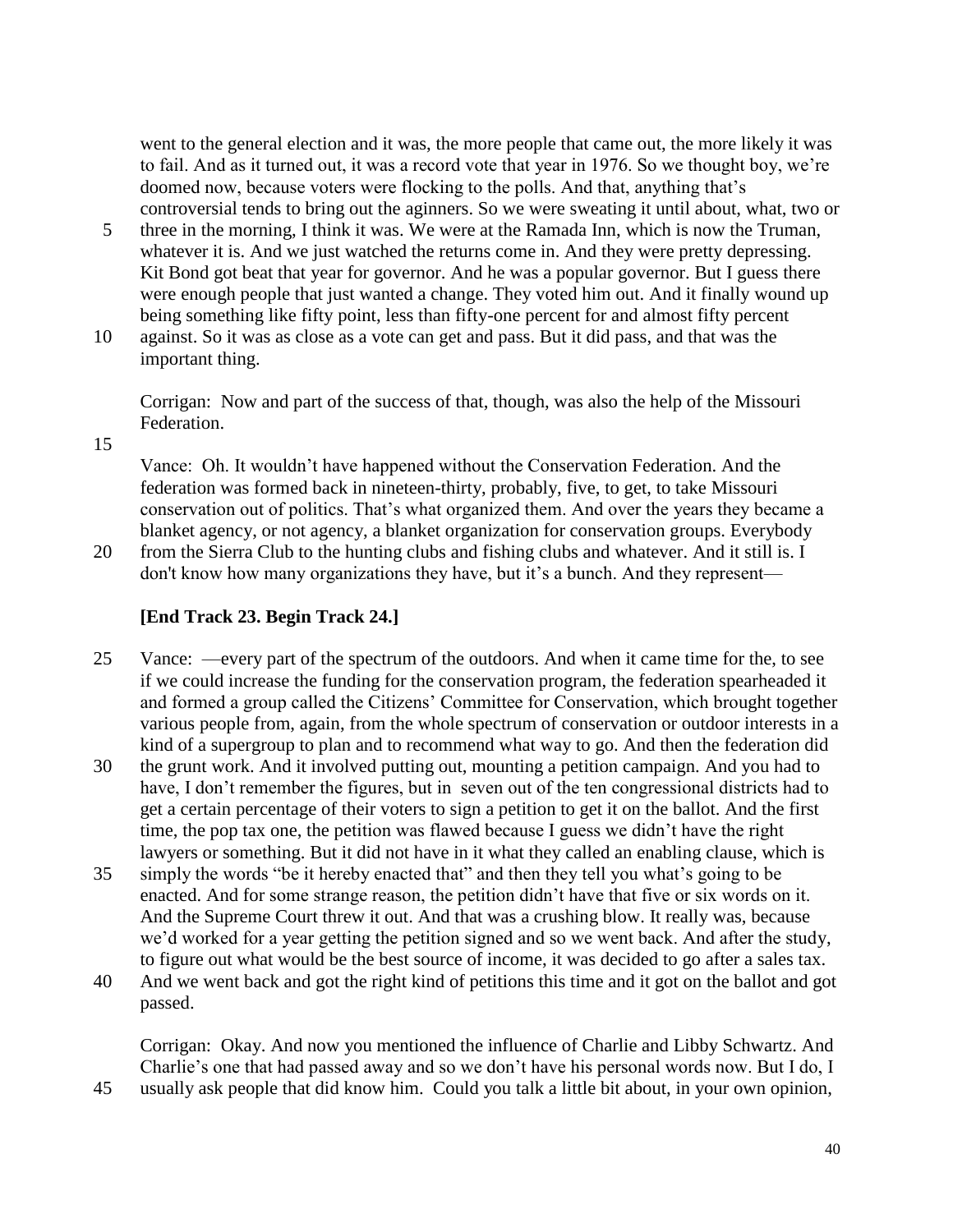went to the general election and it was, the more people that came out, the more likely it was to fail. And as it turned out, it was a record vote that year in 1976. So we thought boy, we're doomed now, because voters were flocking to the polls. And that, anything that's controversial tends to bring out the aginners. So we were sweating it until about, what, two or

- 5 three in the morning, I think it was. We were at the Ramada Inn, which is now the Truman, whatever it is. And we just watched the returns come in. And they were pretty depressing. Kit Bond got beat that year for governor. And he was a popular governor. But I guess there were enough people that just wanted a change. They voted him out. And it finally wound up being something like fifty point, less than fifty-one percent for and almost fifty percent
- 10 against. So it was as close as a vote can get and pass. But it did pass, and that was the important thing.

Corrigan: Now and part of the success of that, though, was also the help of the Missouri Federation.

15

Vance: Oh. It wouldn't have happened without the Conservation Federation. And the federation was formed back in nineteen-thirty, probably, five, to get, to take Missouri conservation out of politics. That's what organized them. And over the years they became a blanket agency, or not agency, a blanket organization for conservation groups. Everybody

20 from the Sierra Club to the hunting clubs and fishing clubs and whatever. And it still is. I don't know how many organizations they have, but it's a bunch. And they represent—

## **[End Track 23. Begin Track 24.]**

- 25 Vance: —every part of the spectrum of the outdoors. And when it came time for the, to see if we could increase the funding for the conservation program, the federation spearheaded it and formed a group called the Citizens' Committee for Conservation, which brought together various people from, again, from the whole spectrum of conservation or outdoor interests in a kind of a supergroup to plan and to recommend what way to go. And then the federation did
- 30 the grunt work. And it involved putting out, mounting a petition campaign. And you had to have, I don't remember the figures, but in seven out of the ten congressional districts had to get a certain percentage of their voters to sign a petition to get it on the ballot. And the first time, the pop tax one, the petition was flawed because I guess we didn't have the right lawyers or something. But it did not have in it what they called an enabling clause, which is
- 35 simply the words "be it hereby enacted that" and then they tell you what's going to be enacted. And for some strange reason, the petition didn't have that five or six words on it. And the Supreme Court threw it out. And that was a crushing blow. It really was, because we'd worked for a year getting the petition signed and so we went back. And after the study, to figure out what would be the best source of income, it was decided to go after a sales tax.
- 40 And we went back and got the right kind of petitions this time and it got on the ballot and got passed.

Corrigan: Okay. And now you mentioned the influence of Charlie and Libby Schwartz. And Charlie's one that had passed away and so we don't have his personal words now. But I do, I

45 usually ask people that did know him. Could you talk a little bit about, in your own opinion,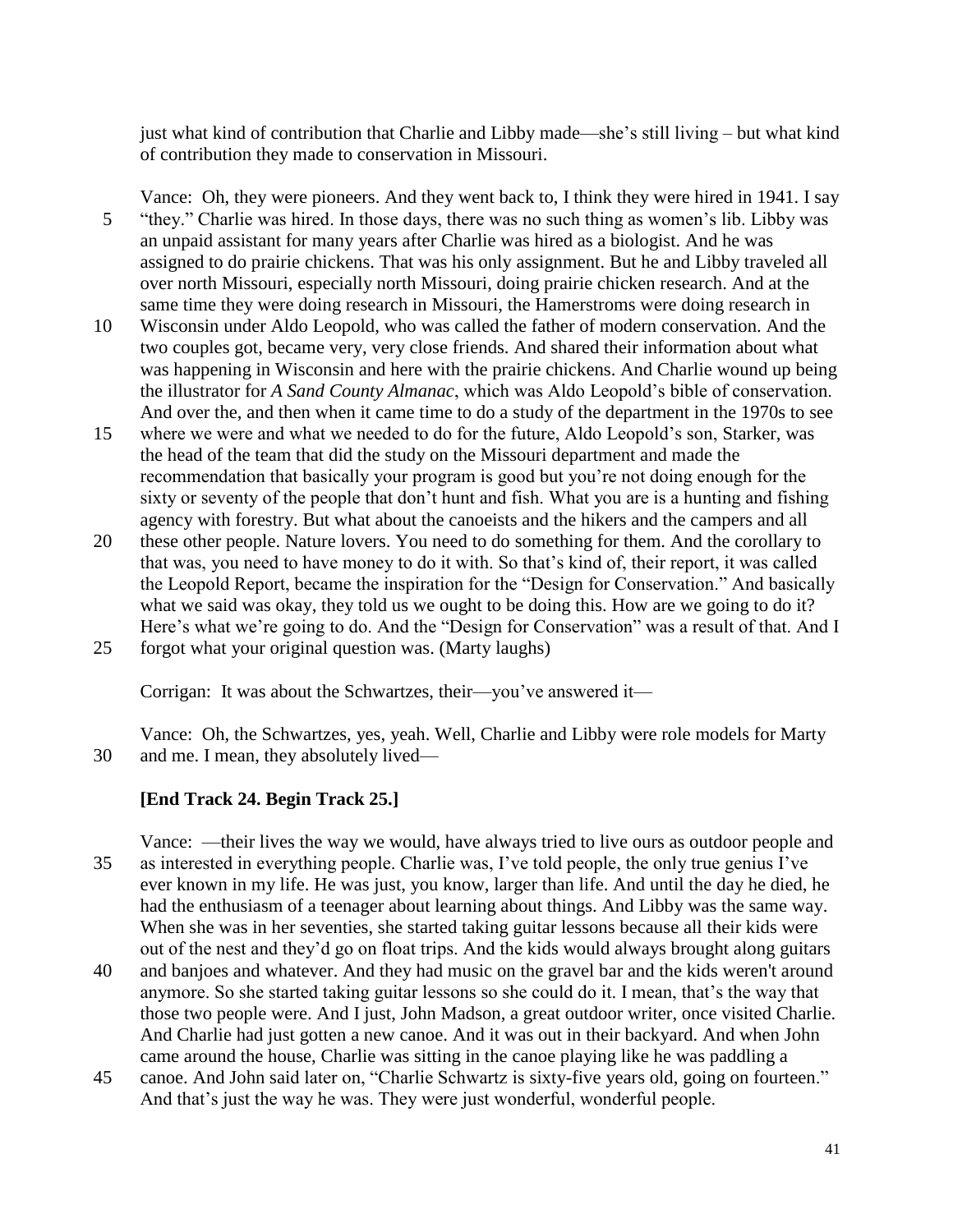just what kind of contribution that Charlie and Libby made—she's still living – but what kind of contribution they made to conservation in Missouri.

Vance: Oh, they were pioneers. And they went back to, I think they were hired in 1941. I say 5 "they." Charlie was hired. In those days, there was no such thing as women's lib. Libby was an unpaid assistant for many years after Charlie was hired as a biologist. And he was assigned to do prairie chickens. That was his only assignment. But he and Libby traveled all over north Missouri, especially north Missouri, doing prairie chicken research. And at the same time they were doing research in Missouri, the Hamerstroms were doing research in

- 10 Wisconsin under Aldo Leopold, who was called the father of modern conservation. And the two couples got, became very, very close friends. And shared their information about what was happening in Wisconsin and here with the prairie chickens. And Charlie wound up being the illustrator for *A Sand County Almanac*, which was Aldo Leopold's bible of conservation. And over the, and then when it came time to do a study of the department in the 1970s to see
- 15 where we were and what we needed to do for the future, Aldo Leopold's son, Starker, was the head of the team that did the study on the Missouri department and made the recommendation that basically your program is good but you're not doing enough for the sixty or seventy of the people that don't hunt and fish. What you are is a hunting and fishing agency with forestry. But what about the canoeists and the hikers and the campers and all
- 20 these other people. Nature lovers. You need to do something for them. And the corollary to that was, you need to have money to do it with. So that's kind of, their report, it was called the Leopold Report, became the inspiration for the "Design for Conservation." And basically what we said was okay, they told us we ought to be doing this. How are we going to do it? Here's what we're going to do. And the "Design for Conservation" was a result of that. And I 25 forgot what your original question was. (Marty laughs)

Corrigan: It was about the Schwartzes, their—you've answered it—

Vance: Oh, the Schwartzes, yes, yeah. Well, Charlie and Libby were role models for Marty 30 and me. I mean, they absolutely lived—

## **[End Track 24. Begin Track 25.]**

Vance: —their lives the way we would, have always tried to live ours as outdoor people and 35 as interested in everything people. Charlie was, I've told people, the only true genius I've ever known in my life. He was just, you know, larger than life. And until the day he died, he had the enthusiasm of a teenager about learning about things. And Libby was the same way. When she was in her seventies, she started taking guitar lessons because all their kids were out of the nest and they'd go on float trips. And the kids would always brought along guitars

- 40 and banjoes and whatever. And they had music on the gravel bar and the kids weren't around anymore. So she started taking guitar lessons so she could do it. I mean, that's the way that those two people were. And I just, John Madson, a great outdoor writer, once visited Charlie. And Charlie had just gotten a new canoe. And it was out in their backyard. And when John came around the house, Charlie was sitting in the canoe playing like he was paddling a
- 45 canoe. And John said later on, "Charlie Schwartz is sixty-five years old, going on fourteen." And that's just the way he was. They were just wonderful, wonderful people.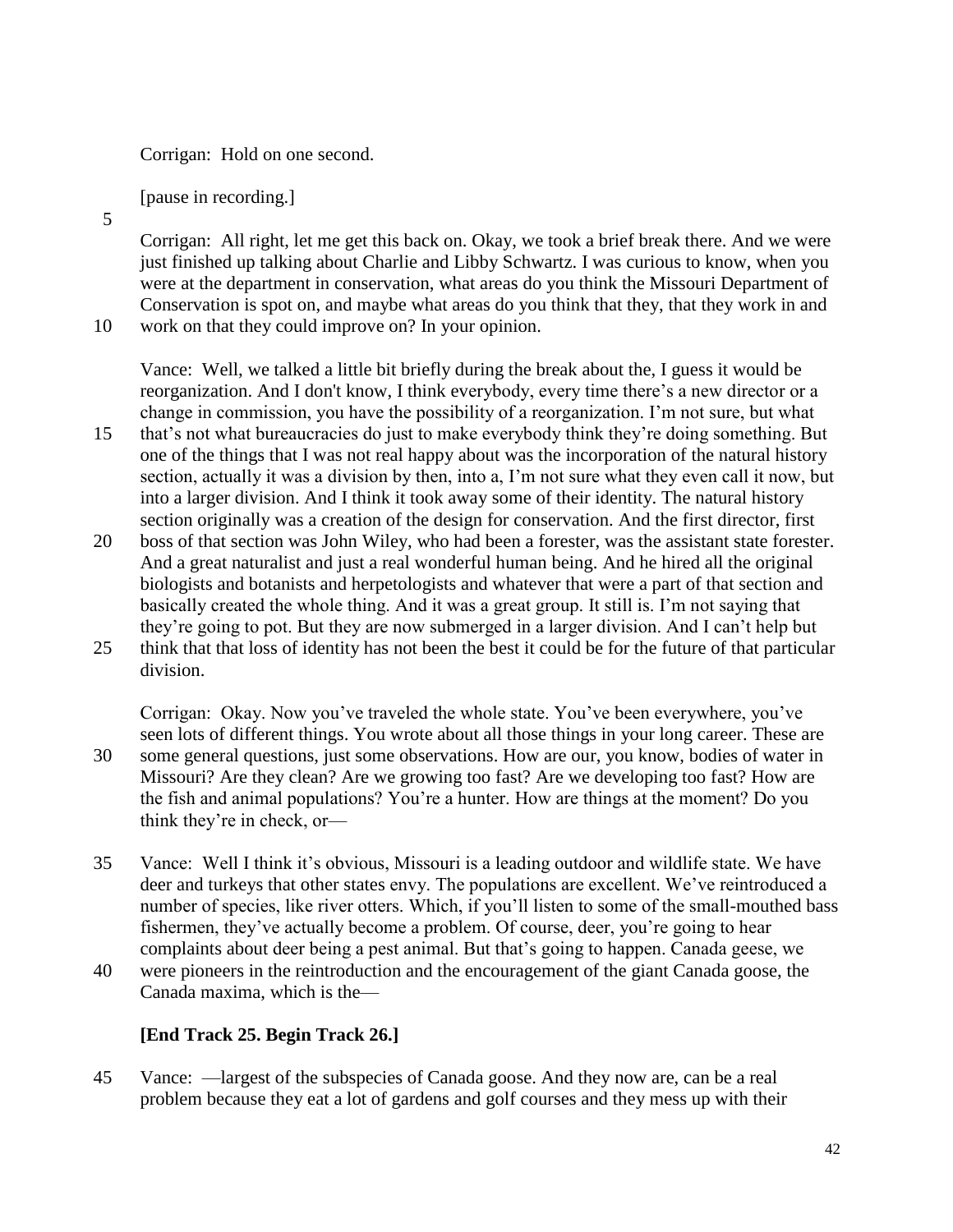Corrigan: Hold on one second.

[pause in recording.]

5

Corrigan: All right, let me get this back on. Okay, we took a brief break there. And we were just finished up talking about Charlie and Libby Schwartz. I was curious to know, when you were at the department in conservation, what areas do you think the Missouri Department of Conservation is spot on, and maybe what areas do you think that they, that they work in and

10 work on that they could improve on? In your opinion.

Vance: Well, we talked a little bit briefly during the break about the, I guess it would be reorganization. And I don't know, I think everybody, every time there's a new director or a change in commission, you have the possibility of a reorganization. I'm not sure, but what

- 15 that's not what bureaucracies do just to make everybody think they're doing something. But one of the things that I was not real happy about was the incorporation of the natural history section, actually it was a division by then, into a, I'm not sure what they even call it now, but into a larger division. And I think it took away some of their identity. The natural history section originally was a creation of the design for conservation. And the first director, first
- 20 boss of that section was John Wiley, who had been a forester, was the assistant state forester. And a great naturalist and just a real wonderful human being. And he hired all the original biologists and botanists and herpetologists and whatever that were a part of that section and basically created the whole thing. And it was a great group. It still is. I'm not saying that they're going to pot. But they are now submerged in a larger division. And I can't help but 25 think that that loss of identity has not been the best it could be for the future of that particular
- division.

Corrigan: Okay. Now you've traveled the whole state. You've been everywhere, you've seen lots of different things. You wrote about all those things in your long career. These are 30 some general questions, just some observations. How are our, you know, bodies of water in Missouri? Are they clean? Are we growing too fast? Are we developing too fast? How are the fish and animal populations? You're a hunter. How are things at the moment? Do you think they're in check, or—

- 35 Vance: Well I think it's obvious, Missouri is a leading outdoor and wildlife state. We have deer and turkeys that other states envy. The populations are excellent. We've reintroduced a number of species, like river otters. Which, if you'll listen to some of the small-mouthed bass fishermen, they've actually become a problem. Of course, deer, you're going to hear complaints about deer being a pest animal. But that's going to happen. Canada geese, we
- 40 were pioneers in the reintroduction and the encouragement of the giant Canada goose, the Canada maxima, which is the—

# **[End Track 25. Begin Track 26.]**

45 Vance: —largest of the subspecies of Canada goose. And they now are, can be a real problem because they eat a lot of gardens and golf courses and they mess up with their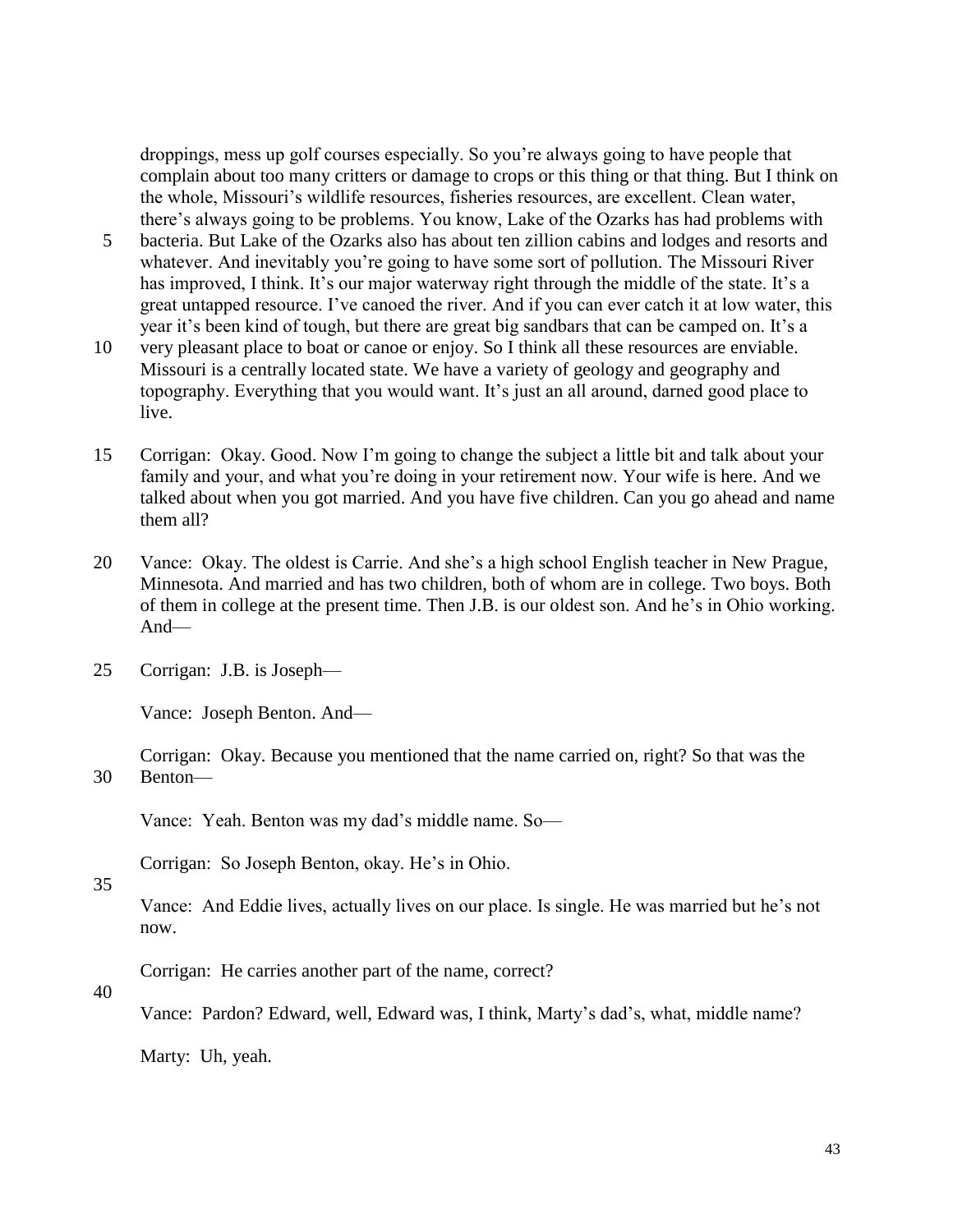droppings, mess up golf courses especially. So you're always going to have people that complain about too many critters or damage to crops or this thing or that thing. But I think on the whole, Missouri's wildlife resources, fisheries resources, are excellent. Clean water, there's always going to be problems. You know, Lake of the Ozarks has had problems with

- 5 bacteria. But Lake of the Ozarks also has about ten zillion cabins and lodges and resorts and whatever. And inevitably you're going to have some sort of pollution. The Missouri River has improved, I think. It's our major waterway right through the middle of the state. It's a great untapped resource. I've canoed the river. And if you can ever catch it at low water, this year it's been kind of tough, but there are great big sandbars that can be camped on. It's a
- 10 very pleasant place to boat or canoe or enjoy. So I think all these resources are enviable. Missouri is a centrally located state. We have a variety of geology and geography and topography. Everything that you would want. It's just an all around, darned good place to live.
- 15 Corrigan: Okay. Good. Now I'm going to change the subject a little bit and talk about your family and your, and what you're doing in your retirement now. Your wife is here. And we talked about when you got married. And you have five children. Can you go ahead and name them all?
- 20 Vance: Okay. The oldest is Carrie. And she's a high school English teacher in New Prague, Minnesota. And married and has two children, both of whom are in college. Two boys. Both of them in college at the present time. Then J.B. is our oldest son. And he's in Ohio working. And—
- 25 Corrigan: J.B. is Joseph—

Vance: Joseph Benton. And—

Corrigan: Okay. Because you mentioned that the name carried on, right? So that was the 30 Benton—

Vance: Yeah. Benton was my dad's middle name. So—

Corrigan: So Joseph Benton, okay. He's in Ohio.

35

Vance: And Eddie lives, actually lives on our place. Is single. He was married but he's not now.

Corrigan: He carries another part of the name, correct?

40

Vance: Pardon? Edward, well, Edward was, I think, Marty's dad's, what, middle name?

Marty: Uh, yeah.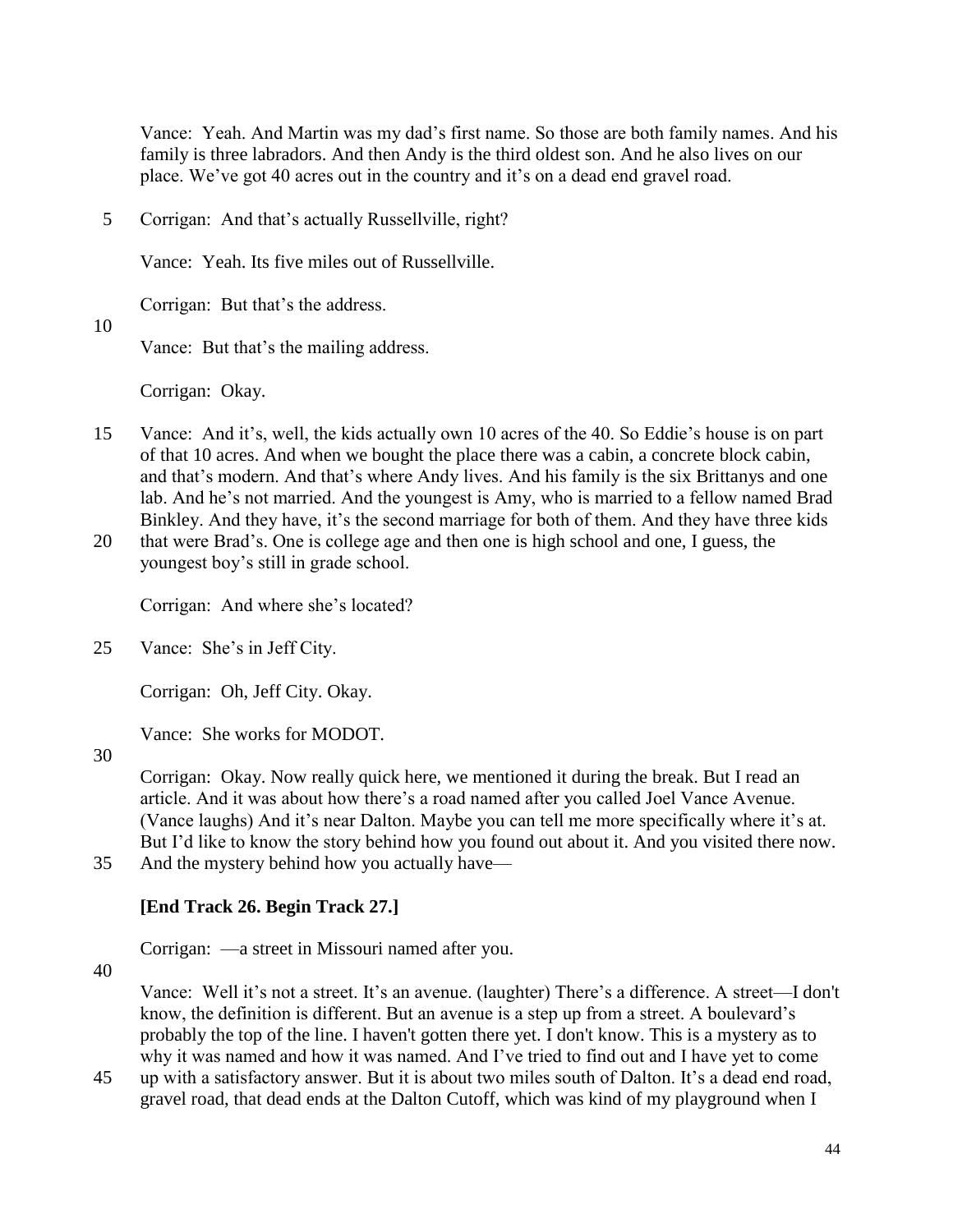Vance: Yeah. And Martin was my dad's first name. So those are both family names. And his family is three labradors. And then Andy is the third oldest son. And he also lives on our place. We've got 40 acres out in the country and it's on a dead end gravel road.

5 Corrigan: And that's actually Russellville, right?

Vance: Yeah. Its five miles out of Russellville.

Corrigan: But that's the address.

10

Vance: But that's the mailing address.

Corrigan: Okay.

- 15 Vance: And it's, well, the kids actually own 10 acres of the 40. So Eddie's house is on part of that 10 acres. And when we bought the place there was a cabin, a concrete block cabin, and that's modern. And that's where Andy lives. And his family is the six Brittanys and one lab. And he's not married. And the youngest is Amy, who is married to a fellow named Brad Binkley. And they have, it's the second marriage for both of them. And they have three kids
- 20 that were Brad's. One is college age and then one is high school and one, I guess, the youngest boy's still in grade school.

Corrigan: And where she's located?

25 Vance: She's in Jeff City.

Corrigan: Oh, Jeff City. Okay.

Vance: She works for MODOT.

30

Corrigan: Okay. Now really quick here, we mentioned it during the break. But I read an article. And it was about how there's a road named after you called Joel Vance Avenue. (Vance laughs) And it's near Dalton. Maybe you can tell me more specifically where it's at. But I'd like to know the story behind how you found out about it. And you visited there now.

35 And the mystery behind how you actually have—

# **[End Track 26. Begin Track 27.]**

Corrigan: —a street in Missouri named after you.

40

Vance: Well it's not a street. It's an avenue. (laughter) There's a difference. A street—I don't know, the definition is different. But an avenue is a step up from a street. A boulevard's probably the top of the line. I haven't gotten there yet. I don't know. This is a mystery as to why it was named and how it was named. And I've tried to find out and I have yet to come

45 up with a satisfactory answer. But it is about two miles south of Dalton. It's a dead end road, gravel road, that dead ends at the Dalton Cutoff, which was kind of my playground when I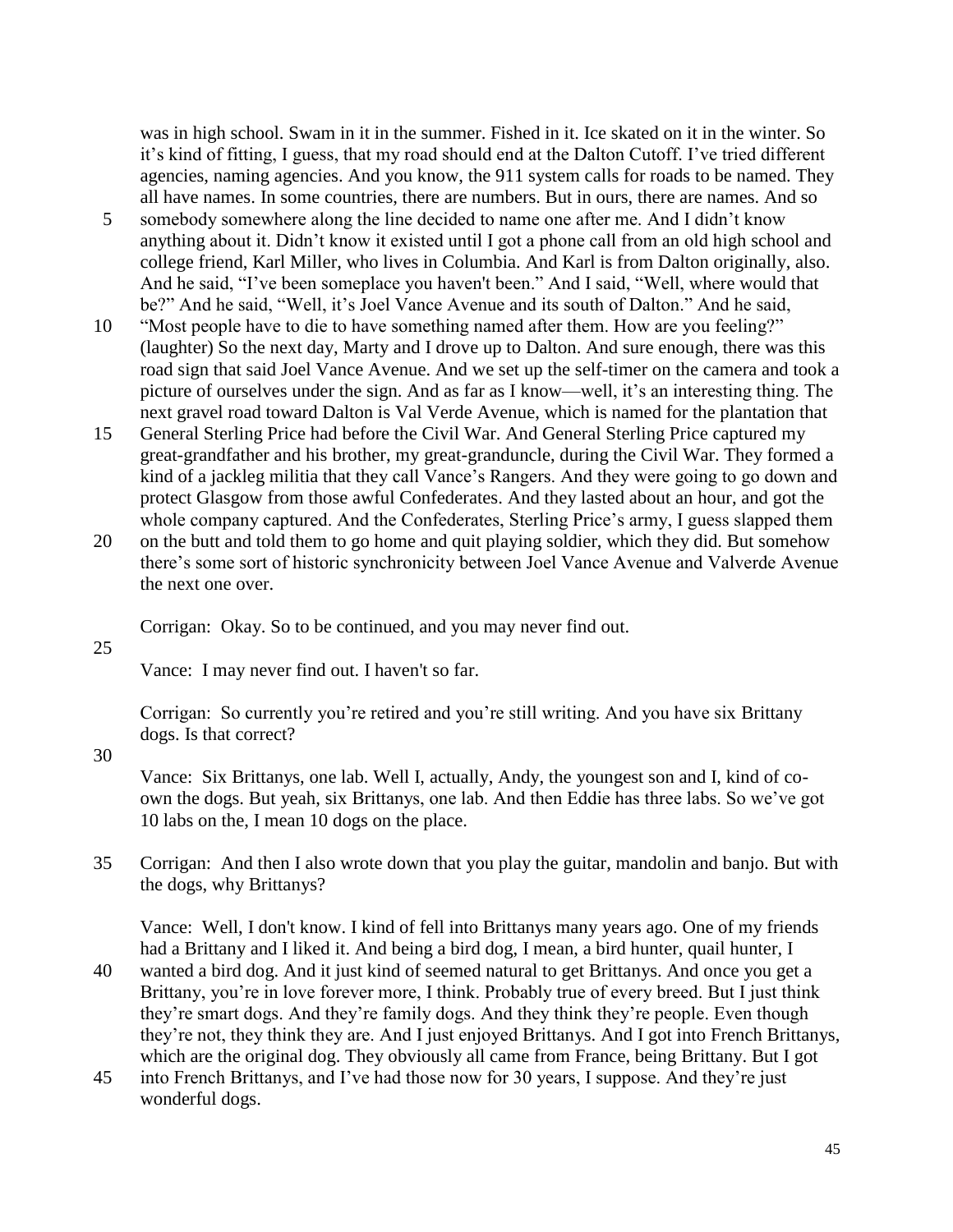was in high school. Swam in it in the summer. Fished in it. Ice skated on it in the winter. So it's kind of fitting, I guess, that my road should end at the Dalton Cutoff. I've tried different agencies, naming agencies. And you know, the 911 system calls for roads to be named. They all have names. In some countries, there are numbers. But in ours, there are names. And so

- 5 somebody somewhere along the line decided to name one after me. And I didn't know anything about it. Didn't know it existed until I got a phone call from an old high school and college friend, Karl Miller, who lives in Columbia. And Karl is from Dalton originally, also. And he said, "I've been someplace you haven't been." And I said, "Well, where would that be?" And he said, "Well, it's Joel Vance Avenue and its south of Dalton." And he said,
- 10 "Most people have to die to have something named after them. How are you feeling?" (laughter) So the next day, Marty and I drove up to Dalton. And sure enough, there was this road sign that said Joel Vance Avenue. And we set up the self-timer on the camera and took a picture of ourselves under the sign. And as far as I know—well, it's an interesting thing. The next gravel road toward Dalton is Val Verde Avenue, which is named for the plantation that
- 15 General Sterling Price had before the Civil War. And General Sterling Price captured my great-grandfather and his brother, my great-granduncle, during the Civil War. They formed a kind of a jackleg militia that they call Vance's Rangers. And they were going to go down and protect Glasgow from those awful Confederates. And they lasted about an hour, and got the whole company captured. And the Confederates, Sterling Price's army, I guess slapped them
- 20 on the butt and told them to go home and quit playing soldier, which they did. But somehow there's some sort of historic synchronicity between Joel Vance Avenue and Valverde Avenue the next one over.

Corrigan: Okay. So to be continued, and you may never find out.

25

Vance: I may never find out. I haven't so far.

Corrigan: So currently you're retired and you're still writing. And you have six Brittany dogs. Is that correct?

30

Vance: Six Brittanys, one lab. Well I, actually, Andy, the youngest son and I, kind of coown the dogs. But yeah, six Brittanys, one lab. And then Eddie has three labs. So we've got 10 labs on the, I mean 10 dogs on the place.

35 Corrigan: And then I also wrote down that you play the guitar, mandolin and banjo. But with the dogs, why Brittanys?

Vance: Well, I don't know. I kind of fell into Brittanys many years ago. One of my friends had a Brittany and I liked it. And being a bird dog, I mean, a bird hunter, quail hunter, I

- 40 wanted a bird dog. And it just kind of seemed natural to get Brittanys. And once you get a Brittany, you're in love forever more, I think. Probably true of every breed. But I just think they're smart dogs. And they're family dogs. And they think they're people. Even though they're not, they think they are. And I just enjoyed Brittanys. And I got into French Brittanys, which are the original dog. They obviously all came from France, being Brittany. But I got
- 45 into French Brittanys, and I've had those now for 30 years, I suppose. And they're just wonderful dogs.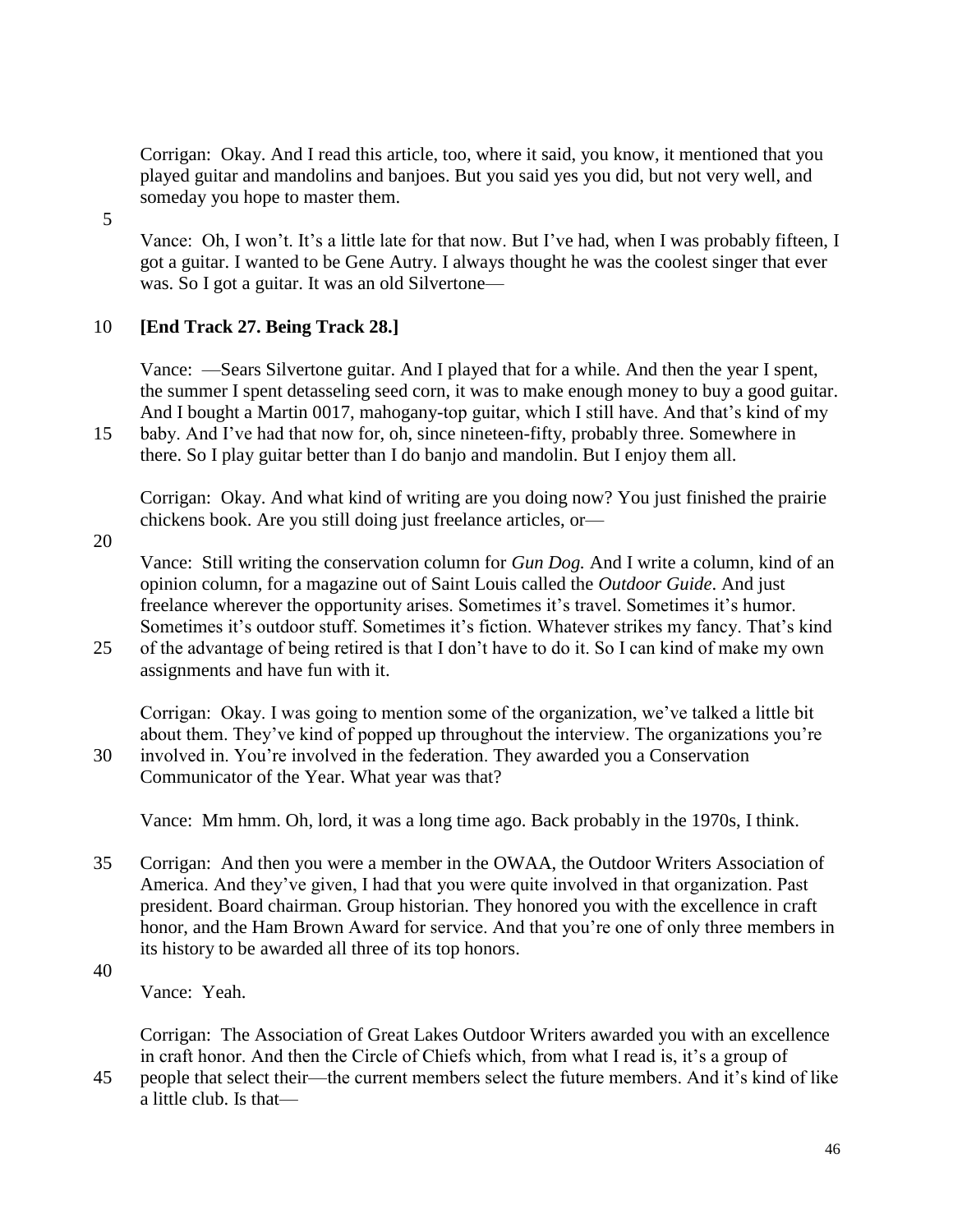Corrigan: Okay. And I read this article, too, where it said, you know, it mentioned that you played guitar and mandolins and banjoes. But you said yes you did, but not very well, and someday you hope to master them.

5

Vance: Oh, I won't. It's a little late for that now. But I've had, when I was probably fifteen, I got a guitar. I wanted to be Gene Autry. I always thought he was the coolest singer that ever was. So I got a guitar. It was an old Silvertone—

# 10 **[End Track 27. Being Track 28.]**

Vance: —Sears Silvertone guitar. And I played that for a while. And then the year I spent, the summer I spent detasseling seed corn, it was to make enough money to buy a good guitar. And I bought a Martin 0017, mahogany-top guitar, which I still have. And that's kind of my

15 baby. And I've had that now for, oh, since nineteen-fifty, probably three. Somewhere in there. So I play guitar better than I do banjo and mandolin. But I enjoy them all.

Corrigan: Okay. And what kind of writing are you doing now? You just finished the prairie chickens book. Are you still doing just freelance articles, or—

20

Vance: Still writing the conservation column for *Gun Dog.* And I write a column, kind of an opinion column, for a magazine out of Saint Louis called the *Outdoor Guide*. And just freelance wherever the opportunity arises. Sometimes it's travel. Sometimes it's humor. Sometimes it's outdoor stuff. Sometimes it's fiction. Whatever strikes my fancy. That's kind

25 of the advantage of being retired is that I don't have to do it. So I can kind of make my own assignments and have fun with it.

Corrigan: Okay. I was going to mention some of the organization, we've talked a little bit about them. They've kind of popped up throughout the interview. The organizations you're 30 involved in. You're involved in the federation. They awarded you a Conservation

Communicator of the Year. What year was that?

Vance: Mm hmm. Oh, lord, it was a long time ago. Back probably in the 1970s, I think.

- 35 Corrigan: And then you were a member in the OWAA, the Outdoor Writers Association of America. And they've given, I had that you were quite involved in that organization. Past president. Board chairman. Group historian. They honored you with the excellence in craft honor, and the Ham Brown Award for service. And that you're one of only three members in its history to be awarded all three of its top honors.
- 40

Vance: Yeah.

Corrigan: The Association of Great Lakes Outdoor Writers awarded you with an excellence in craft honor. And then the Circle of Chiefs which, from what I read is, it's a group of

45 people that select their—the current members select the future members. And it's kind of like a little club. Is that—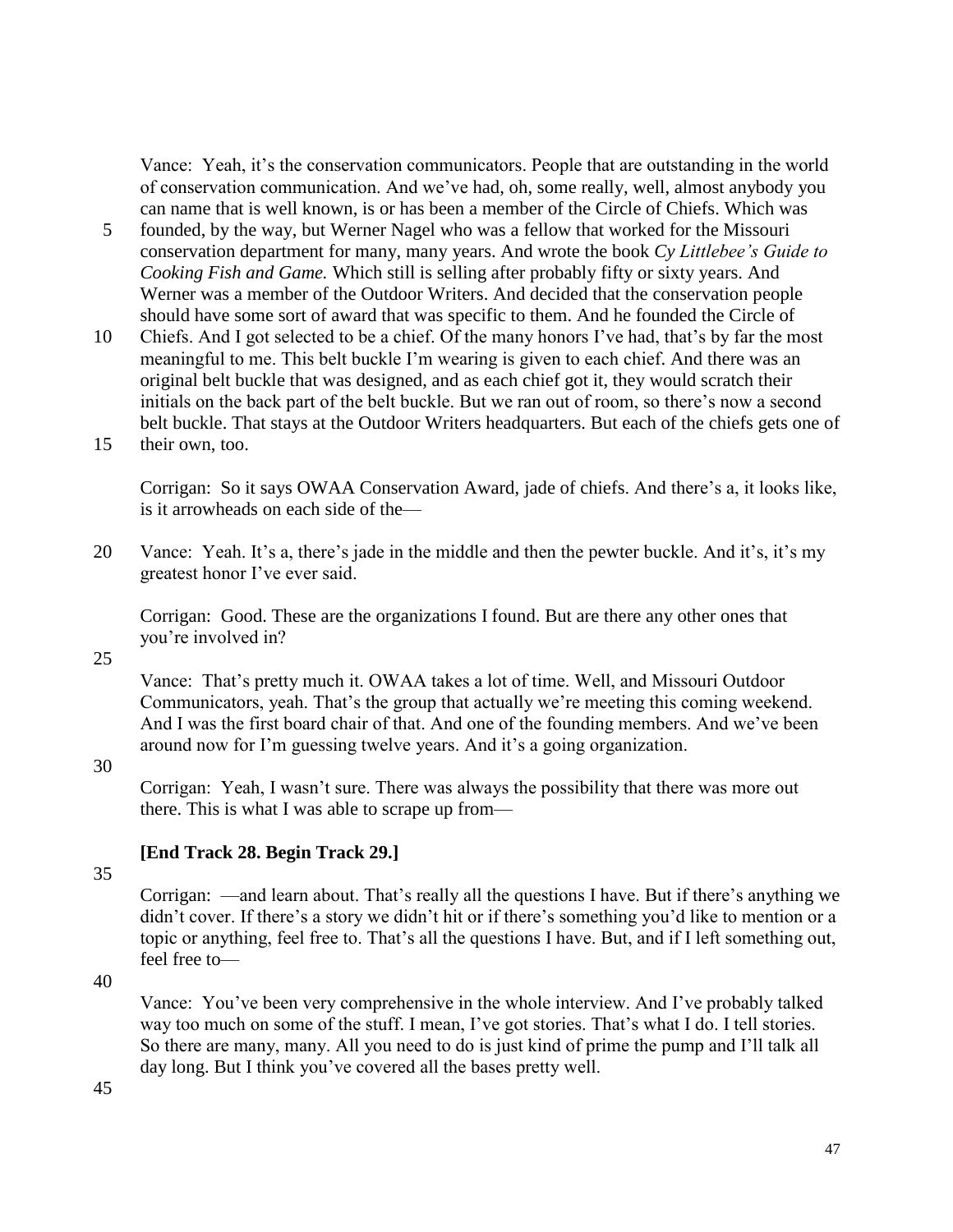Vance: Yeah, it's the conservation communicators. People that are outstanding in the world of conservation communication. And we've had, oh, some really, well, almost anybody you can name that is well known, is or has been a member of the Circle of Chiefs. Which was

- 5 founded, by the way, but Werner Nagel who was a fellow that worked for the Missouri conservation department for many, many years. And wrote the book *Cy Littlebee's Guide to Cooking Fish and Game.* Which still is selling after probably fifty or sixty years. And Werner was a member of the Outdoor Writers. And decided that the conservation people should have some sort of award that was specific to them. And he founded the Circle of
- 10 Chiefs. And I got selected to be a chief. Of the many honors I've had, that's by far the most meaningful to me. This belt buckle I'm wearing is given to each chief. And there was an original belt buckle that was designed, and as each chief got it, they would scratch their initials on the back part of the belt buckle. But we ran out of room, so there's now a second belt buckle. That stays at the Outdoor Writers headquarters. But each of the chiefs gets one of
- 15 their own, too.

Corrigan: So it says OWAA Conservation Award, jade of chiefs. And there's a, it looks like, is it arrowheads on each side of the—

20 Vance: Yeah. It's a, there's jade in the middle and then the pewter buckle. And it's, it's my greatest honor I've ever said.

Corrigan: Good. These are the organizations I found. But are there any other ones that you're involved in?

25

Vance: That's pretty much it. OWAA takes a lot of time. Well, and Missouri Outdoor Communicators, yeah. That's the group that actually we're meeting this coming weekend. And I was the first board chair of that. And one of the founding members. And we've been around now for I'm guessing twelve years. And it's a going organization.

#### 30

Corrigan: Yeah, I wasn't sure. There was always the possibility that there was more out there. This is what I was able to scrape up from—

#### **[End Track 28. Begin Track 29.]**

35

Corrigan: —and learn about. That's really all the questions I have. But if there's anything we didn't cover. If there's a story we didn't hit or if there's something you'd like to mention or a topic or anything, feel free to. That's all the questions I have. But, and if I left something out, feel free to—

40

Vance: You've been very comprehensive in the whole interview. And I've probably talked way too much on some of the stuff. I mean, I've got stories. That's what I do. I tell stories. So there are many, many. All you need to do is just kind of prime the pump and I'll talk all day long. But I think you've covered all the bases pretty well.

45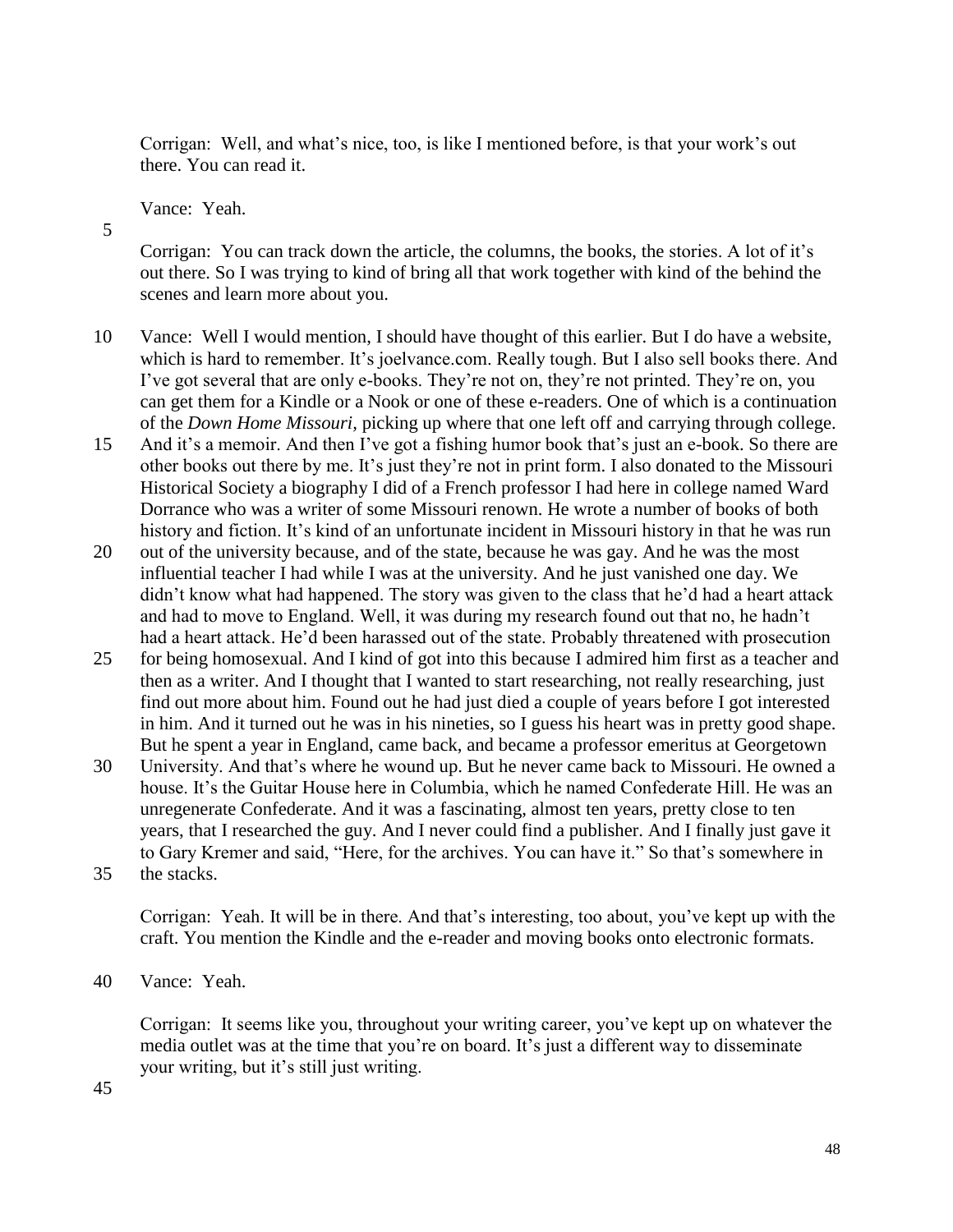Corrigan: Well, and what's nice, too, is like I mentioned before, is that your work's out there. You can read it.

Vance: Yeah.

5

Corrigan: You can track down the article, the columns, the books, the stories. A lot of it's out there. So I was trying to kind of bring all that work together with kind of the behind the scenes and learn more about you.

- 10 Vance: Well I would mention, I should have thought of this earlier. But I do have a website, which is hard to remember. It's joelvance.com. Really tough. But I also sell books there. And I've got several that are only e-books. They're not on, they're not printed. They're on, you can get them for a Kindle or a Nook or one of these e-readers. One of which is a continuation of the *Down Home Missouri,* picking up where that one left off and carrying through college.
- 15 And it's a memoir. And then I've got a fishing humor book that's just an e-book. So there are other books out there by me. It's just they're not in print form. I also donated to the Missouri Historical Society a biography I did of a French professor I had here in college named Ward Dorrance who was a writer of some Missouri renown. He wrote a number of books of both history and fiction. It's kind of an unfortunate incident in Missouri history in that he was run
- 20 out of the university because, and of the state, because he was gay. And he was the most influential teacher I had while I was at the university. And he just vanished one day. We didn't know what had happened. The story was given to the class that he'd had a heart attack and had to move to England. Well, it was during my research found out that no, he hadn't had a heart attack. He'd been harassed out of the state. Probably threatened with prosecution
- 25 for being homosexual. And I kind of got into this because I admired him first as a teacher and then as a writer. And I thought that I wanted to start researching, not really researching, just find out more about him. Found out he had just died a couple of years before I got interested in him. And it turned out he was in his nineties, so I guess his heart was in pretty good shape. But he spent a year in England, came back, and became a professor emeritus at Georgetown
- 30 University. And that's where he wound up. But he never came back to Missouri. He owned a house. It's the Guitar House here in Columbia, which he named Confederate Hill. He was an unregenerate Confederate. And it was a fascinating, almost ten years, pretty close to ten years, that I researched the guy. And I never could find a publisher. And I finally just gave it to Gary Kremer and said, "Here, for the archives. You can have it." So that's somewhere in
- 35 the stacks.

Corrigan: Yeah. It will be in there. And that's interesting, too about, you've kept up with the craft. You mention the Kindle and the e-reader and moving books onto electronic formats.

40 Vance: Yeah.

Corrigan: It seems like you, throughout your writing career, you've kept up on whatever the media outlet was at the time that you're on board. It's just a different way to disseminate your writing, but it's still just writing.

45